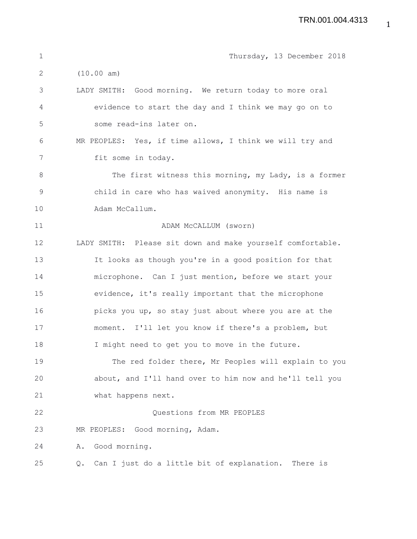| $\mathbf 1$ | Thursday, 13 December 2018                                 |
|-------------|------------------------------------------------------------|
| 2           | (10.00 am)                                                 |
| 3           | LADY SMITH: Good morning. We return today to more oral     |
| 4           | evidence to start the day and I think we may go on to      |
| 5           | some read-ins later on.                                    |
| 6           | MR PEOPLES: Yes, if time allows, I think we will try and   |
| 7           | fit some in today.                                         |
| 8           | The first witness this morning, my Lady, is a former       |
| $\mathsf 9$ | child in care who has waived anonymity. His name is        |
| 10          | Adam McCallum.                                             |
| 11          | ADAM MCCALLUM (sworn)                                      |
| 12          | LADY SMITH: Please sit down and make yourself comfortable. |
| 13          | It looks as though you're in a good position for that      |
| 14          | microphone. Can I just mention, before we start your       |
| 15          | evidence, it's really important that the microphone        |
| 16          | picks you up, so stay just about where you are at the      |
| 17          | moment. I'll let you know if there's a problem, but        |
| 18          | I might need to get you to move in the future.             |
| 19          | The red folder there, Mr Peoples will explain to you       |
| 20          | about, and I'll hand over to him now and he'll tell you    |
| 21          | what happens next.                                         |
| 22          | Questions from MR PEOPLES                                  |
| 23          | MR PEOPLES: Good morning, Adam.                            |
| 24          | Good morning.<br>Α.                                        |
| 25          | Can I just do a little bit of explanation. There is<br>Q.  |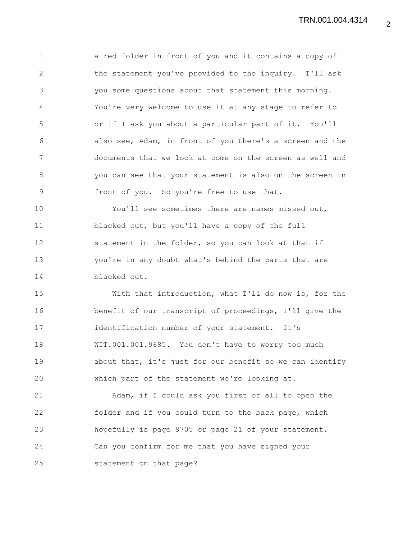1 a red folder in front of you and it contains a copy of 2 the statement you've provided to the inquiry. I'll ask 3 you some questions about that statement this morning. 4 You're very welcome to use it at any stage to refer to 5 or if I ask you about a particular part of it. You'll 6 also see, Adam, in front of you there's a screen and the 7 documents that we look at come on the screen as well and 8 you can see that your statement is also on the screen in 9 front of you. So you're free to use that.

10 You'll see sometimes there are names missed out, 11 blacked out, but you'll have a copy of the full 12 statement in the folder, so you can look at that if 13 you're in any doubt what's behind the parts that are 14 blacked out.

15 With that introduction, what I'll do now is, for the 16 benefit of our transcript of proceedings, I'll give the 17 identification number of your statement. It's 18 WIT.001.001.9685. You don't have to worry too much 19 about that, it's just for our benefit so we can identify 20 which part of the statement we're looking at.

21 Adam, if I could ask you first of all to open the 22 folder and if you could turn to the back page, which 23 hopefully is page 9705 or page 21 of your statement. 24 Can you confirm for me that you have signed your 25 statement on that page?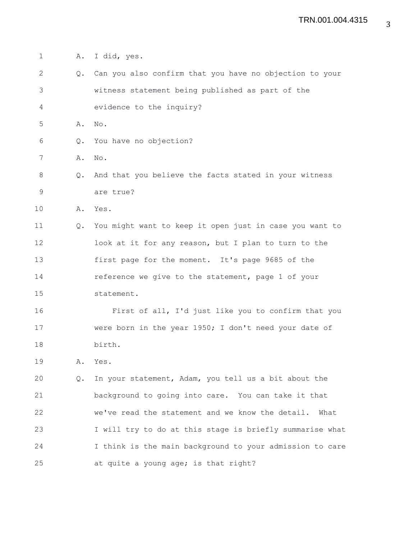1 A. I did, yes. 2 Q. Can you also confirm that you have no objection to your 3 witness statement being published as part of the 4 evidence to the inquiry? 5 A. No. 6 Q. You have no objection? 7 A. No. 8 Q. And that you believe the facts stated in your witness 9 are true? 10 A. Yes. 11 Q. You might want to keep it open just in case you want to 12 look at it for any reason, but I plan to turn to the 13 first page for the moment. It's page 9685 of the 14 reference we give to the statement, page 1 of your 15 statement. 16 First of all, I'd just like you to confirm that you 17 were born in the year 1950; I don't need your date of 18 birth. 19 A. Yes. 20 Q. In your statement, Adam, you tell us a bit about the 21 background to going into care. You can take it that 22 we've read the statement and we know the detail. What 23 I will try to do at this stage is briefly summarise what 24 I think is the main background to your admission to care 25 at quite a young age; is that right?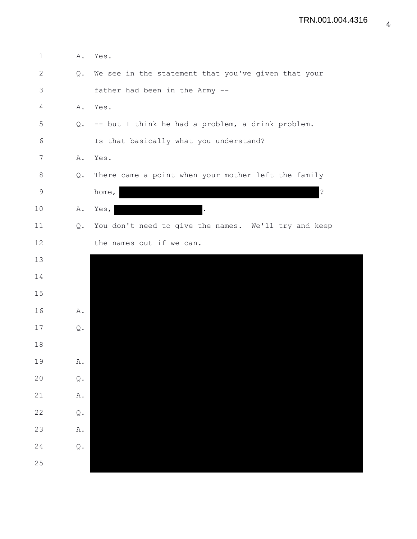| $\mathbf 1$  | Α.                      | Yes.                                                 |
|--------------|-------------------------|------------------------------------------------------|
| $\mathbf{2}$ | Q.                      | We see in the statement that you've given that your  |
| 3            |                         | father had been in the Army --                       |
| 4            | Α.                      | Yes.                                                 |
| 5            | Q.                      | -- but I think he had a problem, a drink problem.    |
| $\epsilon$   |                         | Is that basically what you understand?               |
| 7            | Α.                      | Yes.                                                 |
| 8            | Q.                      | There came a point when your mother left the family  |
| $\mathsf 9$  |                         | $\ddot{\cdot}$<br>home,                              |
| 10           | Α.                      | Yes,                                                 |
| 11           | Q.                      | You don't need to give the names. We'll try and keep |
| 12           |                         | the names out if we can.                             |
| 13           |                         |                                                      |
| 14           |                         |                                                      |
| 15           |                         |                                                      |
| 16           | Α.                      |                                                      |
| 17           | Q.                      |                                                      |
| 18           |                         |                                                      |
| 19           | $\mathbbm{A}$ .         |                                                      |
| 20           | $\mathbb Q$ .           |                                                      |
| 21           | $\mathtt{A}$ .          |                                                      |
| 22           | $\mathbb Q$ .           |                                                      |
| 23           | $\mathbbm{A}$ .         |                                                      |
| 24           | $\mathbf{\mathbb{Q}}$ . |                                                      |
| 25           |                         |                                                      |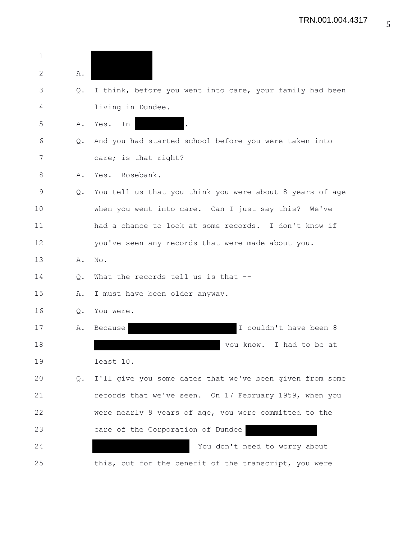| $\mathbf{1}$ |               |                                                          |
|--------------|---------------|----------------------------------------------------------|
| 2            | Α.            |                                                          |
| 3            | Q.            | I think, before you went into care, your family had been |
| 4            |               | living in Dundee.                                        |
| 5            | Α.            | Yes.<br>In                                               |
| 6            | $Q_{\bullet}$ | And you had started school before you were taken into    |
| 7            |               | care; is that right?                                     |
| 8            | Α.            | Yes. Rosebank.                                           |
| 9            | Q.            | You tell us that you think you were about 8 years of age |
| 10           |               | when you went into care. Can I just say this? We've      |
| 11           |               | had a chance to look at some records. I don't know if    |
| 12           |               | you've seen any records that were made about you.        |
| 13           | Α.            | No.                                                      |
| 14           | Q.            | What the records tell us is that --                      |
| 15           | Α.            | I must have been older anyway.                           |
| 16           | Q.            | You were.                                                |
| 17           | Α.            | I couldn't have been 8<br>Because                        |
| 18           |               | you know. I had to be at                                 |
| 19           |               | least 10.                                                |
| 20           | Q.            | I'll give you some dates that we've been given from some |
| 21           |               | records that we've seen. On 17 February 1959, when you   |
| 22           |               | were nearly 9 years of age, you were committed to the    |
| 23           |               | care of the Corporation of Dundee                        |
| 24           |               | You don't need to worry about                            |
| 25           |               | this, but for the benefit of the transcript, you were    |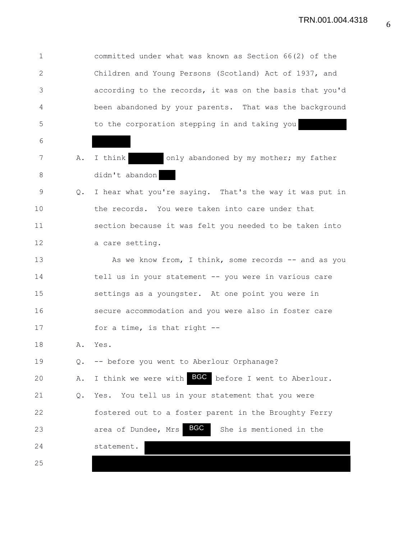1 committed under what was known as Section 66(2) of the 2 Children and Young Persons (Scotland) Act of 1937, and 3 according to the records, it was on the basis that you'd 4 been abandoned by your parents. That was the background 5 to the corporation stepping in and taking you 6 7 A. I think only abandoned by my mother; my father 8 didn't abandon 9 Q. I hear what you're saying. That's the way it was put in 10 the records. You were taken into care under that 11 section because it was felt you needed to be taken into 12 a care setting. 13 As we know from, I think, some records -- and as you 14 tell us in your statement -- you were in various care 15 settings as a youngster. At one point you were in 16 secure accommodation and you were also in foster care 17 for a time, is that right --18 A. Yes. 19 Q. -- before you went to Aberlour Orphanage? 20 A. I think we were with **BGC** before I went to Aberlour. 21 Q. Yes. You tell us in your statement that you were 22 fostered out to a foster parent in the Broughty Ferry 23 **area of Dundee, Mrs BGC** She is mentioned in the 24 statement. 25 BGC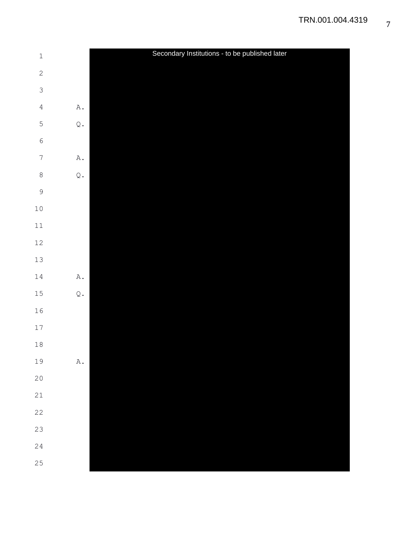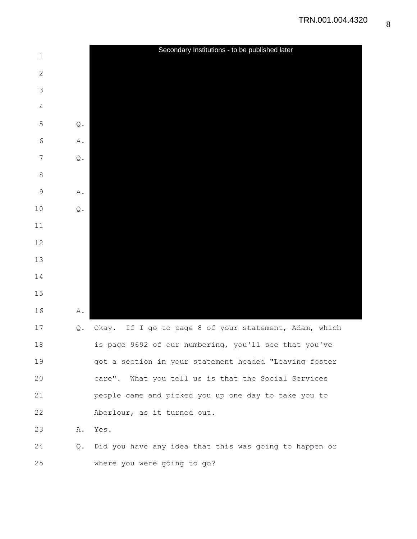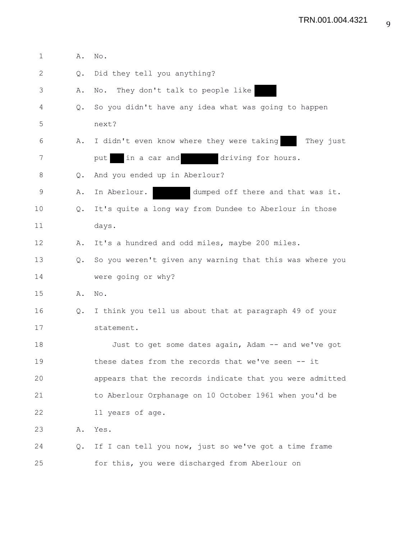| $\mathbf{1}$ | Α.            | No.                                                      |
|--------------|---------------|----------------------------------------------------------|
| 2            | Q.            | Did they tell you anything?                              |
| 3            | Α.            | They don't talk to people like<br>No.                    |
| 4            | $Q_{\bullet}$ | So you didn't have any idea what was going to happen     |
| 5            |               | next?                                                    |
| 6            | Α.            | I didn't even know where they were taking<br>They just   |
| 7            |               | in a car and<br>driving for hours.<br>put                |
| 8            | Q.            | And you ended up in Aberlour?                            |
| 9            | Α.            | In Aberlour.<br>dumped off there and that was it.        |
| 10           | Q.            | It's quite a long way from Dundee to Aberlour in those   |
| 11           |               | days.                                                    |
| 12           | Α.            | It's a hundred and odd miles, maybe 200 miles.           |
| 13           | $Q_{\bullet}$ | So you weren't given any warning that this was where you |
| 14           |               | were going or why?                                       |
| 15           | Α.            | No.                                                      |
| 16           | Q.            | I think you tell us about that at paragraph 49 of your   |
| 17           |               | statement.                                               |
| 18           |               | Just to get some dates again, Adam -- and we've got      |
| 19           |               | these dates from the records that we've seen -- it       |
| 20           |               | appears that the records indicate that you were admitted |
| 21           |               | to Aberlour Orphanage on 10 October 1961 when you'd be   |
| 22           |               | 11 years of age.                                         |
| 23           | Α.            | Yes.                                                     |
| 24           | Q.            | If I can tell you now, just so we've got a time frame    |
| 25           |               | for this, you were discharged from Aberlour on           |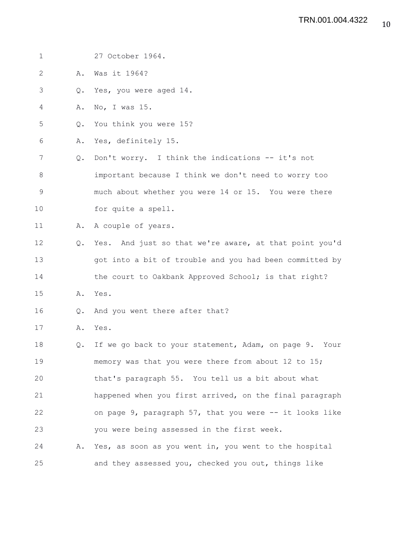| 1           |               | 27 October 1964.                                         |
|-------------|---------------|----------------------------------------------------------|
| 2           | Α.            | Was it 1964?                                             |
| 3           | Q.            | Yes, you were aged 14.                                   |
| 4           | Α.            | No, I was 15.                                            |
| 5           | Q.            | You think you were 15?                                   |
| 6           | Α.            | Yes, definitely 15.                                      |
| 7           | Q.            | Don't worry. I think the indications -- it's not         |
| 8           |               | important because I think we don't need to worry too     |
| $\mathsf 9$ |               | much about whether you were 14 or 15. You were there     |
| 10          |               | for quite a spell.                                       |
| 11          | Α.            | A couple of years.                                       |
| 12          | $Q_{\bullet}$ | Yes. And just so that we're aware, at that point you'd   |
| 13          |               | got into a bit of trouble and you had been committed by  |
| 14          |               | the court to Oakbank Approved School; is that right?     |
| 15          | Α.            | Yes.                                                     |
| 16          | Q.            | And you went there after that?                           |
| 17          |               | A. Yes.                                                  |
| 18          | Q.            | If we go back to your statement, Adam, on page 9. Your   |
| 19          |               | memory was that you were there from about 12 to 15;      |
| 20          |               | that's paragraph 55. You tell us a bit about what        |
| 21          |               | happened when you first arrived, on the final paragraph  |
| 22          |               | on page 9, paragraph 57, that you were -- it looks like  |
| 23          |               | you were being assessed in the first week.               |
| 24          |               | A. Yes, as soon as you went in, you went to the hospital |
| 25          |               | and they assessed you, checked you out, things like      |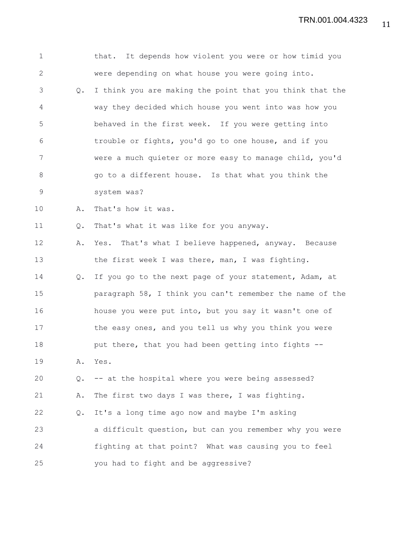1 that. It depends how violent you were or how timid you 2 were depending on what house you were going into. 3 Q. I think you are making the point that you think that the 4 way they decided which house you went into was how you 5 behaved in the first week. If you were getting into 6 trouble or fights, you'd go to one house, and if you 7 were a much quieter or more easy to manage child, you'd 8 go to a different house. Is that what you think the 9 system was? 10 A. That's how it was. 11 Q. That's what it was like for you anyway. 12 A. Yes. That's what I believe happened, anyway. Because 13 the first week I was there, man, I was fighting. 14 Q. If you go to the next page of your statement, Adam, at 15 paragraph 58, I think you can't remember the name of the 16 house you were put into, but you say it wasn't one of 17 the easy ones, and you tell us why you think you were 18 **put there, that you had been getting into fights --**19 A. Yes. 20 Q. -- at the hospital where you were being assessed? 21 A. The first two days I was there, I was fighting. 22 Q. It's a long time ago now and maybe I'm asking 23 a difficult question, but can you remember why you were 24 fighting at that point? What was causing you to feel 25 you had to fight and be aggressive?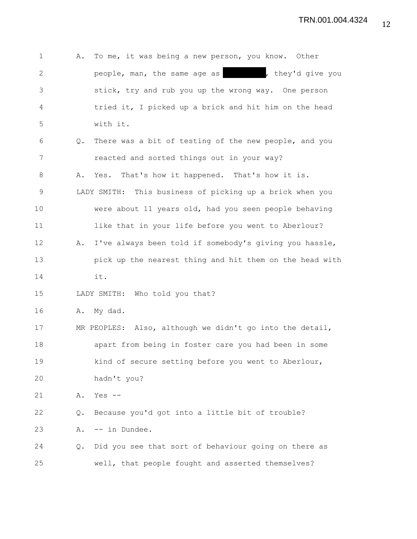| 1              | Α. | To me, it was being a new person, you know. Other        |
|----------------|----|----------------------------------------------------------|
| $\mathbf{2}$   |    | people, man, the same age as will be they'd give you     |
| 3              |    | stick, try and rub you up the wrong way. One person      |
| $\overline{4}$ |    | tried it, I picked up a brick and hit him on the head    |
| 5              |    | with it.                                                 |
| 6              | Q. | There was a bit of testing of the new people, and you    |
| 7              |    | reacted and sorted things out in your way?               |
| $8\,$          | Α. | Yes. That's how it happened. That's how it is.           |
| $\mathsf 9$    |    | LADY SMITH: This business of picking up a brick when you |
| 10             |    | were about 11 years old, had you seen people behaving    |
| 11             |    | like that in your life before you went to Aberlour?      |
| 12             | Α. | I've always been told if somebody's giving you hassle,   |
| 13             |    | pick up the nearest thing and hit them on the head with  |
| 14             |    | it.                                                      |
| 15             |    | LADY SMITH: Who told you that?                           |
| 16             | Α. | My dad.                                                  |
| 17             |    | MR PEOPLES: Also, although we didn't go into the detail, |
| 18             |    | apart from being in foster care you had been in some     |
| 19             |    | kind of secure setting before you went to Aberlour,      |
| 20             |    | hadn't you?                                              |
| 21             | Α. | Yes $--$                                                 |
| 22             | Q. | Because you'd got into a little bit of trouble?          |
| 23             | Α. | -- in Dundee.                                            |
| 24             | Q. | Did you see that sort of behaviour going on there as     |
| 25             |    | well, that people fought and asserted themselves?        |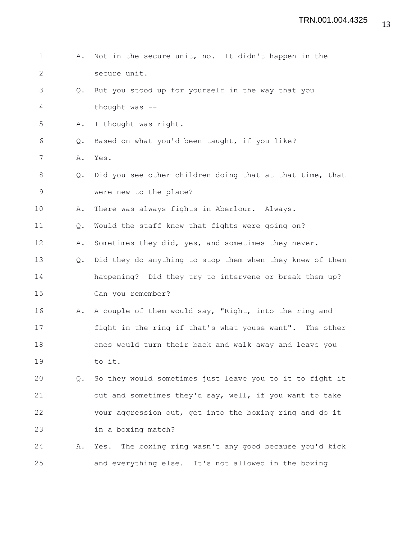| $\mathbf 1$    | Α.            | Not in the secure unit, no. It didn't happen in the      |
|----------------|---------------|----------------------------------------------------------|
| $\mathbf{2}$   |               | secure unit.                                             |
| 3              | $Q_{\bullet}$ | But you stood up for yourself in the way that you        |
| $\overline{4}$ |               | thought was --                                           |
| 5              | Α.            | I thought was right.                                     |
| 6              | $Q_{\bullet}$ | Based on what you'd been taught, if you like?            |
| 7              | Α.            | Yes.                                                     |
| 8              | Q.            | Did you see other children doing that at that time, that |
| $\mathsf 9$    |               | were new to the place?                                   |
| 10             | Α.            | There was always fights in Aberlour. Always.             |
| 11             | Q.            | Would the staff know that fights were going on?          |
| 12             | Α.            | Sometimes they did, yes, and sometimes they never.       |
| 13             | $Q_{\bullet}$ | Did they do anything to stop them when they knew of them |
| 14             |               | happening? Did they try to intervene or break them up?   |
| 15             |               | Can you remember?                                        |
| 16             | Α.            | A couple of them would say, "Right, into the ring and    |
| 17             |               | fight in the ring if that's what youse want". The other  |
| 18             |               | ones would turn their back and walk away and leave you   |
| 19             |               | to it.                                                   |
| 20             | $Q_{\bullet}$ | So they would sometimes just leave you to it to fight it |
| 21             |               | out and sometimes they'd say, well, if you want to take  |
| 22             |               | your aggression out, get into the boxing ring and do it  |
| 23             |               | in a boxing match?                                       |
| 24             | Α.            | Yes. The boxing ring wasn't any good because you'd kick  |
| 25             |               | and everything else. It's not allowed in the boxing      |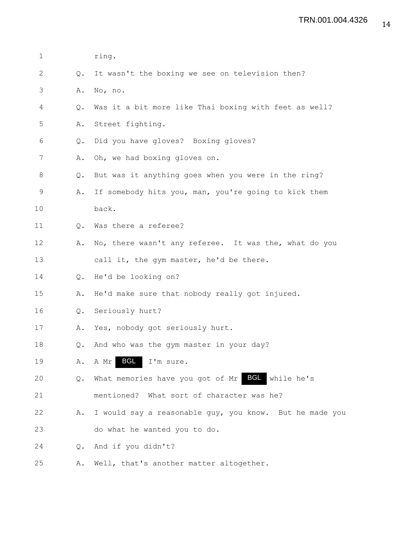| $\mathbf 1$  |                | ring.                                                   |
|--------------|----------------|---------------------------------------------------------|
| $\mathbf{2}$ | Q.             | It wasn't the boxing we see on television then?         |
| 3            | Α.             | No, no.                                                 |
| 4            | Q.             | Was it a bit more like Thai boxing with feet as well?   |
| 5            | Α.             | Street fighting.                                        |
| 6            | $\mathsf{Q}$ . | Did you have gloves? Boxing gloves?                     |
| 7            | Α.             | Oh, we had boxing gloves on.                            |
| 8            | Q.             | But was it anything goes when you were in the ring?     |
| 9            | Α.             | If somebody hits you, man, you're going to kick them    |
| 10           |                | back.                                                   |
| 11           | Q.             | Was there a referee?                                    |
| 12           | Α.             | No, there wasn't any referee. It was the, what do you   |
| 13           |                | call it, the gym master, he'd be there.                 |
| 14           | Q.             | He'd be looking on?                                     |
| 15           | Α.             | He'd make sure that nobody really got injured.          |
| 16           | Q.             | Seriously hurt?                                         |
| 17           | Α.             | Yes, nobody got seriously hurt.                         |
| 18           | Q.             | And who was the gym master in your day?                 |
| 19           | Α.             | <b>BGL</b><br>I'm sure.<br>A Mr                         |
| 20           | Q.             | What memories have you got of Mr BCL while he's         |
| 21           |                | mentioned? What sort of character was he?               |
| 22           | Α.             | I would say a reasonable guy, you know. But he made you |
| 23           |                | do what he wanted you to do.                            |
| 24           | $Q_{\bullet}$  | And if you didn't?                                      |
| 25           | Α.             | Well, that's another matter altogether.                 |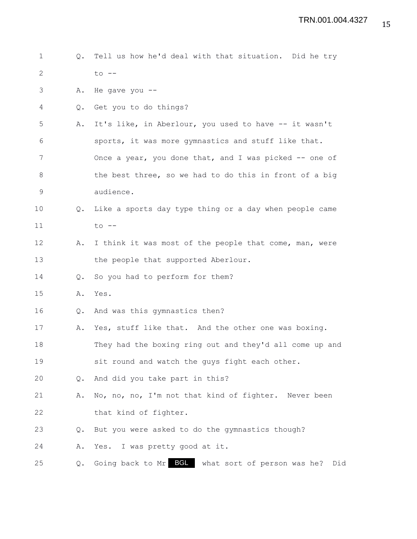| $\mathbf 1$  | $Q_{\bullet}$ | Tell us how he'd deal with that situation. Did he try   |
|--------------|---------------|---------------------------------------------------------|
| $\mathbf{2}$ |               | $to$ $--$                                               |
| 3            | Α.            | He gave you $--$                                        |
| 4            | Q.            | Get you to do things?                                   |
| 5            | Α.            | It's like, in Aberlour, you used to have -- it wasn't   |
| 6            |               | sports, it was more gymnastics and stuff like that.     |
| 7            |               | Once a year, you done that, and I was picked -- one of  |
| 8            |               | the best three, so we had to do this in front of a big  |
| 9            |               | audience.                                               |
| 10           | Q.            | Like a sports day type thing or a day when people came  |
| 11           |               | $to$ $--$                                               |
| 12           | Α.            | I think it was most of the people that come, man, were  |
| 13           |               | the people that supported Aberlour.                     |
| 14           | $Q_{\bullet}$ | So you had to perform for them?                         |
| 15           | Α.            | Yes.                                                    |
| 16           | Q.            | And was this gymnastics then?                           |
| 17           | Α.            | Yes, stuff like that. And the other one was boxing.     |
| 18           |               | They had the boxing ring out and they'd all come up and |
| 19           |               | sit round and watch the guys fight each other.          |
| 20           | Q.            | And did you take part in this?                          |
| 21           | Α.            | No, no, no, I'm not that kind of fighter. Never been    |
| 22           |               | that kind of fighter.                                   |
| 23           | Q.            | But you were asked to do the gymnastics though?         |
| 24           | Α.            | Yes. I was pretty good at it.                           |
| 25           | Q.            | Going back to Mr BGL what sort of person was he?<br>Did |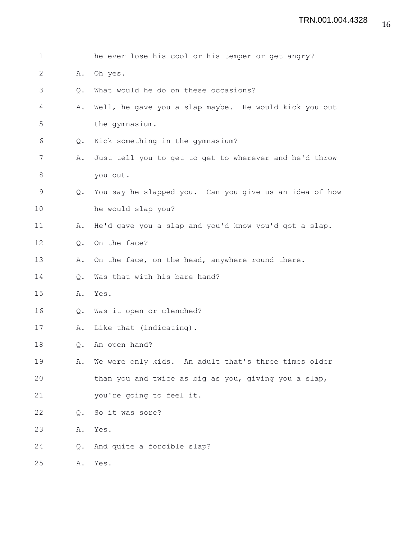| $\mathbf 1$  |    | he ever lose his cool or his temper or get angry?      |
|--------------|----|--------------------------------------------------------|
| $\mathbf{2}$ | Α. | Oh yes.                                                |
| 3            | Q. | What would he do on these occasions?                   |
| 4            | Α. | Well, he gave you a slap maybe. He would kick you out  |
| 5            |    | the gymnasium.                                         |
| 6            | Q. | Kick something in the gymnasium?                       |
| 7            | Α. | Just tell you to get to get to wherever and he'd throw |
| 8            |    | you out.                                               |
| 9            | Q. | You say he slapped you. Can you give us an idea of how |
| 10           |    | he would slap you?                                     |
| 11           | Α. | He'd gave you a slap and you'd know you'd got a slap.  |
| 12           | Q. | On the face?                                           |
| 13           | Α. | On the face, on the head, anywhere round there.        |
| 14           | Q. | Was that with his bare hand?                           |
| 15           | Α. | Yes.                                                   |
| 16           | Q. | Was it open or clenched?                               |
| 17           | Α. | Like that (indicating).                                |
| 18           | Q. | An open hand?                                          |
| 19           | Α. | We were only kids. An adult that's three times older   |
| 20           |    | than you and twice as big as you, giving you a slap,   |
| 21           |    | you're going to feel it.                               |
| 22           | Q. | So it was sore?                                        |
| 23           | Α. | Yes.                                                   |
| 24           | Q. | And quite a forcible slap?                             |
| 25           | Α. | Yes.                                                   |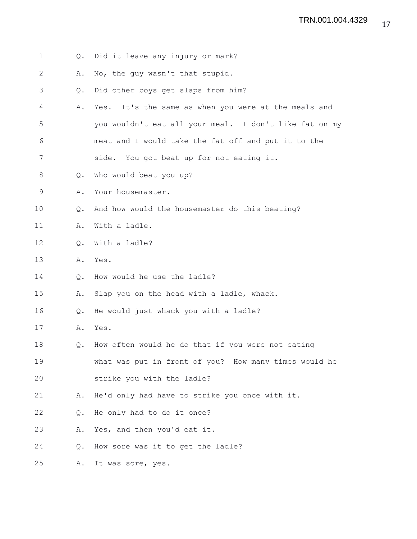| $\mathbf 1$ | Q.            | Did it leave any injury or mark?                       |
|-------------|---------------|--------------------------------------------------------|
| 2           | Α.            | No, the guy wasn't that stupid.                        |
| 3           | Q.            | Did other boys get slaps from him?                     |
| 4           | Α.            | Yes. It's the same as when you were at the meals and   |
| 5           |               | you wouldn't eat all your meal. I don't like fat on my |
| 6           |               | meat and I would take the fat off and put it to the    |
| 7           |               | side. You got beat up for not eating it.               |
| 8           | $Q_{\bullet}$ | Who would beat you up?                                 |
| 9           | Α.            | Your housemaster.                                      |
| 10          | Q.            | And how would the housemaster do this beating?         |
| 11          | Α.            | With a ladle.                                          |
| 12          | Q.            | With a ladle?                                          |
| 13          | Α.            | Yes.                                                   |
| 14          | Q.            | How would he use the ladle?                            |
| 15          | Α.            | Slap you on the head with a ladle, whack.              |
| 16          | Q.            | He would just whack you with a ladle?                  |
| 17          | Α.            | Yes.                                                   |
| 18          | Q.            | How often would he do that if you were not eating      |
| 19          |               | what was put in front of you? How many times would he  |
| 20          |               | strike you with the ladle?                             |
| 21          | Α.            | He'd only had have to strike you once with it.         |
| 22          | Q.            | He only had to do it once?                             |
| 23          | Α.            | Yes, and then you'd eat it.                            |
| 24          | Q.            | How sore was it to get the ladle?                      |
| 25          | Α.            | It was sore, yes.                                      |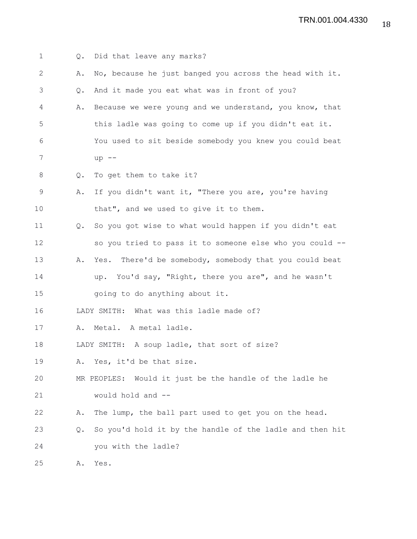TRN.001.004.4330

| $\mathbf 1$ | $Q_{\bullet}$ | Did that leave any marks?                                |
|-------------|---------------|----------------------------------------------------------|
| 2           | Α.            | No, because he just banged you across the head with it.  |
| 3           | Q.            | And it made you eat what was in front of you?            |
| 4           | Α.            | Because we were young and we understand, you know, that  |
| 5           |               | this ladle was going to come up if you didn't eat it.    |
| 6           |               | You used to sit beside somebody you knew you could beat  |
| 7           |               | $up$ --                                                  |
| 8           | Q.            | To get them to take it?                                  |
| $\mathsf 9$ | Α.            | If you didn't want it, "There you are, you're having     |
| 10          |               | that", and we used to give it to them.                   |
| 11          | $Q_{\bullet}$ | So you got wise to what would happen if you didn't eat   |
| 12          |               | so you tried to pass it to someone else who you could -- |
| 13          | Α.            | Yes. There'd be somebody, somebody that you could beat   |
| 14          |               | up. You'd say, "Right, there you are", and he wasn't     |
| 15          |               | going to do anything about it.                           |
| 16          |               | LADY SMITH: What was this ladle made of?                 |
| 17          | Α.            | Metal. A metal ladle.                                    |
| 18          |               | LADY SMITH: A soup ladle, that sort of size?             |
| 19          | Α.            | Yes, it'd be that size.                                  |
| 20          |               | MR PEOPLES: Would it just be the handle of the ladle he  |
| 21          |               | would hold and --                                        |
| 22          | Α.            | The lump, the ball part used to get you on the head.     |
| 23          | Q.            | So you'd hold it by the handle of the ladle and then hit |
| 24          |               | you with the ladle?                                      |
| 25          | Α.            | Yes.                                                     |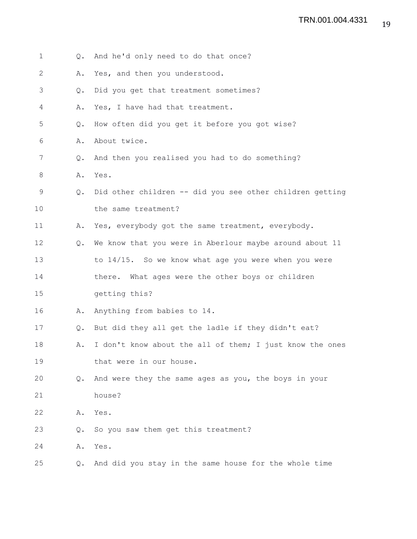- 1 Q. And he'd only need to do that once?
- 2 A. Yes, and then you understood.
- 3 Q. Did you get that treatment sometimes?
- 4 A. Yes, I have had that treatment.
- 5 Q. How often did you get it before you got wise?
- 6 A. About twice.
- 7 Q. And then you realised you had to do something?
- 8 A. Yes.
- 9 Q. Did other children -- did you see other children getting 10 the same treatment?
- 11 A. Yes, everybody got the same treatment, everybody.
- 12 Q. We know that you were in Aberlour maybe around about 11 13 to 14/15. So we know what age you were when you were
- 14 there. What ages were the other boys or children
- 15 getting this?
- 16 A. Anything from babies to 14.
- 17 Q. But did they all get the ladle if they didn't eat?
- 18 A. I don't know about the all of them; I just know the ones 19 that were in our house.
- 20 Q. And were they the same ages as you, the boys in your 21 house?
- 22 A. Yes.
- 23 Q. So you saw them get this treatment?
- 24 A. Yes.
- 25 Q. And did you stay in the same house for the whole time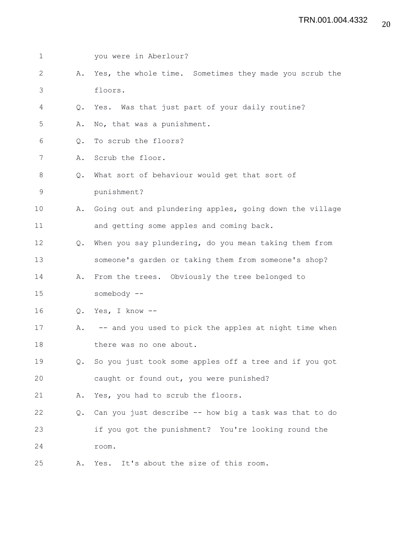| $\mathbf 1$  |               | you were in Aberlour?                                    |
|--------------|---------------|----------------------------------------------------------|
| $\mathbf{2}$ | Α.            | Yes, the whole time. Sometimes they made you scrub the   |
| 3            |               | floors.                                                  |
| 4            | Q.            | Yes. Was that just part of your daily routine?           |
| 5            | Α.            | No, that was a punishment.                               |
| 6            | Q.            | To scrub the floors?                                     |
| 7            | Α.            | Scrub the floor.                                         |
| 8            | $Q_{\bullet}$ | What sort of behaviour would get that sort of            |
| $\mathsf 9$  |               | punishment?                                              |
| 10           | Α.            | Going out and plundering apples, going down the village  |
| 11           |               | and getting some apples and coming back.                 |
| 12           | $Q_{\bullet}$ | When you say plundering, do you mean taking them from    |
| 13           |               | someone's garden or taking them from someone's shop?     |
| 14           | Α.            | From the trees. Obviously the tree belonged to           |
| 15           |               | somebody --                                              |
| 16           | Q.            | Yes, I know --                                           |
| 17           |               | A. -- and you used to pick the apples at night time when |
| 18           |               | there was no one about.                                  |
| 19           | $Q_{\bullet}$ | So you just took some apples off a tree and if you got   |
| 20           |               | caught or found out, you were punished?                  |
| 21           | Α.            | Yes, you had to scrub the floors.                        |
| 22           | Q.            | Can you just describe -- how big a task was that to do   |
| 23           |               | if you got the punishment? You're looking round the      |
| 24           |               | room.                                                    |
| 25           | Α.            | Yes. It's about the size of this room.                   |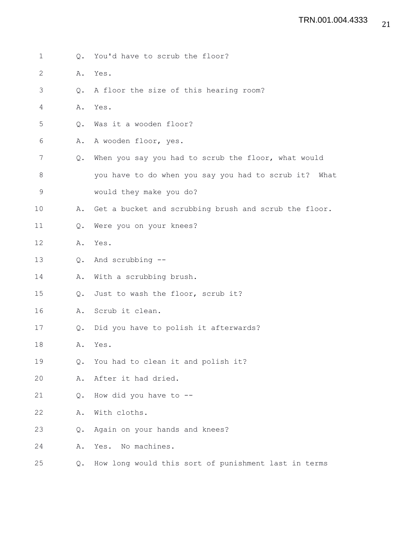1 Q. You'd have to scrub the floor? 2 A. Yes. 3 Q. A floor the size of this hearing room? 4 A. Yes. 5 Q. Was it a wooden floor? 6 A. A wooden floor, yes. 7 Q. When you say you had to scrub the floor, what would 8 you have to do when you say you had to scrub it? What 9 would they make you do? 10 A. Get a bucket and scrubbing brush and scrub the floor. 11 Q. Were you on your knees? 12 A. Yes. 13 Q. And scrubbing -- 14 A. With a scrubbing brush. 15 Q. Just to wash the floor, scrub it? 16 A. Scrub it clean. 17 Q. Did you have to polish it afterwards? 18 A. Yes. 19 Q. You had to clean it and polish it? 20 A. After it had dried. 21 Q. How did you have to -- 22 A. With cloths. 23 Q. Again on your hands and knees? 24 A. Yes. No machines. 25 Q. How long would this sort of punishment last in terms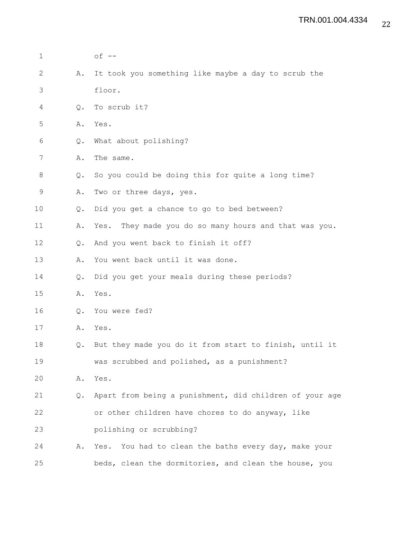| 1  |    | $of --$                                                  |  |  |  |  |  |  |  |  |
|----|----|----------------------------------------------------------|--|--|--|--|--|--|--|--|
| 2  | Α. | It took you something like maybe a day to scrub the      |  |  |  |  |  |  |  |  |
| 3  |    | floor.                                                   |  |  |  |  |  |  |  |  |
| 4  | Q. | To scrub it?                                             |  |  |  |  |  |  |  |  |
| 5  | Α. | Yes.                                                     |  |  |  |  |  |  |  |  |
| 6  | Q. | What about polishing?                                    |  |  |  |  |  |  |  |  |
| 7  | Α. | The same.                                                |  |  |  |  |  |  |  |  |
| 8  | Q. | So you could be doing this for quite a long time?        |  |  |  |  |  |  |  |  |
| 9  | Α. | Two or three days, yes.                                  |  |  |  |  |  |  |  |  |
| 10 | Q. | Did you get a chance to go to bed between?               |  |  |  |  |  |  |  |  |
| 11 | Α. | They made you do so many hours and that was you.<br>Yes. |  |  |  |  |  |  |  |  |
| 12 | Q. | And you went back to finish it off?                      |  |  |  |  |  |  |  |  |
| 13 | Α. | You went back until it was done.                         |  |  |  |  |  |  |  |  |
| 14 | Q. | Did you get your meals during these periods?             |  |  |  |  |  |  |  |  |
| 15 | Α. | Yes.                                                     |  |  |  |  |  |  |  |  |
| 16 | Q. | You were fed?                                            |  |  |  |  |  |  |  |  |
| 17 | Α. | Yes.                                                     |  |  |  |  |  |  |  |  |
| 18 | Q. | But they made you do it from start to finish, until it   |  |  |  |  |  |  |  |  |
| 19 |    | was scrubbed and polished, as a punishment?              |  |  |  |  |  |  |  |  |
| 20 | Α. | Yes.                                                     |  |  |  |  |  |  |  |  |
| 21 | Q. | Apart from being a punishment, did children of your age  |  |  |  |  |  |  |  |  |
| 22 |    | or other children have chores to do anyway, like         |  |  |  |  |  |  |  |  |
| 23 |    | polishing or scrubbing?                                  |  |  |  |  |  |  |  |  |
| 24 | Α. | Yes. You had to clean the baths every day, make your     |  |  |  |  |  |  |  |  |
| 25 |    | beds, clean the dormitories, and clean the house, you    |  |  |  |  |  |  |  |  |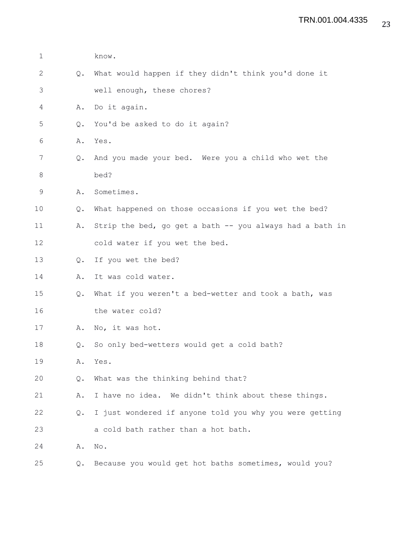| $\mathbf 1$ |               | know.                                                    |
|-------------|---------------|----------------------------------------------------------|
| 2           | $Q_{\bullet}$ | What would happen if they didn't think you'd done it     |
| 3           |               | well enough, these chores?                               |
| 4           | Α.            | Do it again.                                             |
| 5           | Q.            | You'd be asked to do it again?                           |
| 6           | Α.            | Yes.                                                     |
| 7           | Q.            | And you made your bed. Were you a child who wet the      |
| 8           |               | bed?                                                     |
| $\mathsf 9$ | Α.            | Sometimes.                                               |
| 10          | Q.            | What happened on those occasions if you wet the bed?     |
| 11          | Α.            | Strip the bed, go get a bath -- you always had a bath in |
| 12          |               | cold water if you wet the bed.                           |
| 13          | Q.            | If you wet the bed?                                      |
| 14          | Α.            | It was cold water.                                       |
| 15          | Q.            | What if you weren't a bed-wetter and took a bath, was    |
| 16          |               | the water cold?                                          |
| 17          | Α.            | No, it was hot.                                          |
| 18          | $Q_{\bullet}$ | So only bed-wetters would get a cold bath?               |
| 19          | Α.            | Yes.                                                     |
| 20          | Q.            | What was the thinking behind that?                       |
| 21          | Α.            | I have no idea. We didn't think about these things.      |
| 22          | Q.            | I just wondered if anyone told you why you were getting  |
| 23          |               | a cold bath rather than a hot bath.                      |
| 24          | Α.            | No.                                                      |
| 25          | Q.            | Because you would get hot baths sometimes, would you?    |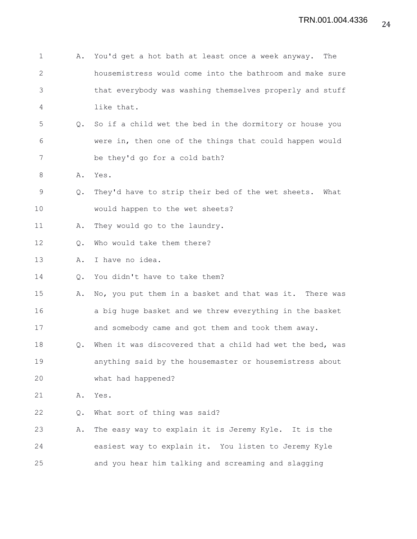| $\mathbf 1$  | Α. | You'd get a hot bath at least once a week anyway.<br>The  |
|--------------|----|-----------------------------------------------------------|
| $\mathbf{2}$ |    | housemistress would come into the bathroom and make sure  |
| 3            |    | that everybody was washing themselves properly and stuff  |
| 4            |    | like that.                                                |
| 5            | Q. | So if a child wet the bed in the dormitory or house you   |
| 6            |    | were in, then one of the things that could happen would   |
| 7            |    | be they'd go for a cold bath?                             |
| 8            | Α. | Yes.                                                      |
| 9            | Q. | They'd have to strip their bed of the wet sheets.<br>What |
| 10           |    | would happen to the wet sheets?                           |
| 11           | Α. | They would go to the laundry.                             |
| 12           | Q. | Who would take them there?                                |
| 13           | Α. | I have no idea.                                           |
| 14           | Q. | You didn't have to take them?                             |
| 15           | Α. | No, you put them in a basket and that was it. There was   |
| 16           |    | a big huge basket and we threw everything in the basket   |
| 17           |    | and somebody came and got them and took them away.        |
| 18           | Q. | When it was discovered that a child had wet the bed, was  |
| 19           |    | anything said by the housemaster or housemistress about   |
| 20           |    | what had happened?                                        |
| 21           | Α. | Yes.                                                      |
| 22           | Q. | What sort of thing was said?                              |
| 23           | Α. | The easy way to explain it is Jeremy Kyle. It is the      |
| 24           |    | easiest way to explain it. You listen to Jeremy Kyle      |
| 25           |    | and you hear him talking and screaming and slagging       |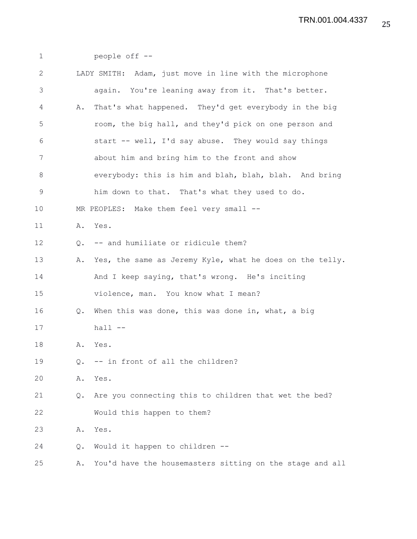| $\mathbf 1$    |               | people off --                                            |
|----------------|---------------|----------------------------------------------------------|
| $\mathbf{2}$   |               | LADY SMITH: Adam, just move in line with the microphone  |
| $\mathfrak{Z}$ |               | again. You're leaning away from it. That's better.       |
| 4              | Α.            | That's what happened. They'd get everybody in the big    |
| 5              |               | room, the big hall, and they'd pick on one person and    |
| 6              |               | start -- well, I'd say abuse. They would say things      |
| 7              |               | about him and bring him to the front and show            |
| $\,8\,$        |               | everybody: this is him and blah, blah, blah. And bring   |
| $\mathsf 9$    |               | him down to that. That's what they used to do.           |
| 10             |               | MR PEOPLES: Make them feel very small --                 |
| 11             | Α.            | Yes.                                                     |
| 12             | $Q_{\bullet}$ | -- and humiliate or ridicule them?                       |
| 13             | Α.            | Yes, the same as Jeremy Kyle, what he does on the telly. |
| 14             |               | And I keep saying, that's wrong. He's inciting           |
| 15             |               | violence, man. You know what I mean?                     |
| 16             | Q.            | When this was done, this was done in, what, a big        |
| 17             |               | $hall -$                                                 |
| 18             | Α.            | Yes.                                                     |
| 19             | Q.            | -- in front of all the children?                         |
| 20             | Α.            | Yes.                                                     |
| 21             | $Q_{\bullet}$ | Are you connecting this to children that wet the bed?    |
| 22             |               | Would this happen to them?                               |
| 23             | Α.            | Yes.                                                     |
| 24             | Q.            | Would it happen to children --                           |
| 25             | Α.            | You'd have the housemasters sitting on the stage and all |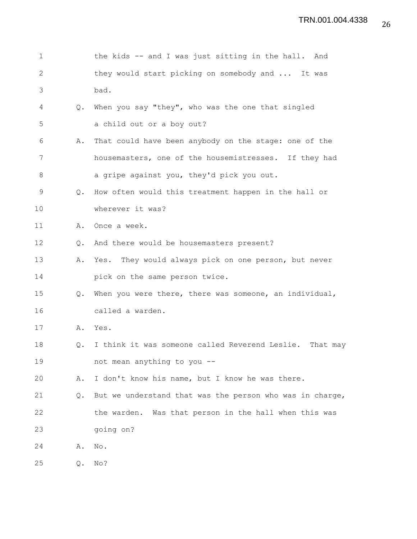| $\mathbf 1$  |               | the kids -- and I was just sitting in the hall. And      |
|--------------|---------------|----------------------------------------------------------|
| $\mathbf{2}$ |               | they would start picking on somebody and  It was         |
| 3            |               | bad.                                                     |
| 4            | Q.            | When you say "they", who was the one that singled        |
| 5            |               | a child out or a boy out?                                |
| 6            | Α.            | That could have been anybody on the stage: one of the    |
| 7            |               | housemasters, one of the housemistresses. If they had    |
| 8            |               | a gripe against you, they'd pick you out.                |
| 9            | Q.            | How often would this treatment happen in the hall or     |
| 10           |               | wherever it was?                                         |
| 11           | Α.            | Once a week.                                             |
| 12           | $Q_{\bullet}$ | And there would be housemasters present?                 |
| 13           | Α.            | Yes. They would always pick on one person, but never     |
| 14           |               | pick on the same person twice.                           |
| 15           | $Q_{\bullet}$ | When you were there, there was someone, an individual,   |
| 16           |               | called a warden.                                         |
| 17           | Α.            | Yes.                                                     |
| 18           | Q.            | I think it was someone called Reverend Leslie. That may  |
| 19           |               | not mean anything to you --                              |
| 20           | Α.            | I don't know his name, but I know he was there.          |
| 21           | $Q_{\bullet}$ | But we understand that was the person who was in charge, |
| 22           |               | the warden. Was that person in the hall when this was    |
| 23           |               | going on?                                                |
| 24           | Α.            | No.                                                      |
| 25           | Q.            | No?                                                      |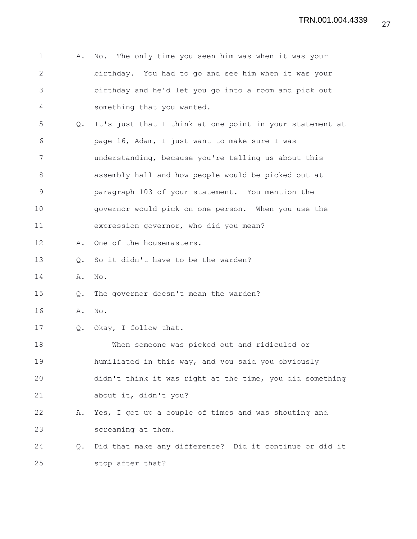| $\mathbf 1$  | Α.            | No. The only time you seen him was when it was your      |
|--------------|---------------|----------------------------------------------------------|
| $\mathbf{2}$ |               | birthday. You had to go and see him when it was your     |
| 3            |               | birthday and he'd let you go into a room and pick out    |
| 4            |               | something that you wanted.                               |
| 5            | $Q_{\bullet}$ | It's just that I think at one point in your statement at |
| 6            |               | page 16, Adam, I just want to make sure I was            |
| 7            |               | understanding, because you're telling us about this      |
| 8            |               | assembly hall and how people would be picked out at      |
| $\mathsf 9$  |               | paragraph 103 of your statement. You mention the         |
| 10           |               | governor would pick on one person. When you use the      |
| 11           |               | expression governor, who did you mean?                   |
| 12           | Α.            | One of the housemasters.                                 |
| 13           | Q.            | So it didn't have to be the warden?                      |
| 14           | Α.            | No.                                                      |
| 15           | Q.            | The governor doesn't mean the warden?                    |
| 16           | Α.            | No.                                                      |
| 17           |               | Q. Okay, I follow that.                                  |
| 18           |               | When someone was picked out and ridiculed or             |
| 19           |               | humiliated in this way, and you said you obviously       |
| 20           |               | didn't think it was right at the time, you did something |
| 21           |               | about it, didn't you?                                    |
| 22           | Α.            | Yes, I got up a couple of times and was shouting and     |
| 23           |               | screaming at them.                                       |
| 24           | $Q_{\bullet}$ | Did that make any difference? Did it continue or did it  |
| 25           |               | stop after that?                                         |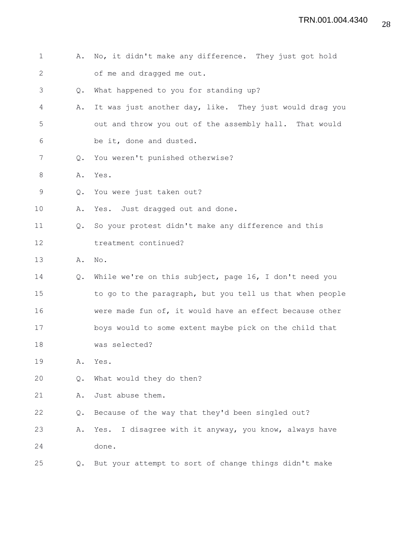| $\mathbf 1$  | Α.            | No, it didn't make any difference. They just got hold    |  |  |  |  |  |  |  |  |  |
|--------------|---------------|----------------------------------------------------------|--|--|--|--|--|--|--|--|--|
| $\mathbf{2}$ |               | of me and dragged me out.                                |  |  |  |  |  |  |  |  |  |
| 3            | Q.            | What happened to you for standing up?                    |  |  |  |  |  |  |  |  |  |
| 4            | Α.            | It was just another day, like. They just would drag you  |  |  |  |  |  |  |  |  |  |
| 5            |               | out and throw you out of the assembly hall. That would   |  |  |  |  |  |  |  |  |  |
| 6            |               | be it, done and dusted.                                  |  |  |  |  |  |  |  |  |  |
| 7            | Q.            | You weren't punished otherwise?                          |  |  |  |  |  |  |  |  |  |
| 8            |               | A. Yes.                                                  |  |  |  |  |  |  |  |  |  |
| 9            | $Q_{\bullet}$ | You were just taken out?                                 |  |  |  |  |  |  |  |  |  |
| 10           | Α.            | Yes. Just dragged out and done.                          |  |  |  |  |  |  |  |  |  |
| 11           | $Q_{\bullet}$ | So your protest didn't make any difference and this      |  |  |  |  |  |  |  |  |  |
| 12           |               | treatment continued?                                     |  |  |  |  |  |  |  |  |  |
| 13           | Α.            | No.                                                      |  |  |  |  |  |  |  |  |  |
| 14           | Q.            | While we're on this subject, page 16, I don't need you   |  |  |  |  |  |  |  |  |  |
| 15           |               | to go to the paragraph, but you tell us that when people |  |  |  |  |  |  |  |  |  |
| 16           |               | were made fun of, it would have an effect because other  |  |  |  |  |  |  |  |  |  |
| 17           |               | boys would to some extent maybe pick on the child that   |  |  |  |  |  |  |  |  |  |
| 18           |               | was selected?                                            |  |  |  |  |  |  |  |  |  |
| 19           | Α.            | Yes.                                                     |  |  |  |  |  |  |  |  |  |
| 20           | Q.            | What would they do then?                                 |  |  |  |  |  |  |  |  |  |
| 21           | Α.            | Just abuse them.                                         |  |  |  |  |  |  |  |  |  |
| 22           | Q.            | Because of the way that they'd been singled out?         |  |  |  |  |  |  |  |  |  |
| 23           | Α.            | Yes. I disagree with it anyway, you know, always have    |  |  |  |  |  |  |  |  |  |
| 24           |               | done.                                                    |  |  |  |  |  |  |  |  |  |
| 25           | Q.            | But your attempt to sort of change things didn't make    |  |  |  |  |  |  |  |  |  |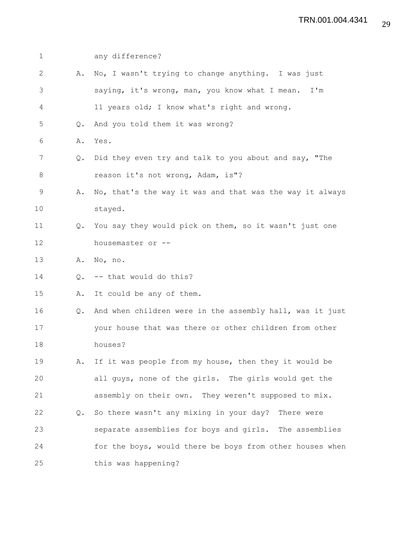| $\mathbf 1$ |               | any difference?                                          |
|-------------|---------------|----------------------------------------------------------|
| 2           | Α.            | No, I wasn't trying to change anything. I was just       |
| 3           |               | saying, it's wrong, man, you know what I mean. I'm       |
| 4           |               | 11 years old; I know what's right and wrong.             |
| 5           | Q.            | And you told them it was wrong?                          |
| 6           | Α.            | Yes.                                                     |
| 7           | Q.            | Did they even try and talk to you about and say, "The    |
| 8           |               | reason it's not wrong, Adam, is"?                        |
| $\mathsf 9$ | Α.            | No, that's the way it was and that was the way it always |
| 10          |               | stayed.                                                  |
| 11          | $Q_{\bullet}$ | You say they would pick on them, so it wasn't just one   |
| 12          |               | housemaster or --                                        |
| 13          | Α.            | No, no.                                                  |
| 14          | Q.            | -- that would do this?                                   |
| 15          | Α.            | It could be any of them.                                 |
| 16          | Q.            | And when children were in the assembly hall, was it just |
| 17          |               | your house that was there or other children from other   |
| 18          |               | houses?                                                  |
| 19          | Α.            | If it was people from my house, then they it would be    |
| 20          |               | all guys, none of the girls. The girls would get the     |
| 21          |               | assembly on their own. They weren't supposed to mix.     |
| 22          | Q.            | So there wasn't any mixing in your day? There were       |
| 23          |               | separate assemblies for boys and girls. The assemblies   |
| 24          |               | for the boys, would there be boys from other houses when |
| 25          |               | this was happening?                                      |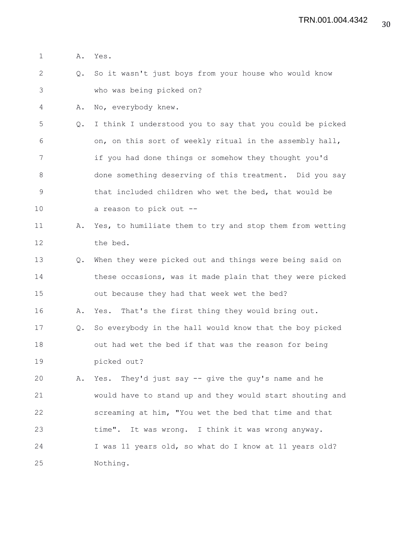1 A. Yes.

2 Q. So it wasn't just boys from your house who would know 3 who was being picked on?

4 A. No, everybody knew.

5 Q. I think I understood you to say that you could be picked 6 on, on this sort of weekly ritual in the assembly hall, 7 if you had done things or somehow they thought you'd 8 done something deserving of this treatment. Did you say 9 that included children who wet the bed, that would be 10 a reason to pick out --

11 A. Yes, to humiliate them to try and stop them from wetting 12 the bed.

13 Q. When they were picked out and things were being said on 14 these occasions, was it made plain that they were picked 15 out because they had that week wet the bed?

16 A. Yes. That's the first thing they would bring out.

17 Q. So everybody in the hall would know that the boy picked 18 out had wet the bed if that was the reason for being 19 picked out?

20 A. Yes. They'd just say -- give the guy's name and he 21 would have to stand up and they would start shouting and 22 screaming at him, "You wet the bed that time and that 23 time". It was wrong. I think it was wrong anyway. 24 I was 11 years old, so what do I know at 11 years old? 25 Nothing.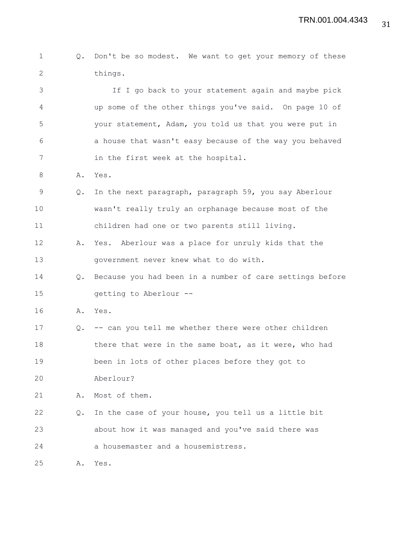```
1 Q. Don't be so modest. We want to get your memory of these
2 things.
```
3 If I go back to your statement again and maybe pick 4 up some of the other things you've said. On page 10 of 5 your statement, Adam, you told us that you were put in 6 a house that wasn't easy because of the way you behaved 7 in the first week at the hospital.

- 8 A. Yes.
- 9 Q. In the next paragraph, paragraph 59, you say Aberlour 10 wasn't really truly an orphanage because most of the 11 children had one or two parents still living.
- 12 A. Yes. Aberlour was a place for unruly kids that the 13 government never knew what to do with.
- 14 Q. Because you had been in a number of care settings before 15 getting to Aberlour --
- 16 A. Yes.
- 17 Q. -- can you tell me whether there were other children 18 there that were in the same boat, as it were, who had 19 been in lots of other places before they got to
- 20 Aberlour?
- 21 A. Most of them.
- 22 Q. In the case of your house, you tell us a little bit 23 about how it was managed and you've said there was 24 a housemaster and a housemistress.

25 A. Yes.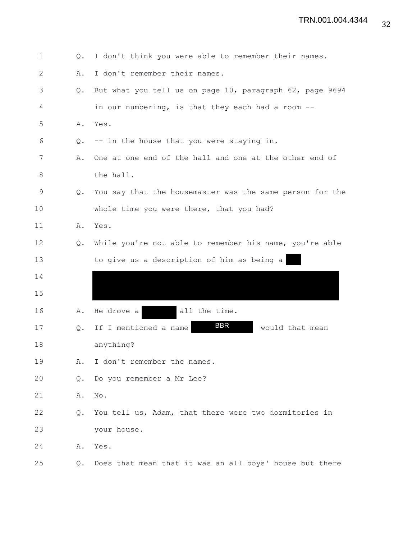| $\mathbf 1$  | Q.            | I don't think you were able to remember their names.     |
|--------------|---------------|----------------------------------------------------------|
| $\mathbf{2}$ | Α.            | I don't remember their names.                            |
| 3            | $Q_{\bullet}$ | But what you tell us on page 10, paragraph 62, page 9694 |
| 4            |               | in our numbering, is that they each had a room --        |
| 5            | Α.            | Yes.                                                     |
| 6            | Q.            | -- in the house that you were staying in.                |
| 7            | Α.            | One at one end of the hall and one at the other end of   |
| 8            |               | the hall.                                                |
| 9            | $Q_{\bullet}$ | You say that the housemaster was the same person for the |
| 10           |               | whole time you were there, that you had?                 |
| 11           | Α.            | Yes.                                                     |
| 12           | $Q_{\bullet}$ | While you're not able to remember his name, you're able  |
| 13           |               | to give us a description of him as being a               |
| 14           |               |                                                          |
| 15           |               |                                                          |
| 16           | Α.            | He drove a<br>all the time.                              |
| 17           | Q.            | <b>BBR</b><br>If I mentioned a name<br>would that mean   |
| 18           |               | anything?                                                |
| 19           | Α.            | I don't remember the names.                              |
| 20           | Q.            | Do you remember a Mr Lee?                                |
| 21           | Α.            | No.                                                      |
| 22           | $Q_{\bullet}$ | You tell us, Adam, that there were two dormitories in    |
| 23           |               | your house.                                              |
| 24           | Α.            | Yes.                                                     |
| 25           | Q.            | Does that mean that it was an all boys' house but there  |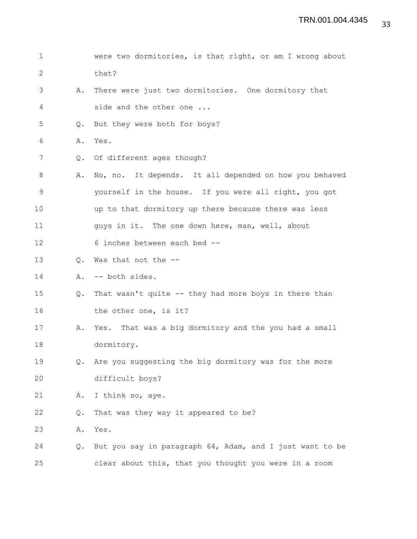1 were two dormitories, is that right, or am I wrong about 2 that? 3 A. There were just two dormitories. One dormitory that 4 side and the other one ... 5 Q. But they were both for boys? 6 A. Yes. 7 Q. Of different ages though? 8 A. No, no. It depends. It all depended on how you behaved 9 yourself in the house. If you were all right, you got 10 up to that dormitory up there because there was less 11 guys in it. The one down here, man, well, about 12 6 inches between each bed --13 Q. Was that not the -- 14 A. -- both sides. 15 Q. That wasn't quite -- they had more boys in there than 16 the other one, is it? 17 A. Yes. That was a big dormitory and the you had a small 18 dormitory. 19 Q. Are you suggesting the big dormitory was for the more 20 difficult boys? 21 A. I think so, aye. 22 Q. That was they way it appeared to be? 23 A. Yes. 24 Q. But you say in paragraph 64, Adam, and I just want to be 25 clear about this, that you thought you were in a room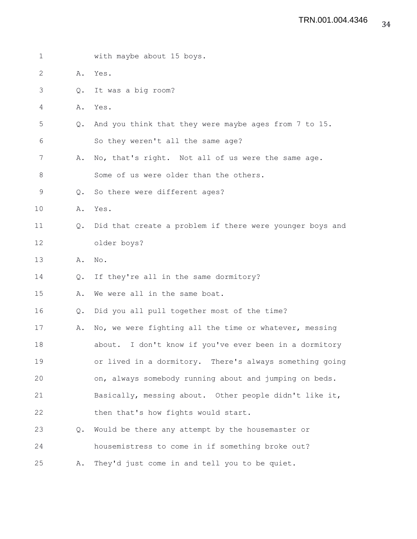| $\mathbf 1$ |               | with maybe about 15 boys.                                 |
|-------------|---------------|-----------------------------------------------------------|
| 2           | Α.            | Yes.                                                      |
| 3           | Q.            | It was a big room?                                        |
| 4           | Α.            | Yes.                                                      |
| 5           | Q.            | And you think that they were maybe ages from 7 to 15.     |
| 6           |               | So they weren't all the same age?                         |
| 7           | Α.            | No, that's right. Not all of us were the same age.        |
| 8           |               | Some of us were older than the others.                    |
| 9           | Q.            | So there were different ages?                             |
| 10          | Α.            | Yes.                                                      |
| 11          | $Q_{\bullet}$ | Did that create a problem if there were younger boys and  |
| 12          |               | older boys?                                               |
| 13          | Α.            | No.                                                       |
| 14          | Q.            | If they're all in the same dormitory?                     |
| 15          | Α.            | We were all in the same boat.                             |
| 16          | Q.            | Did you all pull together most of the time?               |
| 17          | Α.            | No, we were fighting all the time or whatever, messing    |
| 18          |               | I don't know if you've ever been in a dormitory<br>about. |
| 19          |               | or lived in a dormitory. There's always something going   |
| 20          |               | on, always somebody running about and jumping on beds.    |
| 21          |               | Basically, messing about. Other people didn't like it,    |
| 22          |               | then that's how fights would start.                       |
| 23          | Q.            | Would be there any attempt by the housemaster or          |
| 24          |               | housemistress to come in if something broke out?          |
| 25          | Α.            | They'd just come in and tell you to be quiet.             |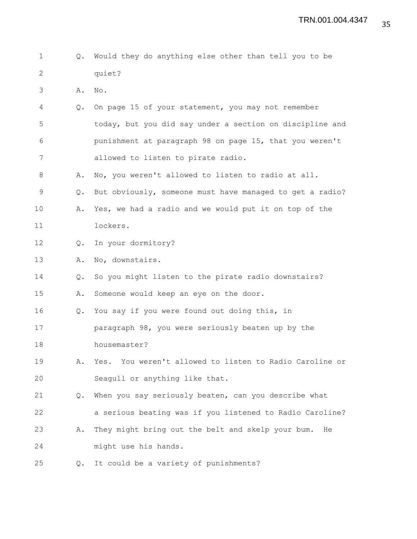| $\mathbf{1}$ and $\mathbf{1}$ |        |  | Q. Would they do anything else other than tell you to be |  |  |  |  |
|-------------------------------|--------|--|----------------------------------------------------------|--|--|--|--|
|                               | quiet? |  |                                                          |  |  |  |  |

3 A. No.

4 Q. On page 15 of your statement, you may not remember 5 today, but you did say under a section on discipline and 6 punishment at paragraph 98 on page 15, that you weren't 7 allowed to listen to pirate radio.

8 A. No, you weren't allowed to listen to radio at all.

9 Q. But obviously, someone must have managed to get a radio?

- 10 A. Yes, we had a radio and we would put it on top of the 11 lockers.
- 12 Q. In your dormitory?

13 A. No, downstairs.

14 Q. So you might listen to the pirate radio downstairs?

15 A. Someone would keep an eye on the door.

16 Q. You say if you were found out doing this, in

17 paragraph 98, you were seriously beaten up by the 18 housemaster?

19 A. Yes. You weren't allowed to listen to Radio Caroline or 20 Seagull or anything like that.

21 Q. When you say seriously beaten, can you describe what 22 a serious beating was if you listened to Radio Caroline? 23 A. They might bring out the belt and skelp your bum. He

24 might use his hands.

25 Q. It could be a variety of punishments?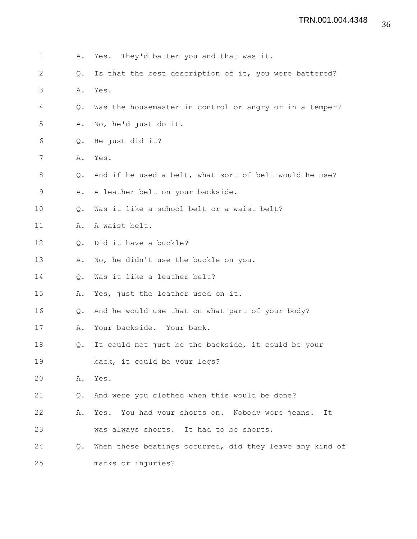| $\mathbf 1$  | Α.            | Yes. They'd batter you and that was it.                  |
|--------------|---------------|----------------------------------------------------------|
| $\mathbf{2}$ | Q.            | Is that the best description of it, you were battered?   |
| 3            | Α.            | Yes.                                                     |
| 4            | Q.            | Was the housemaster in control or angry or in a temper?  |
| 5            | Α.            | No, he'd just do it.                                     |
| 6            | Q.            | He just did it?                                          |
| 7            | Α.            | Yes.                                                     |
| 8            | Q.            | And if he used a belt, what sort of belt would he use?   |
| 9            | Α.            | A leather belt on your backside.                         |
| 10           | $Q_{\bullet}$ | Was it like a school belt or a waist belt?               |
| 11           | Α.            | A waist belt.                                            |
| 12           | Q.            | Did it have a buckle?                                    |
| 13           | Α.            | No, he didn't use the buckle on you.                     |
| 14           | Q.            | Was it like a leather belt?                              |
| 15           | Α.            | Yes, just the leather used on it.                        |
| 16           | Q.            | And he would use that on what part of your body?         |
| 17           | Α.            | Your backside. Your back.                                |
| 18           | Q.            | It could not just be the backside, it could be your      |
| 19           |               | back, it could be your legs?                             |
| 20           | Α.            | Yes.                                                     |
| 21           | Q.            | And were you clothed when this would be done?            |
| 22           | Α.            | Yes. You had your shorts on. Nobody wore jeans.<br>It    |
| 23           |               | was always shorts. It had to be shorts.                  |
| 24           | Q.            | When these beatings occurred, did they leave any kind of |
| 25           |               | marks or injuries?                                       |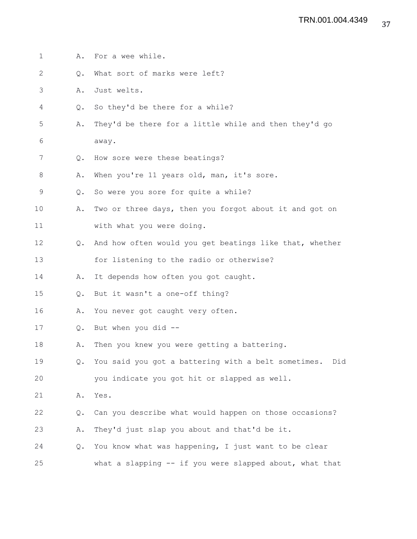1 A. For a wee while. 2 Q. What sort of marks were left? 3 A. Just welts. 4 Q. So they'd be there for a while? 5 A. They'd be there for a little while and then they'd go 6 away. 7 Q. How sore were these beatings? 8 A. When you're 11 years old, man, it's sore. 9 Q. So were you sore for quite a while? 10 A. Two or three days, then you forgot about it and got on 11 with what you were doing. 12 Q. And how often would you get beatings like that, whether 13 for listening to the radio or otherwise? 14 A. It depends how often you got caught. 15 Q. But it wasn't a one-off thing? 16 A. You never got caught very often. 17 Q. But when you did -- 18 A. Then you knew you were getting a battering. 19 Q. You said you got a battering with a belt sometimes. Did 20 you indicate you got hit or slapped as well. 21 A. Yes. 22 Q. Can you describe what would happen on those occasions? 23 A. They'd just slap you about and that'd be it. 24 Q. You know what was happening, I just want to be clear 25 what a slapping -- if you were slapped about, what that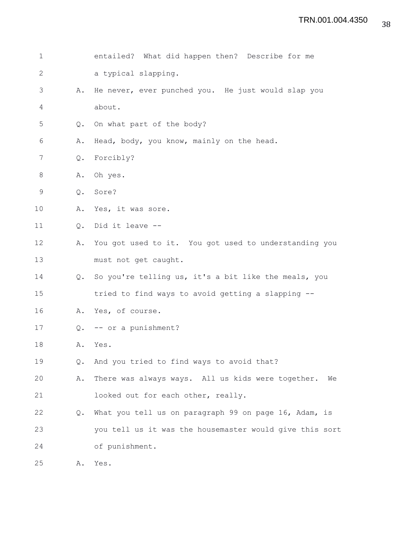| $\mathbf 1$    |                | entailed? What did happen then? Describe for me         |
|----------------|----------------|---------------------------------------------------------|
| $\mathbf{2}$   |                | a typical slapping.                                     |
| 3              | Α.             | He never, ever punched you. He just would slap you      |
| $\overline{4}$ |                | about.                                                  |
| 5              | Q.             | On what part of the body?                               |
| 6              | Α.             | Head, body, you know, mainly on the head.               |
| 7              | $\mathsf{Q}$ . | Forcibly?                                               |
| 8              | Α.             | Oh yes.                                                 |
| 9              | Q.             | Sore?                                                   |
| 10             | Α.             | Yes, it was sore.                                       |
| 11             | Q.             | Did it leave --                                         |
| 12             | Α.             | You got used to it. You got used to understanding you   |
| 13             |                | must not get caught.                                    |
| 14             | $Q_{\bullet}$  | So you're telling us, it's a bit like the meals, you    |
| 15             |                | tried to find ways to avoid getting a slapping --       |
| 16             | Α.             | Yes, of course.                                         |
| 17             |                | Q. -- or a punishment?                                  |
| 18             | Α.             | Yes.                                                    |
| 19             | Q.             | And you tried to find ways to avoid that?               |
| 20             | Α.             | There was always ways. All us kids were together.<br>We |
| 21             |                | looked out for each other, really.                      |
| 22             | Q.             | What you tell us on paragraph 99 on page 16, Adam, is   |
| 23             |                | you tell us it was the housemaster would give this sort |
| 24             |                | of punishment.                                          |
| 25             | Α.             | Yes.                                                    |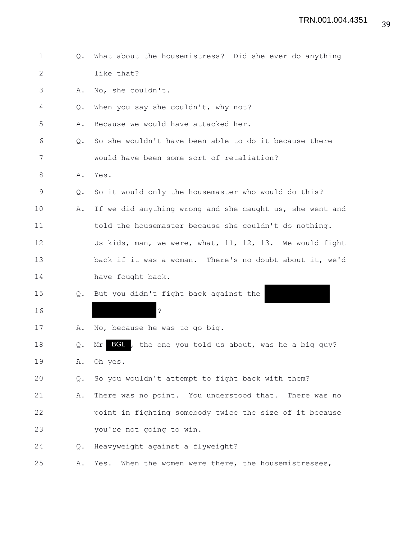| $\mathbf{1}$ | $Q_{\bullet}$ | What about the housemistress? Did she ever do anything      |
|--------------|---------------|-------------------------------------------------------------|
| 2            |               | like that?                                                  |
| 3            | Α.            | No, she couldn't.                                           |
| 4            | Q.            | When you say she couldn't, why not?                         |
| 5            | Α.            | Because we would have attacked her.                         |
| 6            | Q.            | So she wouldn't have been able to do it because there       |
| 7            |               | would have been some sort of retaliation?                   |
| 8            | Α.            | Yes.                                                        |
| 9            | Q.            | So it would only the housemaster who would do this?         |
| 10           | Α.            | If we did anything wrong and she caught us, she went and    |
| 11           |               | told the housemaster because she couldn't do nothing.       |
| 12           |               | Us kids, man, we were, what, 11, 12, 13. We would fight     |
| 13           |               | back if it was a woman. There's no doubt about it, we'd     |
| 14           |               | have fought back.                                           |
| 15           | Q.            | But you didn't fight back against the                       |
| 16           |               | $\ddot{\cdot}$                                              |
| 17           | Α.            | No, because he was to go big.                               |
| 18           | Q.            | BGL<br>, the one you told us about, was he a big guy?<br>Mr |
| 19           | Α.            | Oh yes.                                                     |
| 20           | Q.            | So you wouldn't attempt to fight back with them?            |
| 21           | Α.            | There was no point. You understood that. There was no       |
| 22           |               | point in fighting somebody twice the size of it because     |
| 23           |               | you're not going to win.                                    |
| 24           | Q.            | Heavyweight against a flyweight?                            |
| 25           | Α.            | Yes.<br>When the women were there, the housemistresses,     |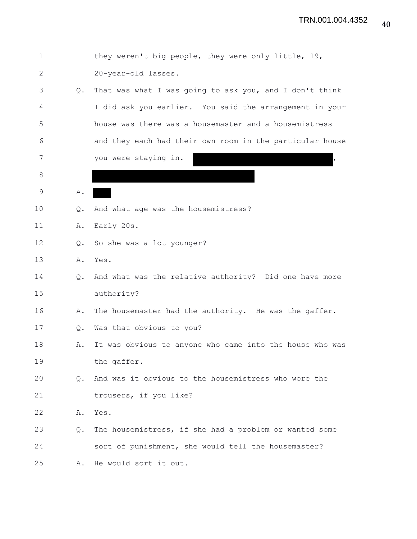| $\mathbf 1$  |               | they weren't big people, they were only little, 19,      |
|--------------|---------------|----------------------------------------------------------|
| $\mathbf{2}$ |               | 20-year-old lasses.                                      |
| 3            | Q.            | That was what I was going to ask you, and I don't think  |
| 4            |               | I did ask you earlier. You said the arrangement in your  |
| 5            |               | house was there was a housemaster and a housemistress    |
| 6            |               | and they each had their own room in the particular house |
| 7            |               | you were staying in.                                     |
| 8            |               |                                                          |
| 9            | Α.            |                                                          |
| 10           | Q.            | And what age was the housemistress?                      |
| 11           | Α.            | Early 20s.                                               |
| 12           | $Q_{\bullet}$ | So she was a lot younger?                                |
| 13           |               | A. Yes.                                                  |
| 14           | $Q_{\bullet}$ | And what was the relative authority? Did one have more   |
| 15           |               | authority?                                               |
| 16           | Α.            | The housemaster had the authority. He was the gaffer.    |
| 17           | Q.            | Was that obvious to you?                                 |
| 18           | Α.            | It was obvious to anyone who came into the house who was |
| 19           |               | the gaffer.                                              |
| 20           | Q.            | And was it obvious to the housemistress who wore the     |
| 21           |               | trousers, if you like?                                   |
| 22           | Α.            | Yes.                                                     |
| 23           | Q.            | The housemistress, if she had a problem or wanted some   |
| 24           |               | sort of punishment, she would tell the housemaster?      |
| 25           | Α.            | He would sort it out.                                    |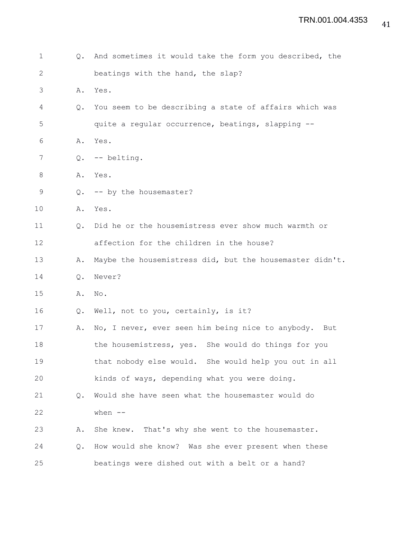| 1            | $Q_{\bullet}$ | And sometimes it would take the form you described, the  |
|--------------|---------------|----------------------------------------------------------|
| $\mathbf{2}$ |               | beatings with the hand, the slap?                        |
| 3            | Α.            | Yes.                                                     |
| 4            | $Q_{\bullet}$ | You seem to be describing a state of affairs which was   |
| 5            |               | quite a regular occurrence, beatings, slapping --        |
| 6            | Α.            | Yes.                                                     |
| 7            | Q.            | -- belting.                                              |
| 8            | Α.            | Yes.                                                     |
| 9            | $\circ$ .     | -- by the housemaster?                                   |
| 10           |               | A. Yes.                                                  |
| 11           | Q.            | Did he or the housemistress ever show much warmth or     |
| 12           |               | affection for the children in the house?                 |
| 13           | Α.            | Maybe the housemistress did, but the housemaster didn't. |
| 14           | $Q_{\bullet}$ | Never?                                                   |
| 15           | Α.            | No.                                                      |
| 16           | Q.            | Well, not to you, certainly, is it?                      |
| 17           | Α.            | No, I never, ever seen him being nice to anybody. But    |
| 18           |               | the housemistress, yes. She would do things for you      |
| 19           |               | that nobody else would. She would help you out in all    |
| 20           |               | kinds of ways, depending what you were doing.            |
| 21           | $Q_{\bullet}$ | Would she have seen what the housemaster would do        |
| 22           |               | when $--$                                                |
| 23           | Α.            | She knew. That's why she went to the housemaster.        |
| 24           | Q.            | How would she know? Was she ever present when these      |
| 25           |               | beatings were dished out with a belt or a hand?          |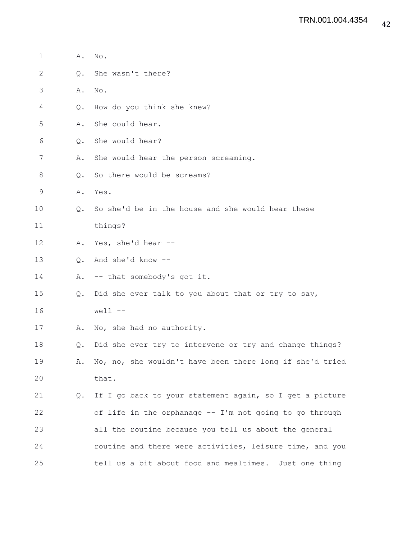| $\mathbf 1$  | Α. | No.                                                      |
|--------------|----|----------------------------------------------------------|
| $\mathbf{2}$ | Q. | She wasn't there?                                        |
| 3            | Α. | No.                                                      |
| 4            | Q. | How do you think she knew?                               |
| 5            | Α. | She could hear.                                          |
| 6            | Q. | She would hear?                                          |
| 7            | Α. | She would hear the person screaming.                     |
| 8            | Q. | So there would be screams?                               |
| 9            | Α. | Yes.                                                     |
| 10           | Q. | So she'd be in the house and she would hear these        |
| 11           |    | things?                                                  |
| 12           | Α. | Yes, she'd hear --                                       |
| 13           | 0. | And she'd know --                                        |
| 14           | Α. | -- that somebody's got it.                               |
| 15           | Q. | Did she ever talk to you about that or try to say,       |
| 16           |    | $well$ $-$                                               |
| 17           | Α. | No, she had no authority.                                |
| 18           | Q. | Did she ever try to intervene or try and change things?  |
| 19           | Α. | No, no, she wouldn't have been there long if she'd tried |
| 20           |    | that.                                                    |
| 21           | Q. | If I go back to your statement again, so I get a picture |
| 22           |    | of life in the orphanage -- I'm not going to go through  |
| 23           |    | all the routine because you tell us about the general    |
| 24           |    | routine and there were activities, leisure time, and you |
| 25           |    | tell us a bit about food and mealtimes. Just one thing   |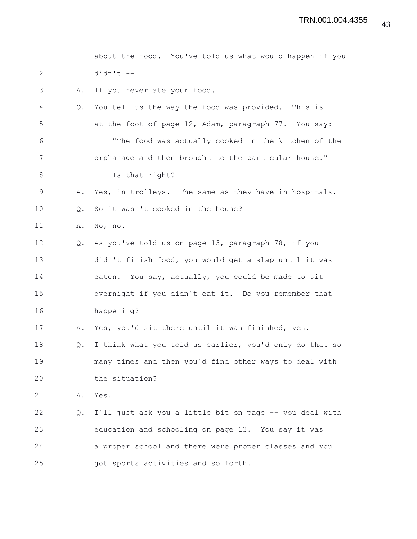| $\mathbf 1$  |               | about the food. You've told us what would happen if you |
|--------------|---------------|---------------------------------------------------------|
| $\mathbf{2}$ |               | $didn't$ --                                             |
| 3            | Α.            | If you never ate your food.                             |
| 4            | $Q_{\bullet}$ | You tell us the way the food was provided. This is      |
| 5            |               | at the foot of page 12, Adam, paragraph 77. You say:    |
| 6            |               | "The food was actually cooked in the kitchen of the     |
| 7            |               | orphanage and then brought to the particular house."    |
| 8            |               | Is that right?                                          |
| $\mathsf 9$  | Α.            | Yes, in trolleys. The same as they have in hospitals.   |
| 10           | Q.            | So it wasn't cooked in the house?                       |
| 11           | Α.            | No, no.                                                 |
| 12           | Q.            | As you've told us on page 13, paragraph 78, if you      |
| 13           |               | didn't finish food, you would get a slap until it was   |
| 14           |               | eaten. You say, actually, you could be made to sit      |
| 15           |               | overnight if you didn't eat it. Do you remember that    |
| 16           |               | happening?                                              |
| 17           | Α.            | Yes, you'd sit there until it was finished, yes.        |
| 18           | $Q_{\bullet}$ | I think what you told us earlier, you'd only do that so |
| 19           |               | many times and then you'd find other ways to deal with  |
| 20           |               | the situation?                                          |
| 21           | Α.            | Yes.                                                    |
| 22           | Q.            | I'll just ask you a little bit on page -- you deal with |
| 23           |               | education and schooling on page 13. You say it was      |
| 24           |               | a proper school and there were proper classes and you   |
| 25           |               | got sports activities and so forth.                     |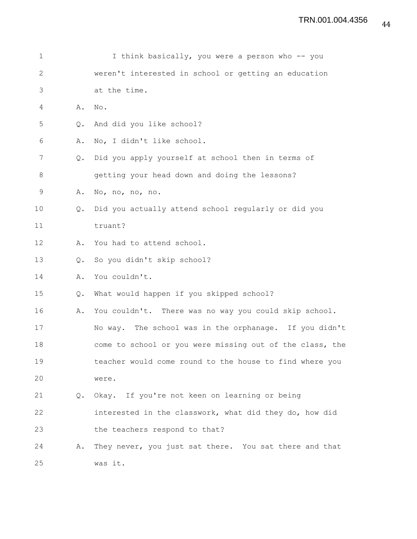| 1            |               | I think basically, you were a person who -- you          |
|--------------|---------------|----------------------------------------------------------|
| $\mathbf{2}$ |               | weren't interested in school or getting an education     |
| 3            |               | at the time.                                             |
| 4            | Α.            | No.                                                      |
| 5            | $Q_{\bullet}$ | And did you like school?                                 |
| 6            | Α.            | No, I didn't like school.                                |
| 7            | Q.            | Did you apply yourself at school then in terms of        |
| $\,8\,$      |               | getting your head down and doing the lessons?            |
| $\mathsf 9$  | Α.            | No, no, no, no.                                          |
| 10           | Q.            | Did you actually attend school regularly or did you      |
| 11           |               | truant?                                                  |
| 12           | Α.            | You had to attend school.                                |
| 13           | Q.            | So you didn't skip school?                               |
| 14           | Α.            | You couldn't.                                            |
| 15           | Q.            | What would happen if you skipped school?                 |
| 16           | Α.            | You couldn't. There was no way you could skip school.    |
| 17           |               | No way. The school was in the orphanage. If you didn't   |
| 18           |               | come to school or you were missing out of the class, the |
| 19           |               | teacher would come round to the house to find where you  |
| 20           |               | were.                                                    |
| 21           |               | Q. Okay. If you're not keen on learning or being         |
| 22           |               | interested in the classwork, what did they do, how did   |
| 23           |               | the teachers respond to that?                            |
| 24           | Α.            | They never, you just sat there. You sat there and that   |
| 25           |               | was it.                                                  |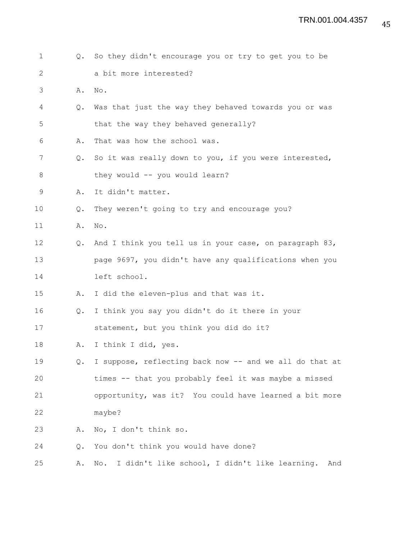| 1           | $Q_{\bullet}$ | So they didn't encourage you or try to get you to be    |
|-------------|---------------|---------------------------------------------------------|
| 2           |               | a bit more interested?                                  |
| 3           | Α.            | No.                                                     |
| 4           | $Q_{\bullet}$ | Was that just the way they behaved towards you or was   |
| 5           |               | that the way they behaved generally?                    |
| 6           | Α.            | That was how the school was.                            |
| 7           | $Q_{\bullet}$ | So it was really down to you, if you were interested,   |
| 8           |               | they would -- you would learn?                          |
| $\mathsf 9$ | Α.            | It didn't matter.                                       |
| 10          | Q.            | They weren't going to try and encourage you?            |
| 11          | Α.            | No.                                                     |
| 12          | $Q_{\bullet}$ | And I think you tell us in your case, on paragraph 83,  |
| 13          |               | page 9697, you didn't have any qualifications when you  |
| 14          |               | left school.                                            |
| 15          | Α.            | I did the eleven-plus and that was it.                  |
| 16          | Q.            | I think you say you didn't do it there in your          |
| 17          |               | statement, but you think you did do it?                 |
| 18          | Α.            | I think I did, yes.                                     |
| 19          | Q.            | I suppose, reflecting back now -- and we all do that at |
| 20          |               | times -- that you probably feel it was maybe a missed   |
| 21          |               | opportunity, was it? You could have learned a bit more  |
| 22          |               | maybe?                                                  |
| 23          | Α.            | No, I don't think so.                                   |
| 24          | Q.            | You don't think you would have done?                    |
| 25          | Α.            | No. I didn't like school, I didn't like learning. And   |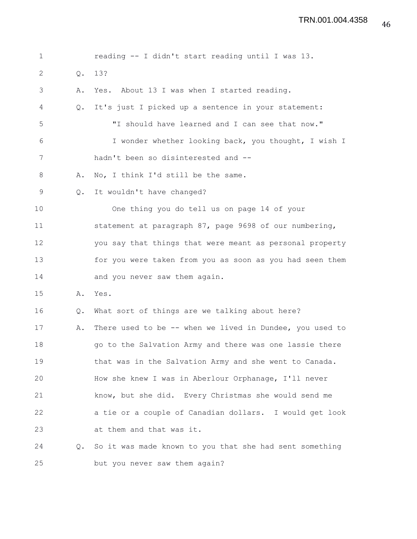| $\mathbf 1$ |               | reading -- I didn't start reading until I was 13.        |
|-------------|---------------|----------------------------------------------------------|
| 2           | Q.            | 13?                                                      |
| 3           | Α.            | Yes. About 13 I was when I started reading.              |
| 4           | $Q_{\bullet}$ | It's just I picked up a sentence in your statement:      |
| 5           |               | "I should have learned and I can see that now."          |
| 6           |               | I wonder whether looking back, you thought, I wish I     |
| 7           |               | hadn't been so disinterested and --                      |
| 8           | Α.            | No, I think I'd still be the same.                       |
| 9           | Q.            | It wouldn't have changed?                                |
| 10          |               | One thing you do tell us on page 14 of your              |
| 11          |               | statement at paragraph 87, page 9698 of our numbering,   |
| 12          |               | you say that things that were meant as personal property |
| 13          |               | for you were taken from you as soon as you had seen them |
| 14          |               | and you never saw them again.                            |
| 15          | Α.            | Yes.                                                     |
| 16          | Q.            | What sort of things are we talking about here?           |
| 17          | Α.            | There used to be -- when we lived in Dundee, you used to |
| 18          |               | go to the Salvation Army and there was one lassie there  |
| 19          |               | that was in the Salvation Army and she went to Canada.   |
| 20          |               | How she knew I was in Aberlour Orphanage, I'll never     |
| 21          |               | know, but she did. Every Christmas she would send me     |
| 22          |               | a tie or a couple of Canadian dollars. I would get look  |
| 23          |               | at them and that was it.                                 |
| 24          | Q.            | So it was made known to you that she had sent something  |
| 25          |               | but you never saw them again?                            |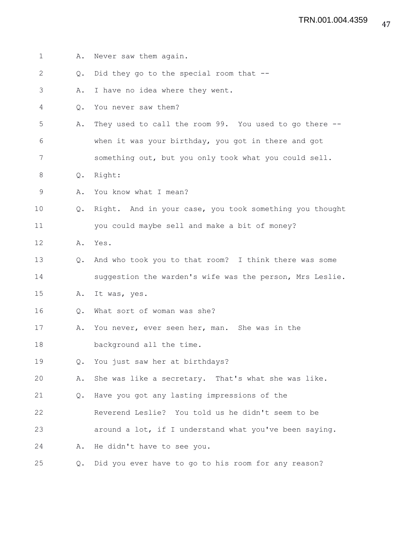| 1  | Α.            | Never saw them again.                                    |
|----|---------------|----------------------------------------------------------|
| 2  | $Q_{\bullet}$ | Did they go to the special room that --                  |
| 3  | Α.            | I have no idea where they went.                          |
| 4  | $Q_{\bullet}$ | You never saw them?                                      |
| 5  | Α.            | They used to call the room 99. You used to go there --   |
| 6  |               | when it was your birthday, you got in there and got      |
| 7  |               | something out, but you only took what you could sell.    |
| 8  | $Q_{\bullet}$ | Right:                                                   |
| 9  | Α.            | You know what I mean?                                    |
| 10 | $Q_{\bullet}$ | Right. And in your case, you took something you thought  |
| 11 |               | you could maybe sell and make a bit of money?            |
| 12 | Α.            | Yes.                                                     |
| 13 | $Q_{\bullet}$ | And who took you to that room? I think there was some    |
| 14 |               | suggestion the warden's wife was the person, Mrs Leslie. |
| 15 | Α.            | It was, yes.                                             |
| 16 | $Q_{\bullet}$ | What sort of woman was she?                              |
| 17 | Α.            | You never, ever seen her, man. She was in the            |
| 18 |               | background all the time.                                 |
| 19 | $Q_{\bullet}$ | You just saw her at birthdays?                           |
| 20 | Α.            | She was like a secretary. That's what she was like.      |
| 21 | $Q_{\bullet}$ | Have you got any lasting impressions of the              |
| 22 |               | Reverend Leslie? You told us he didn't seem to be        |
| 23 |               | around a lot, if I understand what you've been saying.   |
| 24 | Α.            | He didn't have to see you.                               |
| 25 | $Q_{\bullet}$ | Did you ever have to go to his room for any reason?      |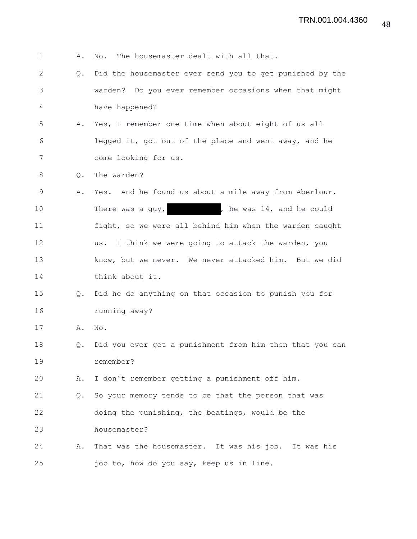| $\mathbf 1$  | Α.            | The housemaster dealt with all that.<br>No.              |
|--------------|---------------|----------------------------------------------------------|
| $\mathbf{2}$ | Q.            | Did the housemaster ever send you to get punished by the |
| 3            |               | warden? Do you ever remember occasions when that might   |
| 4            |               | have happened?                                           |
| 5            | Α.            | Yes, I remember one time when about eight of us all      |
| 6            |               | legged it, got out of the place and went away, and he    |
| 7            |               | come looking for us.                                     |
| 8            | Q.            | The warden?                                              |
| 9            | Α.            | Yes. And he found us about a mile away from Aberlour.    |
| 10           |               | , he was 14, and he could<br>There was a guy,            |
| 11           |               | fight, so we were all behind him when the warden caught  |
| 12           |               | I think we were going to attack the warden, you<br>us.   |
| 13           |               | know, but we never. We never attacked him. But we did    |
| 14           |               | think about it.                                          |
| 15           | $Q_{\bullet}$ | Did he do anything on that occasion to punish you for    |
| 16           |               | running away?                                            |
| 17           | Α.            | No.                                                      |
| 18           | Q.            | Did you ever get a punishment from him then that you can |
| 19           |               | remember?                                                |
| 20           | Α.            | I don't remember getting a punishment off him.           |
| 21           | Q.            | So your memory tends to be that the person that was      |
| 22           |               | doing the punishing, the beatings, would be the          |
| 23           |               | housemaster?                                             |
| 24           | Α.            | That was the housemaster. It was his job. It was his     |
| 25           |               | job to, how do you say, keep us in line.                 |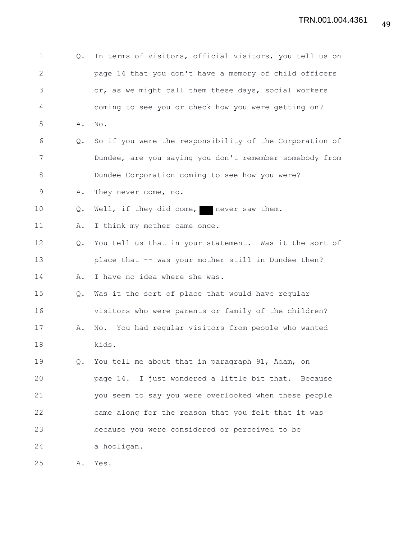| $\mathbf 1$  | Q.             | In terms of visitors, official visitors, you tell us on |
|--------------|----------------|---------------------------------------------------------|
| $\mathbf{2}$ |                | page 14 that you don't have a memory of child officers  |
| 3            |                | or, as we might call them these days, social workers    |
| 4            |                | coming to see you or check how you were getting on?     |
| 5            | Α.             | No.                                                     |
| 6            | Q.             | So if you were the responsibility of the Corporation of |
| 7            |                | Dundee, are you saying you don't remember somebody from |
| 8            |                | Dundee Corporation coming to see how you were?          |
| 9            | Α.             | They never come, no.                                    |
| 10           | $\mathsf{Q}$ . | Well, if they did come, never saw them.                 |
| 11           | Α.             | I think my mother came once.                            |
| 12           | $Q_{\bullet}$  | You tell us that in your statement. Was it the sort of  |
| 13           |                | place that -- was your mother still in Dundee then?     |
| 14           | Α.             | I have no idea where she was.                           |
| 15           | $Q_{\bullet}$  | Was it the sort of place that would have regular        |
| 16           |                | visitors who were parents or family of the children?    |
| 17           | Α.             | No. You had regular visitors from people who wanted     |
| 18           |                | kids.                                                   |
| 19           | Q.             | You tell me about that in paragraph 91, Adam, on        |
| 20           |                | page 14. I just wondered a little bit that. Because     |
| 21           |                | you seem to say you were overlooked when these people   |
| 22           |                | came along for the reason that you felt that it was     |
| 23           |                | because you were considered or perceived to be          |
| 24           |                | a hooligan.                                             |
| 25           | Α.             | Yes.                                                    |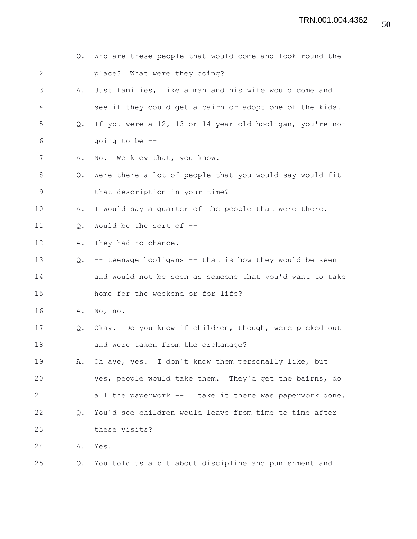- 1 Q. Who are these people that would come and look round the 2 place? What were they doing?
- 3 A. Just families, like a man and his wife would come and 4 see if they could get a bairn or adopt one of the kids.
- 5 Q. If you were a 12, 13 or 14-year-old hooligan, you're not 6 going to be --
- 7 A. No. We knew that, you know.
- 8 Q. Were there a lot of people that you would say would fit 9 that description in your time?
- 10 A. I would say a quarter of the people that were there.
- 11 Q. Would be the sort of --
- 12 A. They had no chance.
- 13 Q. -- teenage hooligans -- that is how they would be seen 14 and would not be seen as someone that you'd want to take 15 home for the weekend or for life?
- 16 A. No, no.
- 17 Q. Okay. Do you know if children, though, were picked out 18 and were taken from the orphanage?
- 19 A. Oh aye, yes. I don't know them personally like, but 20 yes, people would take them. They'd get the bairns, do 21 all the paperwork -- I take it there was paperwork done. 22 Q. You'd see children would leave from time to time after
- 23 these visits?
- 24 A. Yes.
- 25 Q. You told us a bit about discipline and punishment and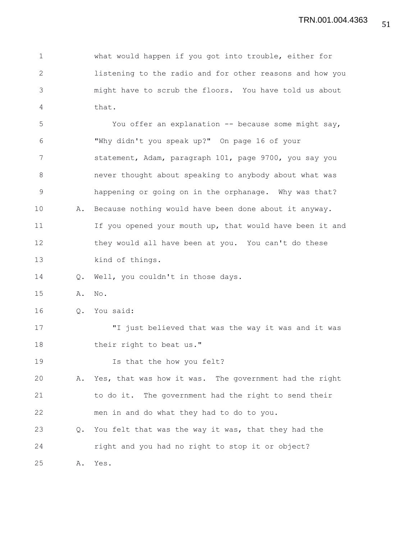1 what would happen if you got into trouble, either for 2 listening to the radio and for other reasons and how you 3 might have to scrub the floors. You have told us about 4 that.

5 You offer an explanation -- because some might say, 6 "Why didn't you speak up?" On page 16 of your 7 statement, Adam, paragraph 101, page 9700, you say you 8 never thought about speaking to anybody about what was 9 happening or going on in the orphanage. Why was that? 10 A. Because nothing would have been done about it anyway. 11 If you opened your mouth up, that would have been it and 12 they would all have been at you. You can't do these 13 kind of things. 14 Q. Well, you couldn't in those days. 15 A. No. 16 Q. You said: 17 "I just believed that was the way it was and it was

- 18 their right to beat us."
- 19 Is that the how you felt?

20 A. Yes, that was how it was. The government had the right 21 to do it. The government had the right to send their 22 men in and do what they had to do to you.

23 Q. You felt that was the way it was, that they had the 24 right and you had no right to stop it or object?

25 A. Yes.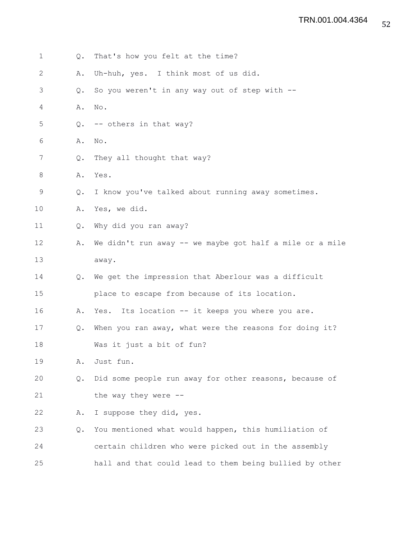1 Q. That's how you felt at the time? 2 A. Uh-huh, yes. I think most of us did. 3 Q. So you weren't in any way out of step with -- 4 A. No. 5 Q. -- others in that way? 6 A. No. 7 Q. They all thought that way? 8 A. Yes. 9 Q. I know you've talked about running away sometimes. 10 A. Yes, we did. 11 Q. Why did you ran away? 12 A. We didn't run away -- we maybe got half a mile or a mile 13 away. 14 Q. We get the impression that Aberlour was a difficult 15 place to escape from because of its location. 16 A. Yes. Its location -- it keeps you where you are. 17 Q. When you ran away, what were the reasons for doing it? 18 Was it just a bit of fun? 19 A. Just fun. 20 Q. Did some people run away for other reasons, because of 21 the way they were --22 A. I suppose they did, yes. 23 Q. You mentioned what would happen, this humiliation of 24 certain children who were picked out in the assembly 25 hall and that could lead to them being bullied by other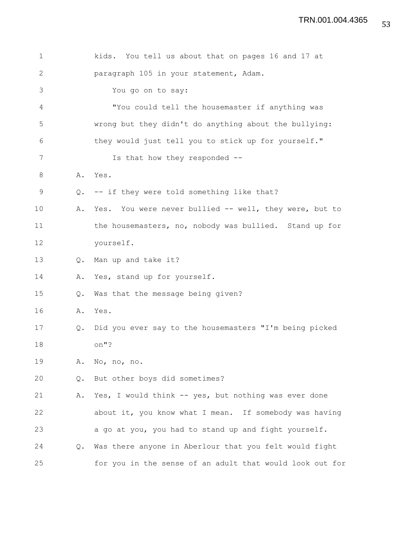| $\mathbf 1$ |               | kids. You tell us about that on pages 16 and 17 at       |
|-------------|---------------|----------------------------------------------------------|
| 2           |               | paragraph 105 in your statement, Adam.                   |
| 3           |               | You go on to say:                                        |
| 4           |               | "You could tell the housemaster if anything was          |
| 5           |               | wrong but they didn't do anything about the bullying:    |
| 6           |               | they would just tell you to stick up for yourself."      |
| 7           |               | Is that how they responded --                            |
| 8           | Α.            | Yes.                                                     |
| 9           | Q.            | -- if they were told something like that?                |
| 10          | Α.            | Yes. You were never bullied -- well, they were, but to   |
| 11          |               | the housemasters, no, nobody was bullied. Stand up for   |
| 12          |               | yourself.                                                |
| 13          | $Q_{\bullet}$ | Man up and take it?                                      |
| 14          | Α.            | Yes, stand up for yourself.                              |
| 15          | Q.            | Was that the message being given?                        |
| 16          | Α.            | Yes.                                                     |
| 17          | Q.            | Did you ever say to the housemasters "I'm being picked   |
| 18          |               | on"?                                                     |
| 19          | Α.            | No, no, no.                                              |
| 20          | Q.            | But other boys did sometimes?                            |
| 21          | Α.            | Yes, I would think -- yes, but nothing was ever done     |
| 22          |               | about it, you know what I mean. If somebody was having   |
| 23          |               | a go at you, you had to stand up and fight yourself.     |
| 24          | Q.            | Was there anyone in Aberlour that you felt would fight   |
| 25          |               | for you in the sense of an adult that would look out for |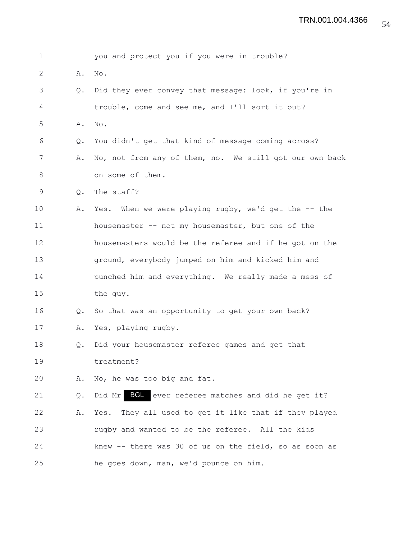| 1            |               | you and protect you if you were in trouble?              |
|--------------|---------------|----------------------------------------------------------|
| $\mathbf{2}$ | Α.            | No.                                                      |
| 3            | $Q_{\bullet}$ | Did they ever convey that message: look, if you're in    |
| 4            |               | trouble, come and see me, and I'll sort it out?          |
| 5            | Α.            | $\mathrm{No}$ .                                          |
| 6            | $Q_{\bullet}$ | You didn't get that kind of message coming across?       |
| 7            | Α.            | No, not from any of them, no. We still got our own back  |
| 8            |               | on some of them.                                         |
| 9            | Q.            | The staff?                                               |
| 10           | Α.            | Yes. When we were playing rugby, we'd get the -- the     |
| 11           |               | housemaster -- not my housemaster, but one of the        |
| 12           |               | housemasters would be the referee and if he got on the   |
| 13           |               | ground, everybody jumped on him and kicked him and       |
| 14           |               | punched him and everything. We really made a mess of     |
| 15           |               | the guy.                                                 |
| 16           | Q.            | So that was an opportunity to get your own back?         |
| 17           | Α.            | Yes, playing rugby.                                      |
| 18           | Q.            | Did your housemaster referee games and get that          |
| 19           |               | treatment?                                               |
| 20           | Α.            | No, he was too big and fat.                              |
| 21           | Q.            | Did Mr BGL ever referee matches and did he get it?       |
| 22           | Α.            | They all used to get it like that if they played<br>Yes. |
| 23           |               | rugby and wanted to be the referee. All the kids         |
| 24           |               | knew -- there was 30 of us on the field, so as soon as   |
| 25           |               | he goes down, man, we'd pounce on him.                   |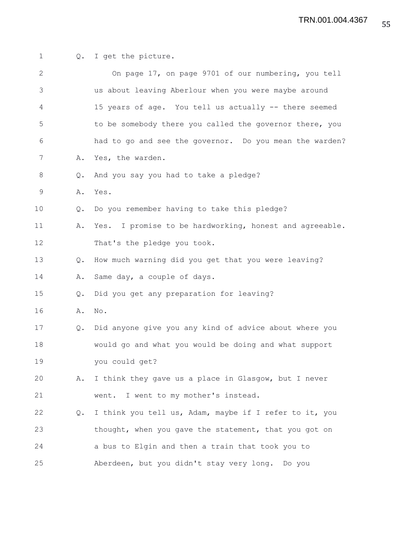| 1            |               | Q. I get the picture.                                   |
|--------------|---------------|---------------------------------------------------------|
| $\mathbf{2}$ |               | On page 17, on page 9701 of our numbering, you tell     |
| 3            |               | us about leaving Aberlour when you were maybe around    |
| 4            |               | 15 years of age. You tell us actually -- there seemed   |
| 5            |               | to be somebody there you called the governor there, you |
| 6            |               | had to go and see the governor. Do you mean the warden? |
| 7            | Α.            | Yes, the warden.                                        |
| 8            | Q.            | And you say you had to take a pledge?                   |
| 9            | Α.            | Yes.                                                    |
| 10           | $Q_{\bullet}$ | Do you remember having to take this pledge?             |
| 11           | Α.            | Yes. I promise to be hardworking, honest and agreeable. |
| 12           |               | That's the pledge you took.                             |
| 13           | Q.            | How much warning did you get that you were leaving?     |
| 14           | Α.            | Same day, a couple of days.                             |
| 15           | Q.            | Did you get any preparation for leaving?                |
| 16           | Α.            | No.                                                     |
| 17           | Q.            | Did anyone give you any kind of advice about where you  |
| 18           |               | would go and what you would be doing and what support   |
| 19           |               | you could get?                                          |
| 20           | Α.            | I think they gave us a place in Glasgow, but I never    |
| 21           |               | I went to my mother's instead.<br>went.                 |
| 22           | Q.            | I think you tell us, Adam, maybe if I refer to it, you  |
| 23           |               | thought, when you gave the statement, that you got on   |
| 24           |               | a bus to Elgin and then a train that took you to        |
| 25           |               | Aberdeen, but you didn't stay very long. Do you         |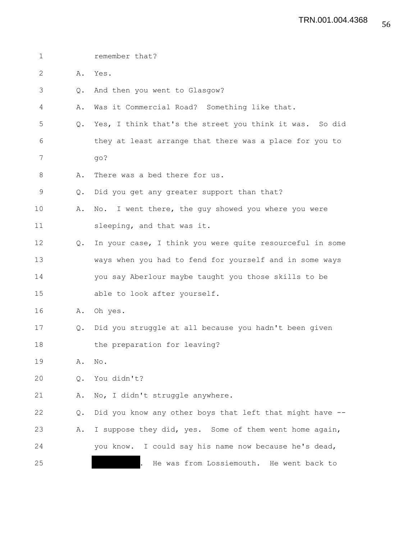| $\mathbf 1$  |               | remember that?                                           |
|--------------|---------------|----------------------------------------------------------|
| $\mathbf{2}$ | Α.            | Yes.                                                     |
| 3            | Q.            | And then you went to Glasgow?                            |
| 4            | Α.            | Was it Commercial Road? Something like that.             |
| 5            | $Q_{\bullet}$ | Yes, I think that's the street you think it was. So did  |
| 6            |               | they at least arrange that there was a place for you to  |
| 7            |               | go?                                                      |
| 8            | Α.            | There was a bed there for us.                            |
| $\mathsf 9$  | Q.            | Did you get any greater support than that?               |
| 10           | Α.            | No. I went there, the guy showed you where you were      |
| 11           |               | sleeping, and that was it.                               |
| 12           | Q.            | In your case, I think you were quite resourceful in some |
| 13           |               | ways when you had to fend for yourself and in some ways  |
| 14           |               | you say Aberlour maybe taught you those skills to be     |
| 15           |               | able to look after yourself.                             |
| 16           | Α.            | Oh yes.                                                  |
| 17           | $Q_{\bullet}$ | Did you struggle at all because you hadn't been given    |
| 18           |               | the preparation for leaving?                             |
| 19           | Α.            | No.                                                      |
| 20           | Q.            | You didn't?                                              |
| 21           | Α.            | No, I didn't struggle anywhere.                          |
| 22           | Q.            | Did you know any other boys that left that might have -- |
| 23           | Α.            | I suppose they did, yes. Some of them went home again,   |
| 24           |               | I could say his name now because he's dead,<br>you know. |
| 25           |               | He was from Lossiemouth. He went back to                 |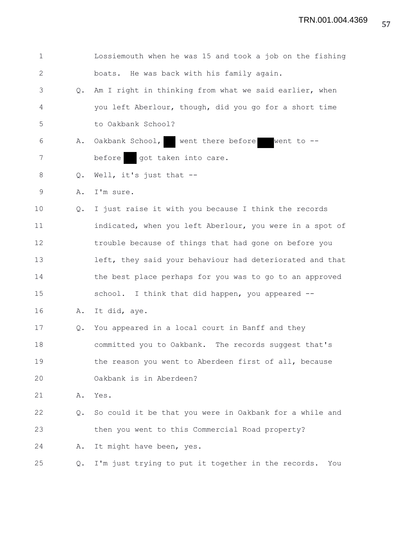| $\mathbf 1$  |               | Lossiemouth when he was 15 and took a job on the fishing  |
|--------------|---------------|-----------------------------------------------------------|
| $\mathbf{2}$ |               | boats. He was back with his family again.                 |
| 3            | Q.            | Am I right in thinking from what we said earlier, when    |
| 4            |               | you left Aberlour, though, did you go for a short time    |
| 5            |               | to Oakbank School?                                        |
| 6            | Α.            | Oakbank School, went there before went to --              |
| 7            |               | before got taken into care.                               |
| 8            | Q.            | Well, it's just that --                                   |
| $\mathsf 9$  | Α.            | I'm sure.                                                 |
| 10           | $Q_{\bullet}$ | I just raise it with you because I think the records      |
| 11           |               | indicated, when you left Aberlour, you were in a spot of  |
| 12           |               | trouble because of things that had gone on before you     |
| 13           |               | left, they said your behaviour had deteriorated and that  |
| 14           |               | the best place perhaps for you was to go to an approved   |
| 15           |               | school. I think that did happen, you appeared --          |
| 16           | Α.            | It did, aye.                                              |
| 17           | Q.            | You appeared in a local court in Banff and they           |
| 18           |               | committed you to Oakbank. The records suggest that's      |
| 19           |               | the reason you went to Aberdeen first of all, because     |
| 20           |               | Oakbank is in Aberdeen?                                   |
| 21           | Α.            | Yes.                                                      |
| 22           | Q.            | So could it be that you were in Oakbank for a while and   |
| 23           |               | then you went to this Commercial Road property?           |
| 24           | Α.            | It might have been, yes.                                  |
| 25           | Q.            | I'm just trying to put it together in the records.<br>You |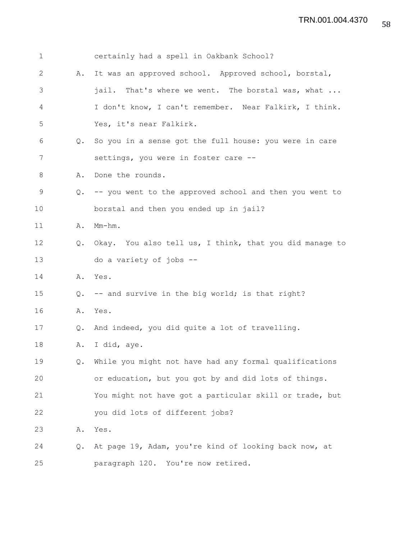| $\mathbf 1$ |               | certainly had a spell in Oakbank School?                |
|-------------|---------------|---------------------------------------------------------|
| 2           | Α.            | It was an approved school. Approved school, borstal,    |
| 3           |               | jail. That's where we went. The borstal was, what       |
| 4           |               | I don't know, I can't remember. Near Falkirk, I think.  |
| 5           |               | Yes, it's near Falkirk.                                 |
| 6           | $Q_{\bullet}$ | So you in a sense got the full house: you were in care  |
| 7           |               | settings, you were in foster care --                    |
| 8           | Α.            | Done the rounds.                                        |
| 9           | $Q_{\bullet}$ | -- you went to the approved school and then you went to |
| 10          |               | borstal and then you ended up in jail?                  |
| 11          | Α.            | $Mm-hm$ .                                               |
| 12          | $Q_{\bullet}$ | Okay. You also tell us, I think, that you did manage to |
| 13          |               | do a variety of jobs --                                 |
| 14          | Α.            | Yes.                                                    |
| 15          | Q.            | -- and survive in the big world; is that right?         |
| 16          | Α.            | Yes.                                                    |
| 17          | $Q_{\bullet}$ | And indeed, you did quite a lot of travelling.          |
| 18          | Α.            | I did, aye.                                             |
| 19          | Q.            | While you might not have had any formal qualifications  |
| 20          |               | or education, but you got by and did lots of things.    |
| 21          |               | You might not have got a particular skill or trade, but |
| 22          |               | you did lots of different jobs?                         |
| 23          | Α.            | Yes.                                                    |
| 24          | Q.            | At page 19, Adam, you're kind of looking back now, at   |
| 25          |               | paragraph 120. You're now retired.                      |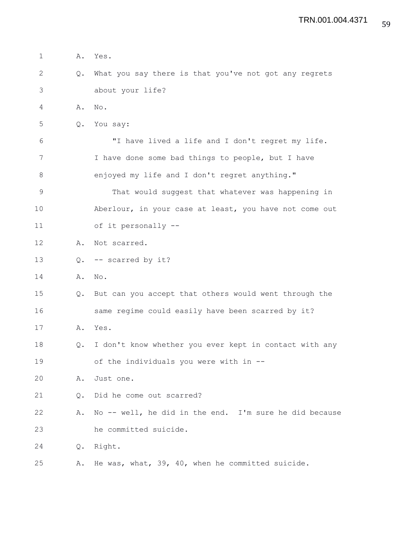1 A. Yes. 2 Q. What you say there is that you've not got any regrets 3 about your life? 4 A. No. 5 Q. You say: 6 "I have lived a life and I don't regret my life. 7 I have done some bad things to people, but I have 8 enjoyed my life and I don't regret anything." 9 That would suggest that whatever was happening in 10 Aberlour, in your case at least, you have not come out 11 of it personally -- 12 A. Not scarred. 13 Q. -- scarred by it? 14 A. No. 15 Q. But can you accept that others would went through the 16 same regime could easily have been scarred by it? 17 A. Yes. 18 Q. I don't know whether you ever kept in contact with any 19 of the individuals you were with in -- 20 A. Just one. 21 0. Did he come out scarred? 22 A. No -- well, he did in the end. I'm sure he did because 23 he committed suicide. 24 Q. Right. 25 A. He was, what, 39, 40, when he committed suicide.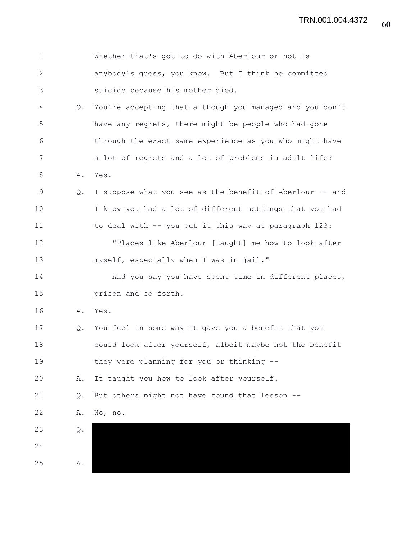| $\mathbf 1$ |               | Whether that's got to do with Aberlour or not is         |
|-------------|---------------|----------------------------------------------------------|
| $\sqrt{2}$  |               | anybody's quess, you know. But I think he committed      |
| 3           |               | suicide because his mother died.                         |
| 4           | Q.            | You're accepting that although you managed and you don't |
| 5           |               | have any regrets, there might be people who had gone     |
| 6           |               | through the exact same experience as you who might have  |
| 7           |               | a lot of regrets and a lot of problems in adult life?    |
| $\,8\,$     | Α.            | Yes.                                                     |
| $\mathsf 9$ | Q.            | I suppose what you see as the benefit of Aberlour -- and |
| 10          |               | I know you had a lot of different settings that you had  |
| 11          |               | to deal with -- you put it this way at paragraph 123:    |
| 12          |               | "Places like Aberlour [taught] me how to look after      |
| 13          |               | myself, especially when I was in jail."                  |
| 14          |               | And you say you have spent time in different places,     |
| 15          |               | prison and so forth.                                     |
| 16          | Α.            | Yes.                                                     |
| 17          | Q.            | You feel in some way it gave you a benefit that you      |
| 18          |               | could look after yourself, albeit maybe not the benefit  |
| 19          |               | they were planning for you or thinking --                |
| 20          | Α.            | It taught you how to look after yourself.                |
| 21          | Q.            | But others might not have found that lesson --           |
| 22          | Α.            | No, no.                                                  |
| 23          | $\mathbb Q$ . |                                                          |
| 24          |               |                                                          |
| 25          | Α.            |                                                          |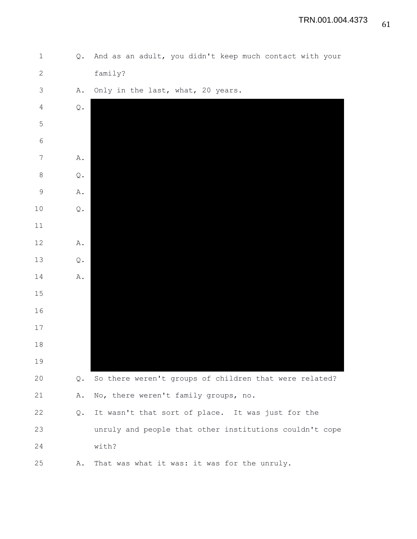1 Q. And as an adult, you didn't keep much contact with your 2 family? 3 A. Only in the last, what, 20 years. 4 Q. 5 6 7 A. 8 Q. 9 A. 10 Q. 11 12 A. 13 Q. 14 A. 15 16 17 18 19 20 Q. So there weren't groups of children that were related? 21 A. No, there weren't family groups, no. 22 Q. It wasn't that sort of place. It was just for the 23 unruly and people that other institutions couldn't cope 24 with? 25 A. That was what it was: it was for the unruly.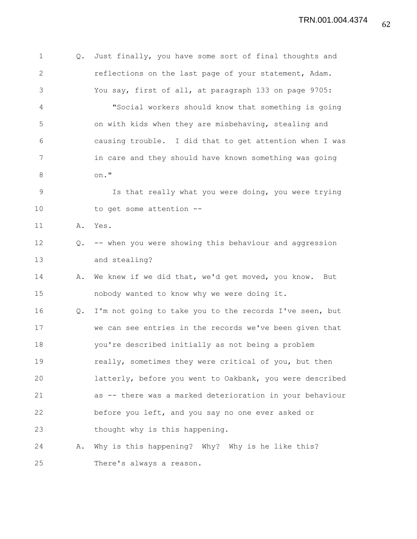1 Q. Just finally, you have some sort of final thoughts and 2 reflections on the last page of your statement, Adam. 3 You say, first of all, at paragraph 133 on page 9705: 4 "Social workers should know that something is going 5 on with kids when they are misbehaving, stealing and 6 causing trouble. I did that to get attention when I was 7 in care and they should have known something was going 8 on." 9 Is that really what you were doing, you were trying 10 to get some attention --11 A. Yes. 12 Q. -- when you were showing this behaviour and aggression 13 and stealing? 14 A. We knew if we did that, we'd get moved, you know. But 15 nobody wanted to know why we were doing it. 16 Q. I'm not going to take you to the records I've seen, but 17 we can see entries in the records we've been given that 18 you're described initially as not being a problem 19 **really, sometimes they were critical of you, but then** 20 latterly, before you went to Oakbank, you were described 21 as -- there was a marked deterioration in your behaviour 22 before you left, and you say no one ever asked or 23 thought why is this happening. 24 A. Why is this happening? Why? Why is he like this? 25 There's always a reason.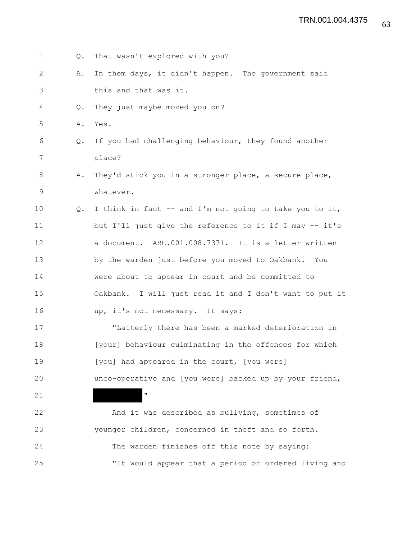1 Q. That wasn't explored with you? 2 A. In them days, it didn't happen. The government said 3 this and that was it. 4 Q. They just maybe moved you on? 5 A. Yes. 6 Q. If you had challenging behaviour, they found another 7 place? 8 A. They'd stick you in a stronger place, a secure place, 9 whatever. 10 Q. I think in fact -- and I'm not going to take you to it, 11 but I'll just give the reference to it if I may -- it's 12 a document. ABE.001.008.7371. It is a letter written 13 by the warden just before you moved to Oakbank. You 14 were about to appear in court and be committed to 15 Oakbank. I will just read it and I don't want to put it 16 up, it's not necessary. It says: 17 "Latterly there has been a marked deterioration in 18 [your] behaviour culminating in the offences for which 19 **In Line I** [you] had appeared in the court, [you were] 20 unco-operative and [you were] backed up by your friend, 21 " 22 And it was described as bullying, sometimes of 23 younger children, concerned in theft and so forth. 24 The warden finishes off this note by saying: 25 "It would appear that a period of ordered living and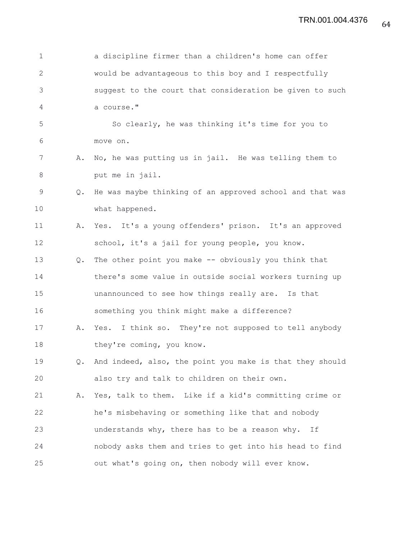| $\mathbf 1$  |    | a discipline firmer than a children's home can offer     |
|--------------|----|----------------------------------------------------------|
| $\mathbf{2}$ |    | would be advantageous to this boy and I respectfully     |
| 3            |    | suggest to the court that consideration be given to such |
| 4            |    | a course."                                               |
| 5            |    | So clearly, he was thinking it's time for you to         |
| 6            |    | move on.                                                 |
| 7            | Α. | No, he was putting us in jail. He was telling them to    |
| 8            |    | put me in jail.                                          |
| $\mathsf 9$  | Q. | He was maybe thinking of an approved school and that was |
| 10           |    | what happened.                                           |
| 11           | Α. | Yes. It's a young offenders' prison. It's an approved    |
| 12           |    | school, it's a jail for young people, you know.          |
| 13           | Q. | The other point you make -- obviously you think that     |
| 14           |    | there's some value in outside social workers turning up  |
| 15           |    | unannounced to see how things really are. Is that        |
| 16           |    | something you think might make a difference?             |
| 17           | Α. | Yes. I think so. They're not supposed to tell anybody    |
| 18           |    | they're coming, you know.                                |
| 19           | Q. | And indeed, also, the point you make is that they should |
| 20           |    | also try and talk to children on their own.              |
| 21           | Α. | Yes, talk to them. Like if a kid's committing crime or   |
| 22           |    | he's misbehaving or something like that and nobody       |
| 23           |    | understands why, there has to be a reason why.<br>Ιf     |
| 24           |    | nobody asks them and tries to get into his head to find  |
| 25           |    | out what's going on, then nobody will ever know.         |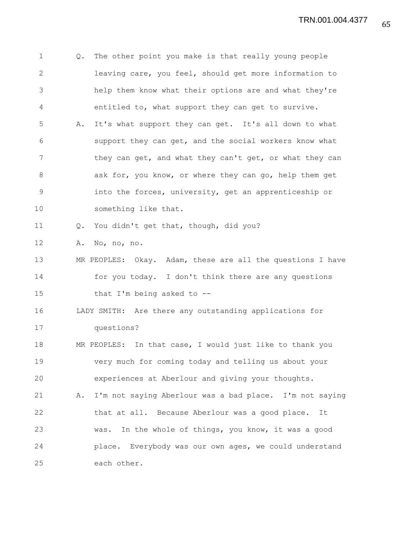1 Q. The other point you make is that really young people 2 leaving care, you feel, should get more information to 3 help them know what their options are and what they're 4 entitled to, what support they can get to survive. 5 A. It's what support they can get. It's all down to what 6 support they can get, and the social workers know what 7 they can get, and what they can't get, or what they can 8 ask for, you know, or where they can go, help them get 9 into the forces, university, get an apprenticeship or 10 something like that. 11 Q. You didn't get that, though, did you? 12 A. No, no, no. 13 MR PEOPLES: Okay. Adam, these are all the questions I have 14 for you today. I don't think there are any questions 15 that I'm being asked to -- 16 LADY SMITH: Are there any outstanding applications for 17 questions? 18 MR PEOPLES: In that case, I would just like to thank you 19 very much for coming today and telling us about your 20 experiences at Aberlour and giving your thoughts. 21 A. I'm not saying Aberlour was a bad place. I'm not saying 22 that at all. Because Aberlour was a good place. It 23 was. In the whole of things, you know, it was a good 24 place. Everybody was our own ages, we could understand 25 each other.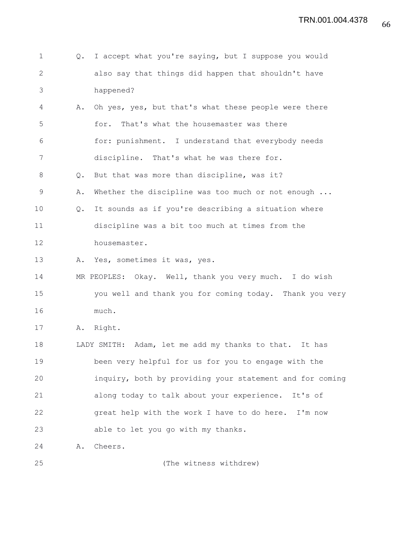| $\mathbf 1$  | $Q_{\bullet}$ | I accept what you're saying, but I suppose you would     |
|--------------|---------------|----------------------------------------------------------|
| $\mathbf{2}$ |               | also say that things did happen that shouldn't have      |
| 3            |               | happened?                                                |
| 4            | Α.            | Oh yes, yes, but that's what these people were there     |
| 5            |               | That's what the housemaster was there<br>for.            |
| 6            |               | for: punishment. I understand that everybody needs       |
| 7            |               | discipline. That's what he was there for.                |
| 8            | Q.            | But that was more than discipline, was it?               |
| $\mathsf 9$  | Α.            | Whether the discipline was too much or not enough        |
| 10           | Q.            | It sounds as if you're describing a situation where      |
| 11           |               | discipline was a bit too much at times from the          |
| 12           |               | housemaster.                                             |
| 13           | Α.            | Yes, sometimes it was, yes.                              |
| 14           |               | MR PEOPLES: Okay. Well, thank you very much. I do wish   |
| 15           |               | you well and thank you for coming today. Thank you very  |
| 16           |               | much.                                                    |
| 17           | Α.            | Right.                                                   |
| 18           |               | LADY SMITH: Adam, let me add my thanks to that. It has   |
| 19           |               | been very helpful for us for you to engage with the      |
| 20           |               | inquiry, both by providing your statement and for coming |
| 21           |               | along today to talk about your experience.<br>It's of    |
| 22           |               | great help with the work I have to do here. I'm now      |
| 23           |               | able to let you go with my thanks.                       |
| 24           | Α.            | Cheers.                                                  |
| 25           |               | (The witness withdrew)                                   |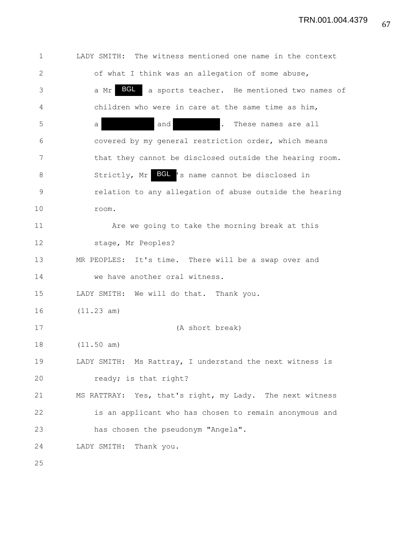TRN.001.004.4379

1 LADY SMITH: The witness mentioned one name in the context 2 of what I think was an allegation of some abuse, 3 a Mr BGL a sports teacher. He mentioned two names of 4 children who were in care at the same time as him, 5 a and . These names are all 6 covered by my general restriction order, which means 7 that they cannot be disclosed outside the hearing room. 8 Strictly, Mr BGL 's name cannot be disclosed in 9 relation to any allegation of abuse outside the hearing 10 room. 11 Are we going to take the morning break at this 12 stage, Mr Peoples? 13 MR PEOPLES: It's time. There will be a swap over and 14 we have another oral witness. 15 LADY SMITH: We will do that. Thank you. 16 (11.23 am) 17 (A short break) 18 (11.50 am) 19 LADY SMITH: Ms Rattray, I understand the next witness is 20 ready; is that right? 21 MS RATTRAY: Yes, that's right, my Lady. The next witness 22 is an applicant who has chosen to remain anonymous and 23 has chosen the pseudonym "Angela". 24 LADY SMITH: Thank you. 25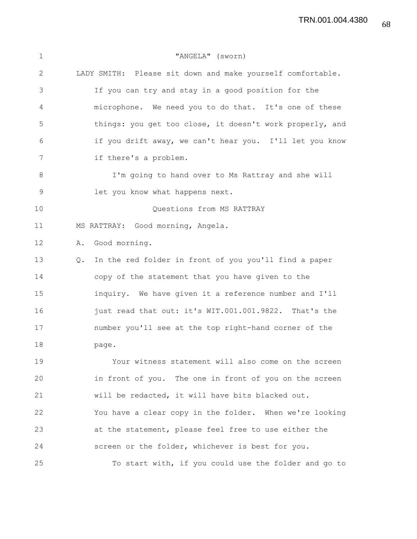TRN.001.004.4380

| $\mathbf 1$ | "ANGELA" (sworn)                                            |
|-------------|-------------------------------------------------------------|
| 2           | LADY SMITH: Please sit down and make yourself comfortable.  |
| 3           | If you can try and stay in a good position for the          |
| 4           | microphone. We need you to do that. It's one of these       |
| 5           | things: you get too close, it doesn't work properly, and    |
| 6           | if you drift away, we can't hear you. I'll let you know     |
| 7           | if there's a problem.                                       |
| 8           | I'm going to hand over to Ms Rattray and she will           |
| $\mathsf 9$ | let you know what happens next.                             |
| 10          | Questions from MS RATTRAY                                   |
| 11          | MS RATTRAY: Good morning, Angela.                           |
| 12          | A. Good morning.                                            |
| 13          | In the red folder in front of you you'll find a paper<br>Q. |
| 14          | copy of the statement that you have given to the            |
| 15          | inquiry. We have given it a reference number and I'll       |
| 16          | just read that out: it's WIT.001.001.9822. That's the       |
| 17          | number you'll see at the top right-hand corner of the       |
| 18          | page.                                                       |
| 19          | Your witness statement will also come on the screen         |
| 20          | in front of you. The one in front of you on the screen      |
| 21          | will be redacted, it will have bits blacked out.            |
| 22          | You have a clear copy in the folder. When we're looking     |
| 23          | at the statement, please feel free to use either the        |
| 24          | screen or the folder, whichever is best for you.            |
| 25          | To start with, if you could use the folder and go to        |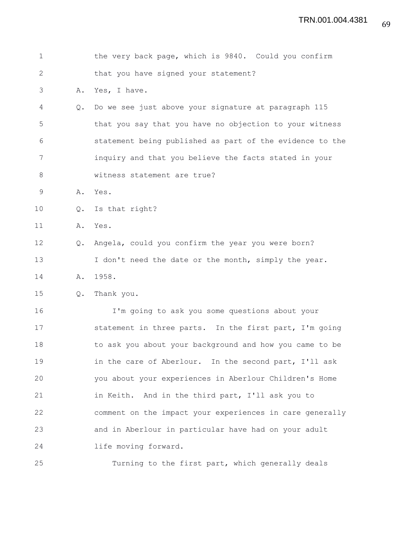| $\mathbf 1$    |               | the very back page, which is 9840. Could you confirm     |
|----------------|---------------|----------------------------------------------------------|
| $\mathbf{2}$   |               | that you have signed your statement?                     |
| 3              | Α.            | Yes, I have.                                             |
| $\overline{4}$ | $Q_{\bullet}$ | Do we see just above your signature at paragraph 115     |
| 5              |               | that you say that you have no objection to your witness  |
| 6              |               | statement being published as part of the evidence to the |
| 7              |               | inquiry and that you believe the facts stated in your    |
| 8              |               | witness statement are true?                              |
| 9              | Α.            | Yes.                                                     |
| 10             | Q.            | Is that right?                                           |
| 11             | Α.            | Yes.                                                     |
| 12             | $Q_{\bullet}$ | Angela, could you confirm the year you were born?        |
| 13             |               | I don't need the date or the month, simply the year.     |
| 14             | Α.            | 1958.                                                    |
| 15             | Q.            | Thank you.                                               |
| 16             |               | I'm going to ask you some questions about your           |
| 17             |               | statement in three parts. In the first part, I'm going   |
| 18             |               | to ask you about your background and how you came to be  |
| 19             |               | in the care of Aberlour. In the second part, I'll ask    |
| 20             |               | you about your experiences in Aberlour Children's Home   |
| 21             |               | in Keith. And in the third part, I'll ask you to         |
| 22             |               | comment on the impact your experiences in care generally |
| 23             |               | and in Aberlour in particular have had on your adult     |
| 24             |               | life moving forward.                                     |
| 25             |               | Turning to the first part, which generally deals         |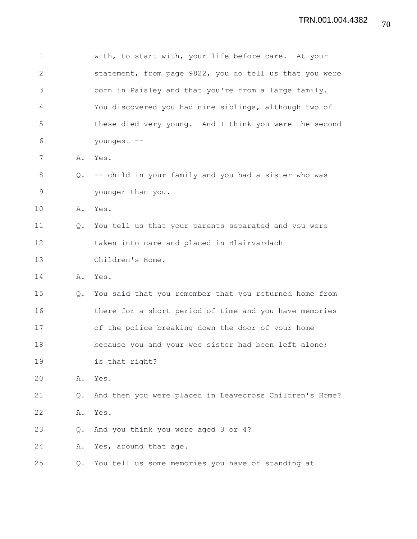1 with, to start with, your life before care. At your 2 statement, from page 9822, you do tell us that you were 3 born in Paisley and that you're from a large family. 4 You discovered you had nine siblings, although two of 5 these died very young. And I think you were the second 6 youngest -- 7 A. Yes. 8 Q. -- child in your family and you had a sister who was 9 younger than you. 10 A. Yes. 11 Q. You tell us that your parents separated and you were 12 taken into care and placed in Blairvardach 13 Children's Home. 14 A. Yes. 15 Q. You said that you remember that you returned home from 16 there for a short period of time and you have memories 17 of the police breaking down the door of your home 18 because you and your wee sister had been left alone; 19 is that right? 20 A. Yes. 21 Q. And then you were placed in Leavecross Children's Home? 22 A. Yes. 23 Q. And you think you were aged 3 or 4? 24 A. Yes, around that age. 25 Q. You tell us some memories you have of standing at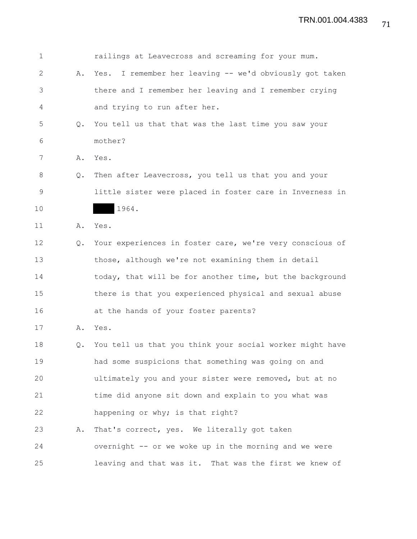| $\mathbf 1$  |               | railings at Leavecross and screaming for your mum.       |
|--------------|---------------|----------------------------------------------------------|
| $\mathbf{2}$ | Α.            | Yes. I remember her leaving -- we'd obviously got taken  |
| 3            |               | there and I remember her leaving and I remember crying   |
| 4            |               | and trying to run after her.                             |
| 5            | Q.            | You tell us that that was the last time you saw your     |
| 6            |               | mother?                                                  |
| 7            | Α.            | Yes.                                                     |
| 8            | Q.            | Then after Leavecross, you tell us that you and your     |
| 9            |               | little sister were placed in foster care in Inverness in |
| 10           |               | 1964.                                                    |
| 11           | Α.            | Yes.                                                     |
| 12           | $Q_{\bullet}$ | Your experiences in foster care, we're very conscious of |
| 13           |               | those, although we're not examining them in detail       |
| 14           |               | today, that will be for another time, but the background |
| 15           |               | there is that you experienced physical and sexual abuse  |
| 16           |               | at the hands of your foster parents?                     |
| 17           | Α.            | Yes.                                                     |
| 18           | Q.            | You tell us that you think your social worker might have |
| 19           |               | had some suspicions that something was going on and      |
| 20           |               | ultimately you and your sister were removed, but at no   |
| 21           |               | time did anyone sit down and explain to you what was     |
| 22           |               | happening or why; is that right?                         |
| 23           | Α.            | That's correct, yes. We literally got taken              |
| 24           |               | overnight -- or we woke up in the morning and we were    |
| 25           |               | leaving and that was it. That was the first we knew of   |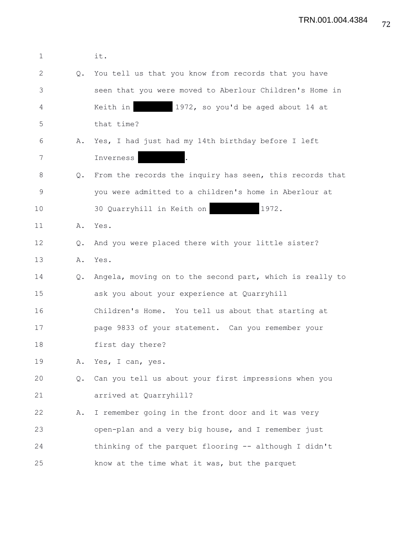| $\mathbf 1$ |               | it.                                                      |
|-------------|---------------|----------------------------------------------------------|
| 2           | Q.            | You tell us that you know from records that you have     |
| 3           |               | seen that you were moved to Aberlour Children's Home in  |
| 4           |               | Keith in<br>1972, so you'd be aged about 14 at           |
| 5           |               | that time?                                               |
| 6           | Α.            | Yes, I had just had my 14th birthday before I left       |
| 7           |               | Inverness                                                |
| 8           | $Q_{\bullet}$ | From the records the inquiry has seen, this records that |
| 9           |               | you were admitted to a children's home in Aberlour at    |
| 10          |               | 1972.<br>30 Quarryhill in Keith on                       |
| 11          |               | A. Yes.                                                  |
| 12          | $Q_{\bullet}$ | And you were placed there with your little sister?       |
| 13          | Α.            | Yes.                                                     |
| 14          | Q.            | Angela, moving on to the second part, which is really to |
| 15          |               | ask you about your experience at Quarryhill              |
| 16          |               | Children's Home. You tell us about that starting at      |
| 17          |               | page 9833 of your statement. Can you remember your       |
| 18          |               | first day there?                                         |
| 19          | Α.            | Yes, I can, yes.                                         |
| 20          | Q.            | Can you tell us about your first impressions when you    |
| 21          |               | arrived at Quarryhill?                                   |
| 22          | Α.            | I remember going in the front door and it was very       |
| 23          |               | open-plan and a very big house, and I remember just      |
| 24          |               | thinking of the parquet flooring -- although I didn't    |
| 25          |               | know at the time what it was, but the parquet            |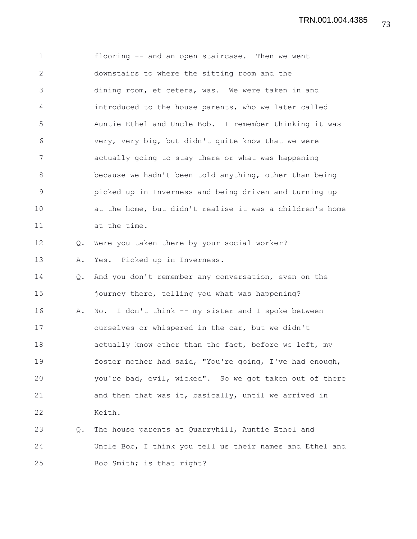1 flooring -- and an open staircase. Then we went 2 downstairs to where the sitting room and the 3 dining room, et cetera, was. We were taken in and 4 introduced to the house parents, who we later called 5 Auntie Ethel and Uncle Bob. I remember thinking it was 6 very, very big, but didn't quite know that we were 7 actually going to stay there or what was happening 8 because we hadn't been told anything, other than being 9 picked up in Inverness and being driven and turning up 10 at the home, but didn't realise it was a children's home 11 at the time. 12 Q. Were you taken there by your social worker? 13 A. Yes. Picked up in Inverness. 14 Q. And you don't remember any conversation, even on the 15 journey there, telling you what was happening? 16 A. No. I don't think -- my sister and I spoke between 17 ourselves or whispered in the car, but we didn't 18 **actually know other than the fact, before we left, my** 19 foster mother had said, "You're going, I've had enough, 20 you're bad, evil, wicked". So we got taken out of there 21 and then that was it, basically, until we arrived in 22 Keith. 23 Q. The house parents at Quarryhill, Auntie Ethel and 24 Uncle Bob, I think you tell us their names and Ethel and

25 Bob Smith; is that right?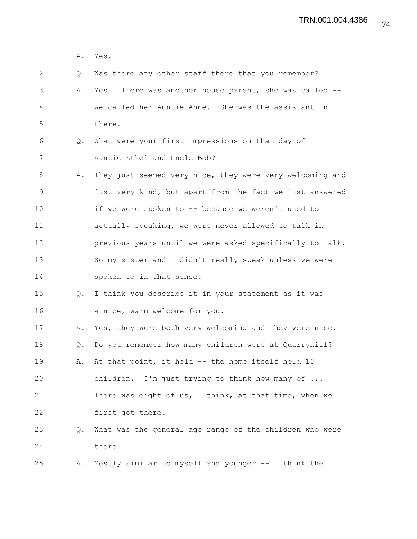1 A. Yes. 2 Q. Was there any other staff there that you remember? 3 A. Yes. There was another house parent, she was called -- 4 we called her Auntie Anne. She was the assistant in 5 there. 6 Q. What were your first impressions on that day of 7 Auntie Ethel and Uncle Bob? 8 A. They just seemed very nice, they were very welcoming and 9 just very kind, but apart from the fact we just answered 10 if we were spoken to -- because we weren't used to 11 actually speaking, we were never allowed to talk in 12 previous years until we were asked specifically to talk. 13 So my sister and I didn't really speak unless we were 14 spoken to in that sense. 15 Q. I think you describe it in your statement as it was 16 a nice, warm welcome for you. 17 A. Yes, they were both very welcoming and they were nice. 18 Q. Do you remember how many children were at Quarryhill? 19 A. At that point, it held -- the home itself held 10 20 children. I'm just trying to think how many of ... 21 There was eight of us, I think, at that time, when we 22 first got there. 23 Q. What was the general age range of the children who were 24 there? 25 A. Mostly similar to myself and younger -- I think the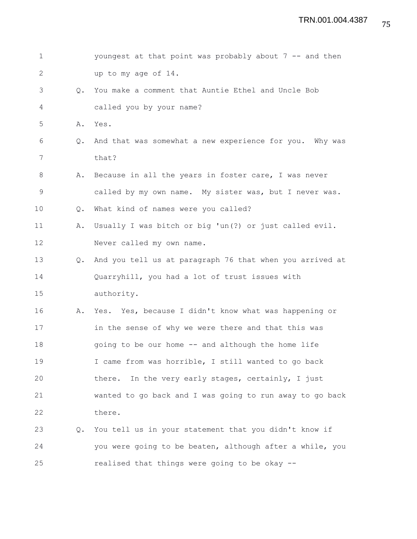| $\mathbf{1}$ |               | youngest at that point was probably about 7 -- and then  |
|--------------|---------------|----------------------------------------------------------|
| $\mathbf{2}$ |               | up to my age of 14.                                      |
| 3            | $\circ$ .     | You make a comment that Auntie Ethel and Uncle Bob       |
| 4            |               | called you by your name?                                 |
| 5            |               | A. Yes.                                                  |
| 6            | Q.            | And that was somewhat a new experience for you. Why was  |
| 7            |               | that?                                                    |
| 8            | Α.            | Because in all the years in foster care, I was never     |
| 9            |               | called by my own name. My sister was, but I never was.   |
| 10           | $Q_{\bullet}$ | What kind of names were you called?                      |
| 11           | Α.            | Usually I was bitch or big 'un(?) or just called evil.   |
| 12           |               | Never called my own name.                                |
| 13           | $Q_{\bullet}$ | And you tell us at paragraph 76 that when you arrived at |
| 14           |               | Quarryhill, you had a lot of trust issues with           |
| 15           |               | authority.                                               |
| 16           | Α.            | Yes. Yes, because I didn't know what was happening or    |
| 17           |               | in the sense of why we were there and that this was      |
| 18           |               | going to be our home -- and although the home life       |
| 19           |               | I came from was horrible, I still wanted to go back      |
| 20           |               | In the very early stages, certainly, I just<br>there.    |
| 21           |               | wanted to go back and I was going to run away to go back |
| 22           |               | there.                                                   |
| 23           | Q.            | You tell us in your statement that you didn't know if    |
| 24           |               | you were going to be beaten, although after a while, you |
| 25           |               | realised that things were going to be okay --            |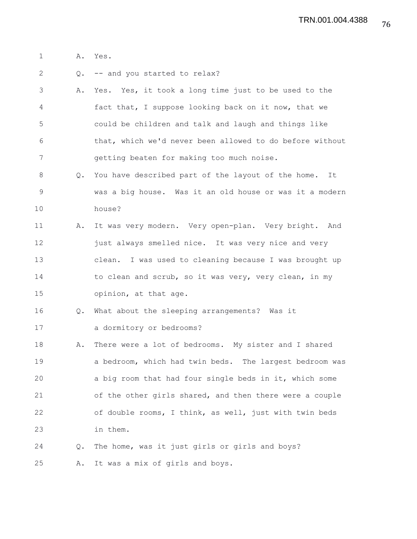1 A. Yes.

2 Q. -- and you started to relax?

- 3 A. Yes. Yes, it took a long time just to be used to the 4 fact that, I suppose looking back on it now, that we 5 could be children and talk and laugh and things like 6 that, which we'd never been allowed to do before without 7 getting beaten for making too much noise.
- 8 Q. You have described part of the layout of the home. It 9 was a big house. Was it an old house or was it a modern 10 house?
- 11 A. It was very modern. Very open-plan. Very bright. And 12 just always smelled nice. It was very nice and very 13 clean. I was used to cleaning because I was brought up 14 to clean and scrub, so it was very, very clean, in my 15 opinion, at that age.
- 16 Q. What about the sleeping arrangements? Was it 17 a dormitory or bedrooms?
- 18 A. There were a lot of bedrooms. My sister and I shared 19 a bedroom, which had twin beds. The largest bedroom was 20 a big room that had four single beds in it, which some 21 of the other girls shared, and then there were a couple 22 of double rooms, I think, as well, just with twin beds 23 in them.
- 24 Q. The home, was it just girls or girls and boys? 25 A. It was a mix of girls and boys.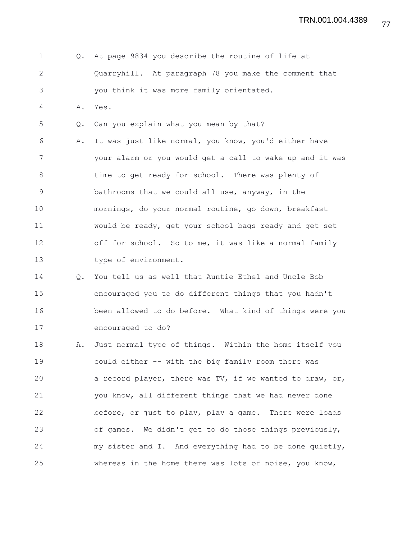1 Q. At page 9834 you describe the routine of life at 2 Quarryhill. At paragraph 78 you make the comment that 3 you think it was more family orientated. 4 A. Yes. 5 Q. Can you explain what you mean by that? 6 A. It was just like normal, you know, you'd either have 7 your alarm or you would get a call to wake up and it was 8 time to get ready for school. There was plenty of 9 bathrooms that we could all use, anyway, in the 10 mornings, do your normal routine, go down, breakfast 11 would be ready, get your school bags ready and get set 12 off for school. So to me, it was like a normal family 13 type of environment. 14 Q. You tell us as well that Auntie Ethel and Uncle Bob 15 encouraged you to do different things that you hadn't 16 been allowed to do before. What kind of things were you 17 encouraged to do? 18 A. Just normal type of things. Within the home itself you 19 could either -- with the big family room there was 20 a record player, there was TV, if we wanted to draw, or, 21 you know, all different things that we had never done 22 before, or just to play, play a game. There were loads 23 of games. We didn't get to do those things previously, 24 my sister and I. And everything had to be done quietly, 25 whereas in the home there was lots of noise, you know,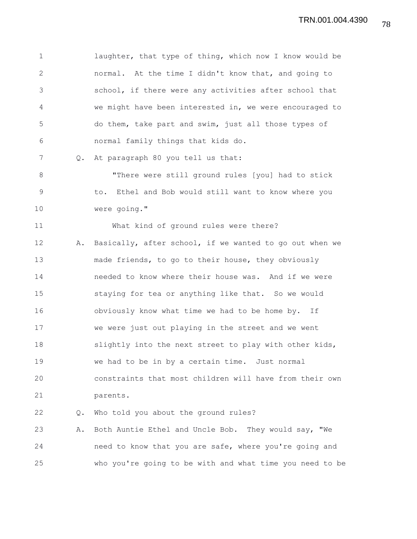1 laughter, that type of thing, which now I know would be 2 normal. At the time I didn't know that, and going to 3 school, if there were any activities after school that 4 we might have been interested in, we were encouraged to 5 do them, take part and swim, just all those types of 6 normal family things that kids do.

7 Q. At paragraph 80 you tell us that:

8 "There were still ground rules [you] had to stick 9 to. Ethel and Bob would still want to know where you 10 were going."

11 What kind of ground rules were there?

12 A. Basically, after school, if we wanted to go out when we 13 made friends, to go to their house, they obviously 14 needed to know where their house was. And if we were 15 staying for tea or anything like that. So we would 16 obviously know what time we had to be home by. If 17 we were just out playing in the street and we went 18 slightly into the next street to play with other kids, 19 we had to be in by a certain time. Just normal 20 constraints that most children will have from their own 21 parents.

22 Q. Who told you about the ground rules?

23 A. Both Auntie Ethel and Uncle Bob. They would say, "We 24 need to know that you are safe, where you're going and 25 who you're going to be with and what time you need to be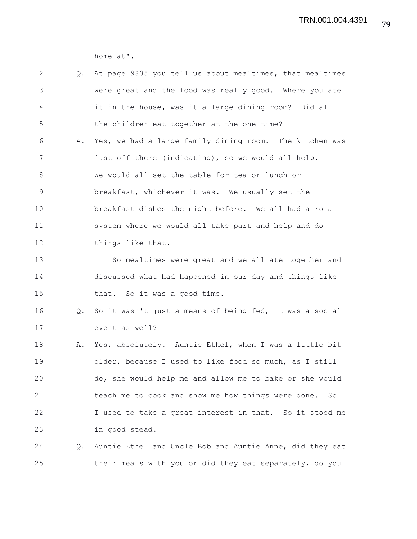1 home at".

2 Q. At page 9835 you tell us about mealtimes, that mealtimes 3 were great and the food was really good. Where you ate 4 it in the house, was it a large dining room? Did all 5 the children eat together at the one time? 6 A. Yes, we had a large family dining room. The kitchen was 7 just off there (indicating), so we would all help. 8 We would all set the table for tea or lunch or 9 breakfast, whichever it was. We usually set the 10 breakfast dishes the night before. We all had a rota 11 system where we would all take part and help and do 12 things like that. 13 So mealtimes were great and we all ate together and 14 discussed what had happened in our day and things like 15 that. So it was a good time. 16 Q. So it wasn't just a means of being fed, it was a social 17 event as well? 18 A. Yes, absolutely. Auntie Ethel, when I was a little bit 19 older, because I used to like food so much, as I still 20 do, she would help me and allow me to bake or she would 21 teach me to cook and show me how things were done. So 22 I used to take a great interest in that. So it stood me 23 in good stead. 24 Q. Auntie Ethel and Uncle Bob and Auntie Anne, did they eat 25 their meals with you or did they eat separately, do you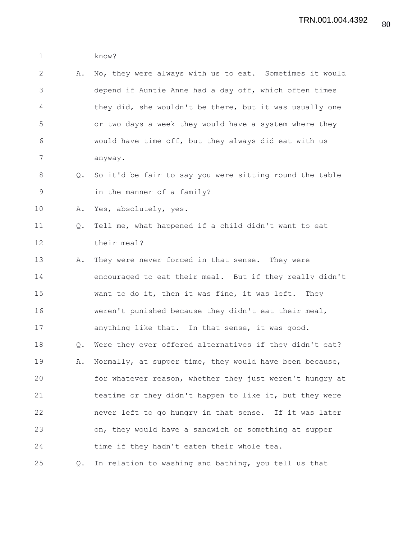1 know?

| 2              |    | A. No, they were always with us to eat. Sometimes it would |
|----------------|----|------------------------------------------------------------|
| 3              |    | depend if Auntie Anne had a day off, which often times     |
| $\overline{4}$ |    | they did, she wouldn't be there, but it was usually one    |
| 5              |    | or two days a week they would have a system where they     |
| 6              |    | would have time off, but they always did eat with us       |
| 7              |    | anyway.                                                    |
| 8              |    | Q. So it'd be fair to say you were sitting round the table |
| 9              |    | in the manner of a family?                                 |
| 10             | Α. | Yes, absolutely, yes.                                      |

## 11 Q. Tell me, what happened if a child didn't want to eat 12 their meal?

13 A. They were never forced in that sense. They were 14 encouraged to eat their meal. But if they really didn't 15 want to do it, then it was fine, it was left. They 16 weren't punished because they didn't eat their meal, 17 anything like that. In that sense, it was good. 18 Q. Were they ever offered alternatives if they didn't eat? 19 A. Normally, at supper time, they would have been because, 20 for whatever reason, whether they just weren't hungry at 21 teatime or they didn't happen to like it, but they were 22 never left to go hungry in that sense. If it was later 23 on, they would have a sandwich or something at supper 24 time if they hadn't eaten their whole tea. 25 Q. In relation to washing and bathing, you tell us that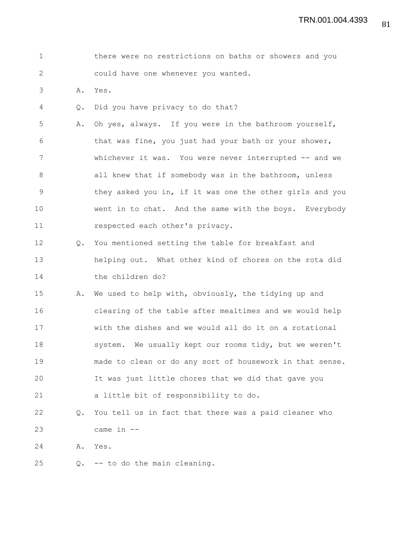|  |  | there were no restrictions on baths or showers and you |  |  |  |  |
|--|--|--------------------------------------------------------|--|--|--|--|
|  |  | could have one whenever you wanted.                    |  |  |  |  |

3 A. Yes.

4 Q. Did you have privacy to do that?

5 A. Oh yes, always. If you were in the bathroom yourself, 6 that was fine, you just had your bath or your shower, 7 whichever it was. You were never interrupted -- and we 8 all knew that if somebody was in the bathroom, unless 9 they asked you in, if it was one the other girls and you 10 went in to chat. And the same with the boys. Everybody 11 respected each other's privacy.

12 Q. You mentioned setting the table for breakfast and 13 helping out. What other kind of chores on the rota did 14 the children do?

15 A. We used to help with, obviously, the tidying up and 16 clearing of the table after mealtimes and we would help 17 with the dishes and we would all do it on a rotational 18 system. We usually kept our rooms tidy, but we weren't 19 made to clean or do any sort of housework in that sense. 20 It was just little chores that we did that gave you 21 a little bit of responsibility to do.

22 Q. You tell us in fact that there was a paid cleaner who 23 came in --

24 A. Yes.

25 Q. -- to do the main cleaning.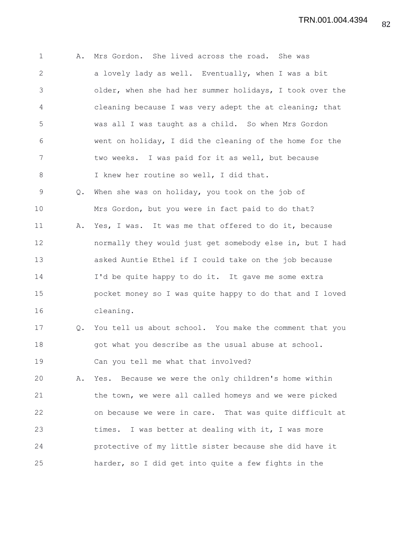1 A. Mrs Gordon. She lived across the road. She was 2 a lovely lady as well. Eventually, when I was a bit 3 older, when she had her summer holidays, I took over the 4 cleaning because I was very adept the at cleaning; that 5 was all I was taught as a child. So when Mrs Gordon 6 went on holiday, I did the cleaning of the home for the 7 two weeks. I was paid for it as well, but because 8 I knew her routine so well, I did that. 9 Q. When she was on holiday, you took on the job of 10 Mrs Gordon, but you were in fact paid to do that? 11 A. Yes, I was. It was me that offered to do it, because 12 normally they would just get somebody else in, but I had 13 asked Auntie Ethel if I could take on the job because 14 I'd be quite happy to do it. It gave me some extra 15 pocket money so I was quite happy to do that and I loved 16 cleaning. 17 Q. You tell us about school. You make the comment that you 18 **got what you describe as the usual abuse at school.** 19 Can you tell me what that involved? 20 A. Yes. Because we were the only children's home within 21 the town, we were all called homeys and we were picked 22 on because we were in care. That was quite difficult at 23 times. I was better at dealing with it, I was more 24 protective of my little sister because she did have it 25 harder, so I did get into quite a few fights in the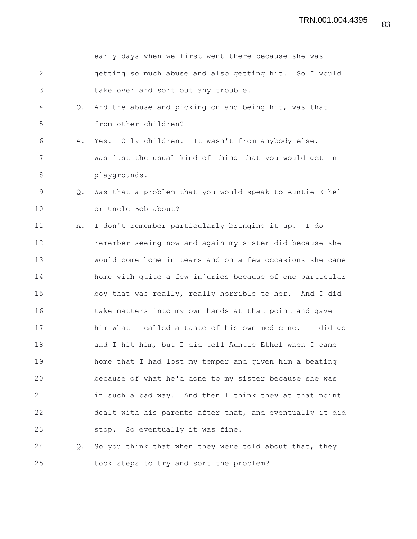| $\mathbf 1$  |               | early days when we first went there because she was      |
|--------------|---------------|----------------------------------------------------------|
| $\mathbf{2}$ |               | getting so much abuse and also getting hit. So I would   |
| 3            |               | take over and sort out any trouble.                      |
| 4            | $\circ$ .     | And the abuse and picking on and being hit, was that     |
| 5            |               | from other children?                                     |
| 6            | Α.            | Yes. Only children. It wasn't from anybody else.<br>It   |
| 7            |               | was just the usual kind of thing that you would get in   |
| $\,8\,$      |               | playgrounds.                                             |
| 9            | Q.            | Was that a problem that you would speak to Auntie Ethel  |
| 10           |               | or Uncle Bob about?                                      |
| 11           | Α.            | I don't remember particularly bringing it up. I do       |
| 12           |               | remember seeing now and again my sister did because she  |
| 13           |               | would come home in tears and on a few occasions she came |
| 14           |               | home with quite a few injuries because of one particular |
| 15           |               | boy that was really, really horrible to her. And I did   |
| 16           |               | take matters into my own hands at that point and gave    |
| 17           |               | him what I called a taste of his own medicine. I did go  |
| 18           |               | and I hit him, but I did tell Auntie Ethel when I came   |
| 19           |               | home that I had lost my temper and given him a beating   |
| 20           |               | because of what he'd done to my sister because she was   |
| 21           |               | in such a bad way. And then I think they at that point   |
| 22           |               | dealt with his parents after that, and eventually it did |
| 23           |               | stop. So eventually it was fine.                         |
| 24           | $Q_{\bullet}$ | So you think that when they were told about that, they   |
| 25           |               | took steps to try and sort the problem?                  |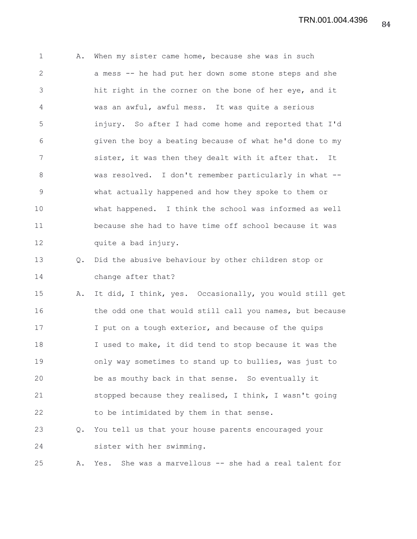1 A. When my sister came home, because she was in such 2 a mess -- he had put her down some stone steps and she 3 hit right in the corner on the bone of her eye, and it 4 was an awful, awful mess. It was quite a serious 5 injury. So after I had come home and reported that I'd 6 given the boy a beating because of what he'd done to my 7 sister, it was then they dealt with it after that. It 8 was resolved. I don't remember particularly in what -- 9 what actually happened and how they spoke to them or 10 what happened. I think the school was informed as well 11 because she had to have time off school because it was 12 quite a bad injury. 13 Q. Did the abusive behaviour by other children stop or 14 change after that? 15 A. It did, I think, yes. Occasionally, you would still get 16 the odd one that would still call you names, but because 17 I put on a tough exterior, and because of the quips 18 I used to make, it did tend to stop because it was the 19 only way sometimes to stand up to bullies, was just to 20 be as mouthy back in that sense. So eventually it 21 stopped because they realised, I think, I wasn't going 22 to be intimidated by them in that sense. 23 Q. You tell us that your house parents encouraged your 24 sister with her swimming.

25 A. Yes. She was a marvellous -- she had a real talent for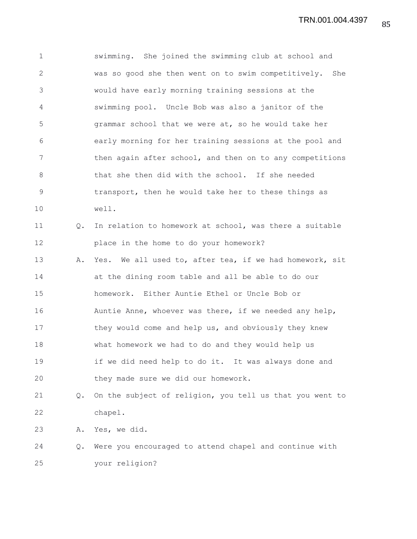1 swimming. She joined the swimming club at school and 2 was so good she then went on to swim competitively. She 3 would have early morning training sessions at the 4 swimming pool. Uncle Bob was also a janitor of the 5 grammar school that we were at, so he would take her 6 early morning for her training sessions at the pool and 7 then again after school, and then on to any competitions 8 that she then did with the school. If she needed 9 transport, then he would take her to these things as 10 well. 11 Q. In relation to homework at school, was there a suitable 12 place in the home to do your homework? 13 A. Yes. We all used to, after tea, if we had homework, sit 14 at the dining room table and all be able to do our 15 homework. Either Auntie Ethel or Uncle Bob or 16 Auntie Anne, whoever was there, if we needed any help, 17 they would come and help us, and obviously they knew 18 what homework we had to do and they would help us 19 if we did need help to do it. It was always done and 20 they made sure we did our homework. 21 Q. On the subject of religion, you tell us that you went to 22 chapel. 23 A. Yes, we did. 24 Q. Were you encouraged to attend chapel and continue with 25 your religion?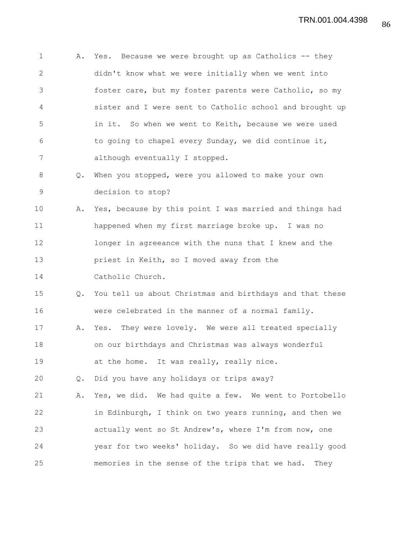1 A. Yes. Because we were brought up as Catholics -- they 2 didn't know what we were initially when we went into 3 foster care, but my foster parents were Catholic, so my 4 sister and I were sent to Catholic school and brought up 5 in it. So when we went to Keith, because we were used 6 to going to chapel every Sunday, we did continue it, 7 although eventually I stopped. 8 Q. When you stopped, were you allowed to make your own 9 decision to stop? 10 A. Yes, because by this point I was married and things had 11 happened when my first marriage broke up. I was no 12 longer in agreeance with the nuns that I knew and the 13 priest in Keith, so I moved away from the 14 Catholic Church. 15 Q. You tell us about Christmas and birthdays and that these 16 were celebrated in the manner of a normal family. 17 A. Yes. They were lovely. We were all treated specially 18 on our birthdays and Christmas was always wonderful 19 at the home. It was really, really nice. 20 Q. Did you have any holidays or trips away? 21 A. Yes, we did. We had quite a few. We went to Portobello 22 in Edinburgh, I think on two years running, and then we 23 actually went so St Andrew's, where I'm from now, one 24 year for two weeks' holiday. So we did have really good 25 memories in the sense of the trips that we had. They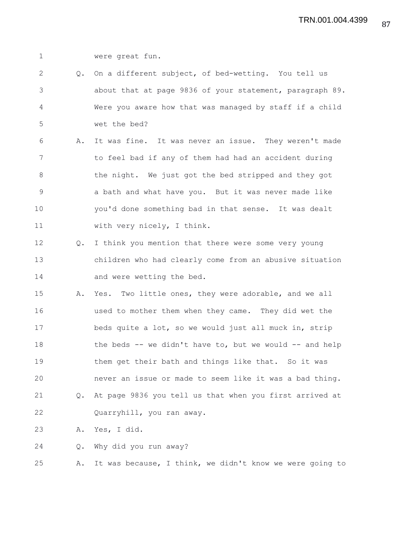1 were great fun.

2 Q. On a different subject, of bed-wetting. You tell us 3 about that at page 9836 of your statement, paragraph 89. 4 Were you aware how that was managed by staff if a child 5 wet the bed?

6 A. It was fine. It was never an issue. They weren't made 7 to feel bad if any of them had had an accident during 8 the night. We just got the bed stripped and they got 9 a bath and what have you. But it was never made like 10 you'd done something bad in that sense. It was dealt 11 with very nicely, I think.

12 Q. I think you mention that there were some very young 13 children who had clearly come from an abusive situation 14 and were wetting the bed.

15 A. Yes. Two little ones, they were adorable, and we all 16 used to mother them when they came. They did wet the 17 beds quite a lot, so we would just all muck in, strip 18 the beds -- we didn't have to, but we would -- and help 19 them get their bath and things like that. So it was 20 never an issue or made to seem like it was a bad thing. 21 Q. At page 9836 you tell us that when you first arrived at 22 Quarryhill, you ran away.

23 A. Yes, I did.

24 Q. Why did you run away?

25 A. It was because, I think, we didn't know we were going to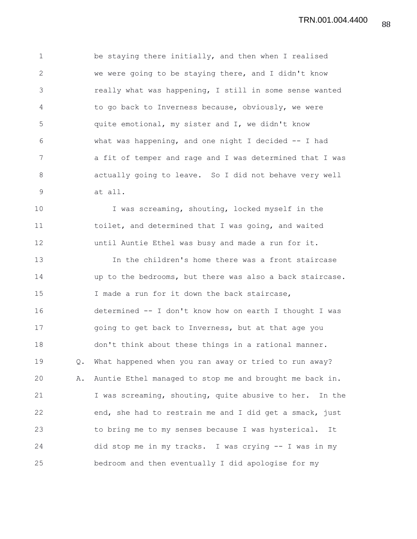88 TRN.001.004.4400

1 be staying there initially, and then when I realised 2 we were going to be staying there, and I didn't know 3 really what was happening, I still in some sense wanted 4 to go back to Inverness because, obviously, we were 5 quite emotional, my sister and I, we didn't know 6 what was happening, and one night I decided -- I had 7 a fit of temper and rage and I was determined that I was 8 actually going to leave. So I did not behave very well 9 at all.

10 I was screaming, shouting, locked myself in the 11 toilet, and determined that I was going, and waited 12 until Auntie Ethel was busy and made a run for it.

13 In the children's home there was a front staircase 14 up to the bedrooms, but there was also a back staircase. 15 I made a run for it down the back staircase, 16 determined -- I don't know how on earth I thought I was 17 going to get back to Inverness, but at that age you 18 don't think about these things in a rational manner. 19 Q. What happened when you ran away or tried to run away? 20 A. Auntie Ethel managed to stop me and brought me back in. 21 I was screaming, shouting, quite abusive to her. In the 22 end, she had to restrain me and I did get a smack, just 23 to bring me to my senses because I was hysterical. It 24 did stop me in my tracks. I was crying -- I was in my 25 bedroom and then eventually I did apologise for my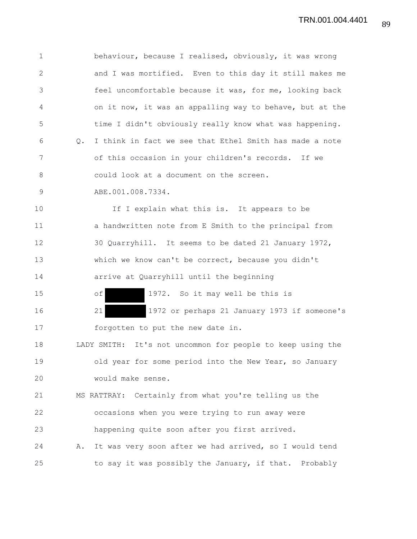1 behaviour, because I realised, obviously, it was wrong 2 and I was mortified. Even to this day it still makes me 3 feel uncomfortable because it was, for me, looking back 4 on it now, it was an appalling way to behave, but at the 5 time I didn't obviously really know what was happening. 6 Q. I think in fact we see that Ethel Smith has made a note 7 of this occasion in your children's records. If we 8 could look at a document on the screen. 9 ABE.001.008.7334. 10 If I explain what this is. It appears to be 11 a handwritten note from E Smith to the principal from 12 30 Quarryhill. It seems to be dated 21 January 1972, 13 which we know can't be correct, because you didn't 14 arrive at Quarryhill until the beginning 15 of 1972. So it may well be this is 16 21 1972 or perhaps 21 January 1973 if someone's 17 forgotten to put the new date in. 18 LADY SMITH: It's not uncommon for people to keep using the 19 old year for some period into the New Year, so January 20 would make sense. 21 MS RATTRAY: Certainly from what you're telling us the 22 occasions when you were trying to run away were 23 happening quite soon after you first arrived. 24 A. It was very soon after we had arrived, so I would tend 25 to say it was possibly the January, if that. Probably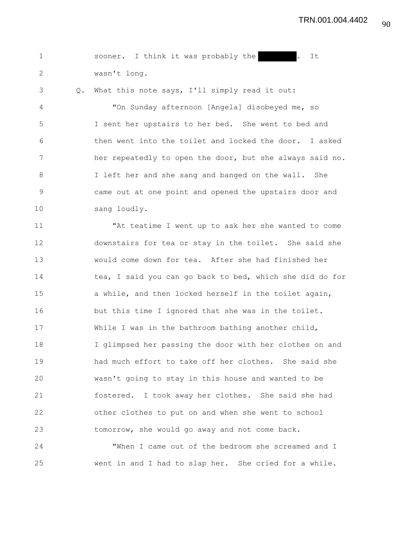|              |  |  | sooner. I think it was probably the |  | It |
|--------------|--|--|-------------------------------------|--|----|
| wasn't long. |  |  |                                     |  |    |

3 Q. What this note says, I'll simply read it out:

4 "On Sunday afternoon [Angela] disobeyed me, so 5 I sent her upstairs to her bed. She went to bed and 6 then went into the toilet and locked the door. I asked 7 her repeatedly to open the door, but she always said no. 8 I left her and she sang and banged on the wall. She 9 came out at one point and opened the upstairs door and 10 sang loudly.

11 "At teatime I went up to ask her she wanted to come 12 downstairs for tea or stay in the toilet. She said she 13 would come down for tea. After she had finished her 14 tea, I said you can go back to bed, which she did do for 15 a while, and then locked herself in the toilet again, 16 but this time I ignored that she was in the toilet. 17 While I was in the bathroom bathing another child, 18 I glimpsed her passing the door with her clothes on and 19 had much effort to take off her clothes. She said she 20 wasn't going to stay in this house and wanted to be 21 fostered. I took away her clothes. She said she had 22 other clothes to put on and when she went to school 23 tomorrow, she would go away and not come back.

24 "When I came out of the bedroom she screamed and I 25 went in and I had to slap her. She cried for a while.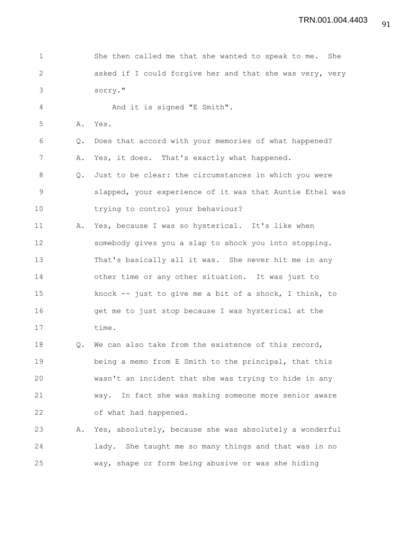| $\mathbf 1$  |               | She then called me that she wanted to speak to me. She   |
|--------------|---------------|----------------------------------------------------------|
| $\mathbf{2}$ |               | asked if I could forgive her and that she was very, very |
| 3            |               | sorry."                                                  |
| 4            |               | And it is signed "E Smith".                              |
| 5            | Α.            | Yes.                                                     |
| 6            | Q.            | Does that accord with your memories of what happened?    |
| 7            | Α.            | Yes, it does. That's exactly what happened.              |
| 8            | $Q_{\bullet}$ | Just to be clear: the circumstances in which you were    |
| 9            |               | slapped, your experience of it was that Auntie Ethel was |
| 10           |               | trying to control your behaviour?                        |
| 11           | Α.            | Yes, because I was so hysterical. It's like when         |
| 12           |               | somebody gives you a slap to shock you into stopping.    |
| 13           |               | That's basically all it was. She never hit me in any     |
| 14           |               | other time or any other situation. It was just to        |
| 15           |               | knock -- just to give me a bit of a shock, I think, to   |
| 16           |               | get me to just stop because I was hysterical at the      |
| 17           |               | time.                                                    |
| 18           | $Q_{\bullet}$ | We can also take from the existence of this record,      |
| 19           |               | being a memo from E Smith to the principal, that this    |
| 20           |               | wasn't an incident that she was trying to hide in any    |
| 21           |               | way. In fact she was making someone more senior aware    |
| 22           |               | of what had happened.                                    |
| 23           | Α.            | Yes, absolutely, because she was absolutely a wonderful  |
| 24           |               | lady. She taught me so many things and that was in no    |
| 25           |               | way, shape or form being abusive or was she hiding       |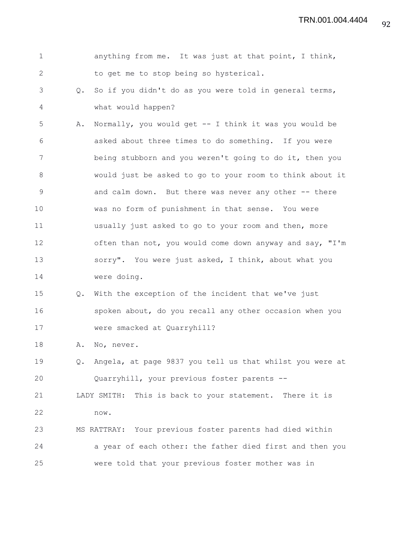| $\mathbf 1$  |               | anything from me. It was just at that point, I think,    |
|--------------|---------------|----------------------------------------------------------|
| $\mathbf{2}$ |               | to get me to stop being so hysterical.                   |
| 3            | Q.            | So if you didn't do as you were told in general terms,   |
| 4            |               | what would happen?                                       |
| 5            | Α.            | Normally, you would get -- I think it was you would be   |
| 6            |               | asked about three times to do something. If you were     |
| 7            |               | being stubborn and you weren't going to do it, then you  |
| 8            |               | would just be asked to go to your room to think about it |
| $\mathsf 9$  |               | and calm down. But there was never any other -- there    |
| 10           |               | was no form of punishment in that sense. You were        |
| 11           |               | usually just asked to go to your room and then, more     |
| 12           |               | often than not, you would come down anyway and say, "I'm |
| 13           |               | sorry". You were just asked, I think, about what you     |
| 14           |               | were doing.                                              |
| 15           | Q.            | With the exception of the incident that we've just       |
| 16           |               | spoken about, do you recall any other occasion when you  |
| 17           |               | were smacked at Quarryhill?                              |
| 18           | Α.            | No, never.                                               |
| 19           | $Q_{\bullet}$ | Angela, at page 9837 you tell us that whilst you were at |
| 20           |               | Quarryhill, your previous foster parents --              |
| 21           |               | LADY SMITH: This is back to your statement. There it is  |
| 22           |               | now.                                                     |
| 23           |               | MS RATTRAY: Your previous foster parents had died within |
| 24           |               | a year of each other: the father died first and then you |
| 25           |               | were told that your previous foster mother was in        |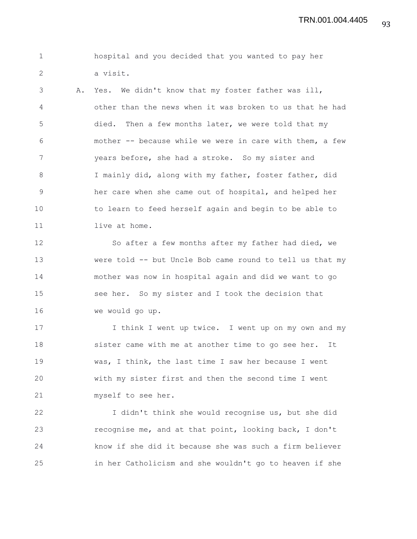1 hospital and you decided that you wanted to pay her 2 a visit.

3 A. Yes. We didn't know that my foster father was ill, 4 other than the news when it was broken to us that he had 5 died. Then a few months later, we were told that my 6 mother -- because while we were in care with them, a few 7 years before, she had a stroke. So my sister and 8 I mainly did, along with my father, foster father, did 9 her care when she came out of hospital, and helped her 10 to learn to feed herself again and begin to be able to 11 live at home.

12 So after a few months after my father had died, we 13 were told -- but Uncle Bob came round to tell us that my 14 mother was now in hospital again and did we want to go 15 see her. So my sister and I took the decision that 16 we would go up.

17 I think I went up twice. I went up on my own and my 18 sister came with me at another time to go see her. It 19 was, I think, the last time I saw her because I went 20 with my sister first and then the second time I went 21 myself to see her.

22 I didn't think she would recognise us, but she did 23 recognise me, and at that point, looking back, I don't 24 know if she did it because she was such a firm believer 25 in her Catholicism and she wouldn't go to heaven if she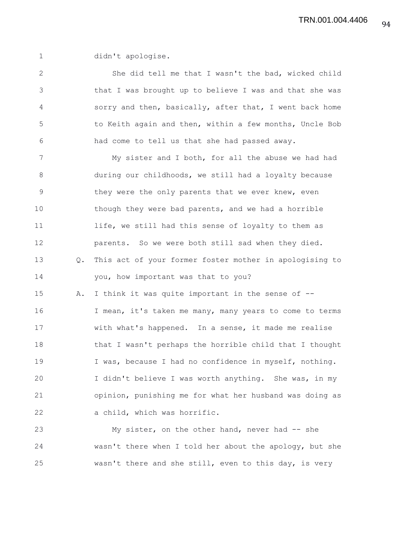1 didn't apologise.

2 She did tell me that I wasn't the bad, wicked child 3 that I was brought up to believe I was and that she was 4 sorry and then, basically, after that, I went back home 5 to Keith again and then, within a few months, Uncle Bob 6 had come to tell us that she had passed away. 7 My sister and I both, for all the abuse we had had 8 during our childhoods, we still had a loyalty because 9 they were the only parents that we ever knew, even 10 though they were bad parents, and we had a horrible 11 life, we still had this sense of loyalty to them as 12 parents. So we were both still sad when they died. 13 Q. This act of your former foster mother in apologising to 14 you, how important was that to you? 15 A. I think it was quite important in the sense of -- 16 I mean, it's taken me many, many years to come to terms 17 with what's happened. In a sense, it made me realise 18 that I wasn't perhaps the horrible child that I thought 19 I was, because I had no confidence in myself, nothing. 20 I didn't believe I was worth anything. She was, in my 21 opinion, punishing me for what her husband was doing as 22 a child, which was horrific. 23 My sister, on the other hand, never had -- she

24 wasn't there when I told her about the apology, but she 25 wasn't there and she still, even to this day, is very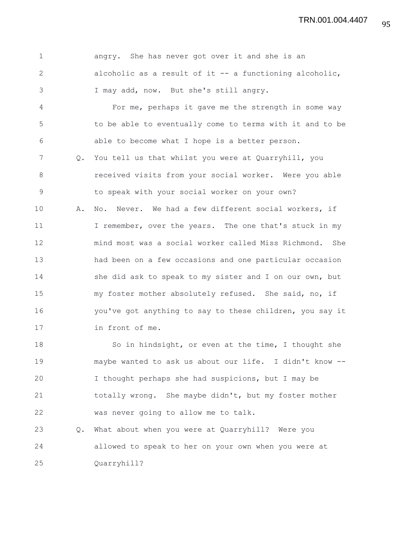|    | angry. She has never got over it and she is an           |
|----|----------------------------------------------------------|
| 2  | alcoholic as a result of it $-$ a functioning alcoholic, |
|    | I may add, now. But she's still angry.                   |
| -4 | For me, perhaps it gave me the strength in some way      |

5 to be able to eventually come to terms with it and to be 6 able to become what I hope is a better person. 7 Q. You tell us that whilst you were at Quarryhill, you 8 **8** received visits from your social worker. Were you able 9 to speak with your social worker on your own? 10 A. No. Never. We had a few different social workers, if 11 I remember, over the years. The one that's stuck in my 12 mind most was a social worker called Miss Richmond. She 13 had been on a few occasions and one particular occasion 14 she did ask to speak to my sister and I on our own, but 15 my foster mother absolutely refused. She said, no, if 16 you've got anything to say to these children, you say it 17 in front of me.

18 So in hindsight, or even at the time, I thought she 19 maybe wanted to ask us about our life. I didn't know -- 20 I thought perhaps she had suspicions, but I may be 21 totally wrong. She maybe didn't, but my foster mother 22 was never going to allow me to talk.

23 Q. What about when you were at Quarryhill? Were you 24 allowed to speak to her on your own when you were at 25 Quarryhill?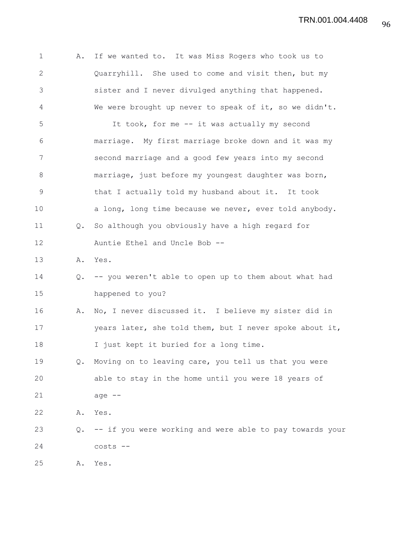| $\mathbf 1$  | Α.            | If we wanted to. It was Miss Rogers who took us to       |
|--------------|---------------|----------------------------------------------------------|
| $\mathbf{2}$ |               | Quarryhill. She used to come and visit then, but my      |
| 3            |               | sister and I never divulged anything that happened.      |
| 4            |               | We were brought up never to speak of it, so we didn't.   |
| 5            |               | It took, for me -- it was actually my second             |
| 6            |               | marriage. My first marriage broke down and it was my     |
| 7            |               | second marriage and a good few years into my second      |
| 8            |               | marriage, just before my youngest daughter was born,     |
| $\mathsf 9$  |               | that I actually told my husband about it. It took        |
| 10           |               | a long, long time because we never, ever told anybody.   |
| 11           | $Q_{\bullet}$ | So although you obviously have a high regard for         |
| 12           |               | Auntie Ethel and Uncle Bob --                            |
| 13           |               | A. Yes.                                                  |
| 14           | Q.            | -- you weren't able to open up to them about what had    |
| 15           |               | happened to you?                                         |
| 16           | Α.            | No, I never discussed it. I believe my sister did in     |
| 17           |               | years later, she told them, but I never spoke about it,  |
| 18           |               | I just kept it buried for a long time.                   |
| 19           | $Q_{\bullet}$ | Moving on to leaving care, you tell us that you were     |
| 20           |               | able to stay in the home until you were 18 years of      |
| 21           |               | age $--$                                                 |
| 22           | Α.            | Yes.                                                     |
| 23           | Q.            | -- if you were working and were able to pay towards your |
| 24           |               | costs --                                                 |
| 25           | Α.            | Yes.                                                     |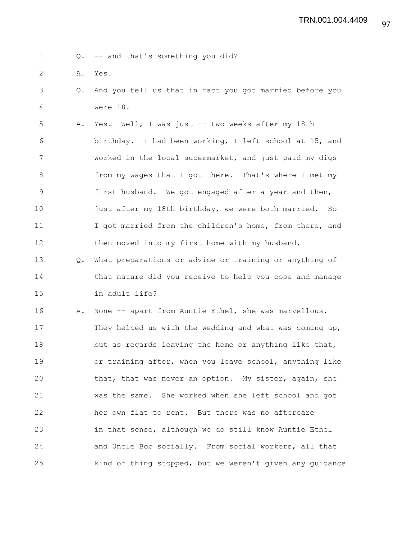1 Q. -- and that's something you did?

- 2 A. Yes.
- 3 Q. And you tell us that in fact you got married before you 4 were 18.

5 A. Yes. Well, I was just -- two weeks after my 18th 6 birthday. I had been working, I left school at 15, and 7 worked in the local supermarket, and just paid my digs 8 from my wages that I got there. That's where I met my 9 first husband. We got engaged after a year and then, 10 just after my 18th birthday, we were both married. So 11 I got married from the children's home, from there, and 12 then moved into my first home with my husband.

13 Q. What preparations or advice or training or anything of 14 that nature did you receive to help you cope and manage 15 in adult life?

16 A. None -- apart from Auntie Ethel, she was marvellous. 17 They helped us with the wedding and what was coming up, 18 but as regards leaving the home or anything like that, 19 or training after, when you leave school, anything like 20 that, that was never an option. My sister, again, she 21 was the same. She worked when she left school and got 22 her own flat to rent. But there was no aftercare 23 in that sense, although we do still know Auntie Ethel 24 and Uncle Bob socially. From social workers, all that 25 kind of thing stopped, but we weren't given any guidance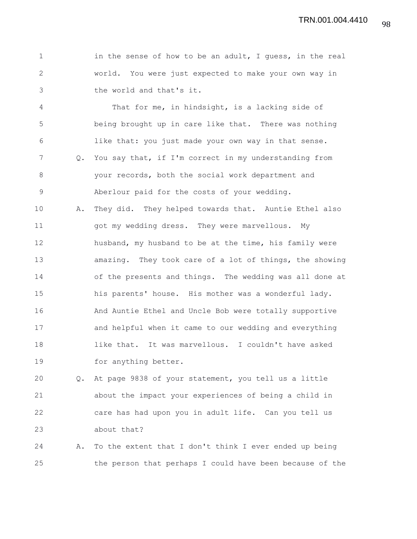1 in the sense of how to be an adult, I guess, in the real 2 world. You were just expected to make your own way in 3 the world and that's it.

4 That for me, in hindsight, is a lacking side of 5 being brought up in care like that. There was nothing 6 like that: you just made your own way in that sense. 7 Q. You say that, if I'm correct in my understanding from 8 your records, both the social work department and 9 Aberlour paid for the costs of your wedding. 10 A. They did. They helped towards that. Auntie Ethel also 11 got my wedding dress. They were marvellous. My 12 husband, my husband to be at the time, his family were 13 amazing. They took care of a lot of things, the showing 14 of the presents and things. The wedding was all done at 15 his parents' house. His mother was a wonderful lady. 16 And Auntie Ethel and Uncle Bob were totally supportive 17 and helpful when it came to our wedding and everything

18 like that. It was marvellous. I couldn't have asked 19 for anything better.

20 Q. At page 9838 of your statement, you tell us a little 21 about the impact your experiences of being a child in 22 care has had upon you in adult life. Can you tell us 23 about that?

24 A. To the extent that I don't think I ever ended up being 25 the person that perhaps I could have been because of the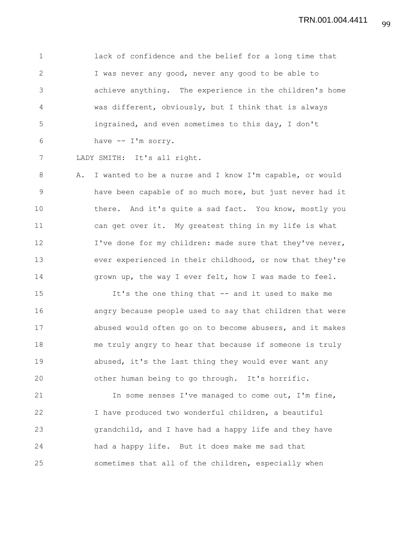1 lack of confidence and the belief for a long time that 2 I was never any good, never any good to be able to 3 achieve anything. The experience in the children's home 4 was different, obviously, but I think that is always 5 ingrained, and even sometimes to this day, I don't 6 have -- I'm sorry.

7 LADY SMITH: It's all right.

8 A. I wanted to be a nurse and I know I'm capable, or would 9 have been capable of so much more, but just never had it 10 there. And it's quite a sad fact. You know, mostly you 11 can get over it. My greatest thing in my life is what 12 I've done for my children: made sure that they've never, 13 ever experienced in their childhood, or now that they're 14 grown up, the way I ever felt, how I was made to feel.

15 It's the one thing that -- and it used to make me 16 angry because people used to say that children that were 17 abused would often go on to become abusers, and it makes 18 me truly angry to hear that because if someone is truly 19 abused, it's the last thing they would ever want any 20 other human being to go through. It's horrific.

21 In some senses I've managed to come out, I'm fine, 22 I have produced two wonderful children, a beautiful 23 grandchild, and I have had a happy life and they have 24 had a happy life. But it does make me sad that 25 sometimes that all of the children, especially when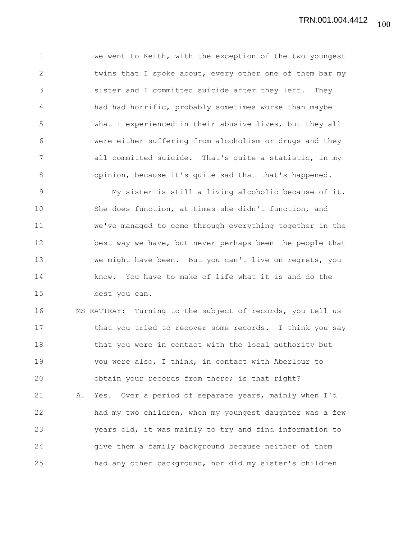1 we went to Keith, with the exception of the two youngest 2 twins that I spoke about, every other one of them bar my 3 sister and I committed suicide after they left. They 4 had had horrific, probably sometimes worse than maybe 5 what I experienced in their abusive lives, but they all 6 were either suffering from alcoholism or drugs and they 7 all committed suicide. That's quite a statistic, in my 8 opinion, because it's quite sad that that's happened.

9 My sister is still a living alcoholic because of it. 10 She does function, at times she didn't function, and 11 we've managed to come through everything together in the 12 best way we have, but never perhaps been the people that 13 we might have been. But you can't live on regrets, you 14 know. You have to make of life what it is and do the 15 best you can.

16 MS RATTRAY: Turning to the subject of records, you tell us 17 that you tried to recover some records. I think you say 18 that you were in contact with the local authority but 19 you were also, I think, in contact with Aberlour to 20 obtain your records from there; is that right? 21 A. Yes. Over a period of separate years, mainly when I'd 22 had my two children, when my youngest daughter was a few 23 years old, it was mainly to try and find information to 24 give them a family background because neither of them 25 had any other background, nor did my sister's children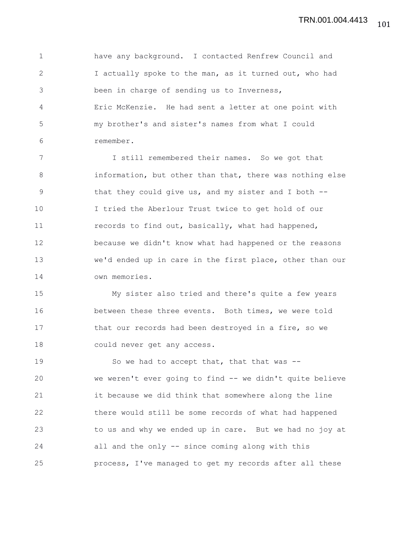1 have any background. I contacted Renfrew Council and 2 I actually spoke to the man, as it turned out, who had 3 been in charge of sending us to Inverness, 4 Eric McKenzie. He had sent a letter at one point with 5 my brother's and sister's names from what I could 6 remember.

7 I still remembered their names. So we got that 8 information, but other than that, there was nothing else 9 that they could give us, and my sister and I both -- 10 I tried the Aberlour Trust twice to get hold of our 11 records to find out, basically, what had happened, 12 because we didn't know what had happened or the reasons 13 we'd ended up in care in the first place, other than our 14 own memories.

15 My sister also tried and there's quite a few years 16 between these three events. Both times, we were told 17 that our records had been destroyed in a fire, so we 18 could never get any access.

19 So we had to accept that, that that was --20 we weren't ever going to find -- we didn't quite believe 21 it because we did think that somewhere along the line 22 there would still be some records of what had happened 23 to us and why we ended up in care. But we had no joy at 24 all and the only -- since coming along with this 25 process, I've managed to get my records after all these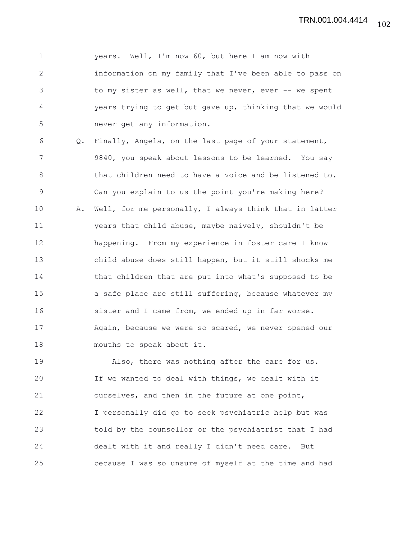1 years. Well, I'm now 60, but here I am now with 2 information on my family that I've been able to pass on 3 to my sister as well, that we never, ever -- we spent 4 years trying to get but gave up, thinking that we would 5 never get any information.

6 Q. Finally, Angela, on the last page of your statement, 7 9840, you speak about lessons to be learned. You say 8 that children need to have a voice and be listened to. 9 Can you explain to us the point you're making here? 10 A. Well, for me personally, I always think that in latter 11 years that child abuse, maybe naively, shouldn't be 12 happening. From my experience in foster care I know 13 child abuse does still happen, but it still shocks me 14 that children that are put into what's supposed to be 15 a safe place are still suffering, because whatever my 16 sister and I came from, we ended up in far worse. 17 Again, because we were so scared, we never opened our 18 mouths to speak about it.

19 Also, there was nothing after the care for us. 20 If we wanted to deal with things, we dealt with it 21 ourselves, and then in the future at one point, 22 I personally did go to seek psychiatric help but was 23 told by the counsellor or the psychiatrist that I had 24 dealt with it and really I didn't need care. But 25 because I was so unsure of myself at the time and had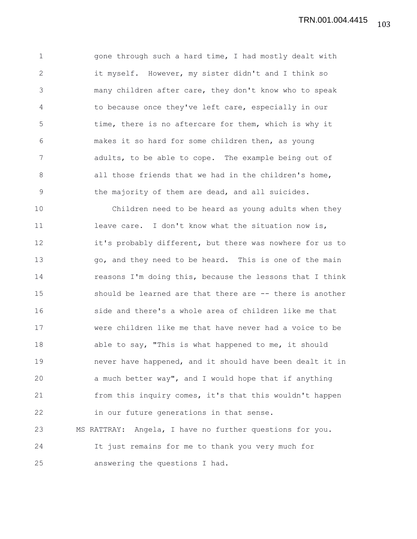1 gone through such a hard time, I had mostly dealt with 2 it myself. However, my sister didn't and I think so 3 many children after care, they don't know who to speak 4 to because once they've left care, especially in our 5 time, there is no aftercare for them, which is why it 6 makes it so hard for some children then, as young 7 adults, to be able to cope. The example being out of 8 all those friends that we had in the children's home, 9 the majority of them are dead, and all suicides.

10 Children need to be heard as young adults when they 11 leave care. I don't know what the situation now is, 12 it's probably different, but there was nowhere for us to 13 go, and they need to be heard. This is one of the main 14 reasons I'm doing this, because the lessons that I think 15 should be learned are that there are -- there is another 16 side and there's a whole area of children like me that 17 were children like me that have never had a voice to be 18 able to say, "This is what happened to me, it should 19 never have happened, and it should have been dealt it in 20 a much better way", and I would hope that if anything 21 from this inquiry comes, it's that this wouldn't happen 22 in our future generations in that sense. 23 MS RATTRAY: Angela, I have no further questions for you. 24 It just remains for me to thank you very much for 25 answering the questions I had.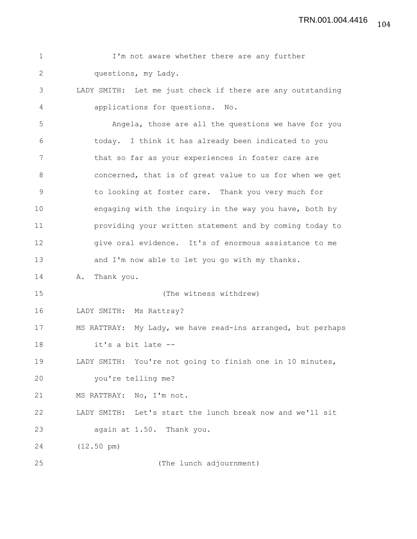| $\mathbf{1}$  | I'm not aware whether there are any further                 |
|---------------|-------------------------------------------------------------|
| $\mathbf{2}$  | questions, my Lady.                                         |
| 3             | LADY SMITH: Let me just check if there are any outstanding  |
| 4             | applications for questions. No.                             |
| 5             | Angela, those are all the questions we have for you         |
| 6             | today. I think it has already been indicated to you         |
| 7             | that so far as your experiences in foster care are          |
| $8\,$         | concerned, that is of great value to us for when we get     |
| $\mathcal{G}$ | to looking at foster care. Thank you very much for          |
| 10            | engaging with the inquiry in the way you have, both by      |
| 11            | providing your written statement and by coming today to     |
| 12            | give oral evidence. It's of enormous assistance to me       |
| 13            | and I'm now able to let you go with my thanks.              |
| 14            | Thank you.<br>Α.                                            |
| 15            | (The witness withdrew)                                      |
| 16            | LADY SMITH: Ms Rattray?                                     |
| 17            | MS RATTRAY: My Lady, we have read-ins arranged, but perhaps |
| 18            | it's a bit late --                                          |
| 19            | LADY SMITH: You're not going to finish one in 10 minutes,   |
| 20            | you're telling me?                                          |
| 21            | MS RATTRAY: No, I'm not.                                    |
| 22            | LADY SMITH: Let's start the lunch break now and we'll sit   |
| 23            | again at 1.50. Thank you.                                   |
| 24            | $(12.50 \text{ pm})$                                        |
| 25            | (The lunch adjournment)                                     |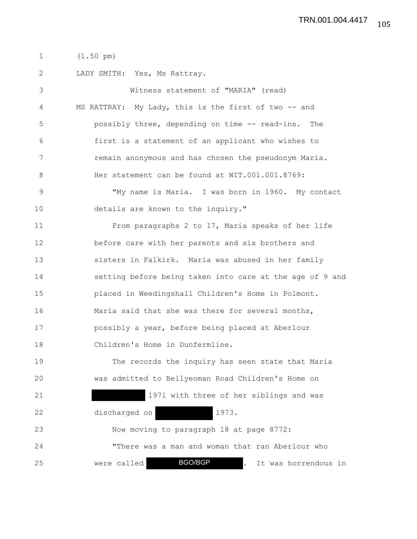1 (1.50 pm)

2 LADY SMITH: Yes, Ms Rattray.

3 Witness statement of "MARIA" (read) 4 MS RATTRAY: My Lady, this is the first of two -- and 5 possibly three, depending on time -- read-ins. The 6 first is a statement of an applicant who wishes to 7 remain anonymous and has chosen the pseudonym Maria. 8 Her statement can be found at WIT.001.001.8769: 9 "My name is Maria. I was born in 1960. My contact 10 details are known to the inquiry." 11 From paragraphs 2 to 17, Maria speaks of her life 12 before care with her parents and six brothers and 13 sisters in Falkirk. Maria was abused in her family 14 setting before being taken into care at the age of 9 and 15 placed in Weedingshall Children's Home in Polmont. 16 Maria said that she was there for several months, 17 possibly a year, before being placed at Aberlour 18 Children's Home in Dunfermline. 19 The records the inquiry has seen state that Maria 20 was admitted to Bellyeoman Road Children's Home on 21 1971 with three of her siblings and was 22 discharged on 1973. 23 Now moving to paragraph 18 at page 8772: 24 "There was a man and woman that ran Aberlour who 25 were called **BGO/BGP** . It was horrendous in BGO/BGP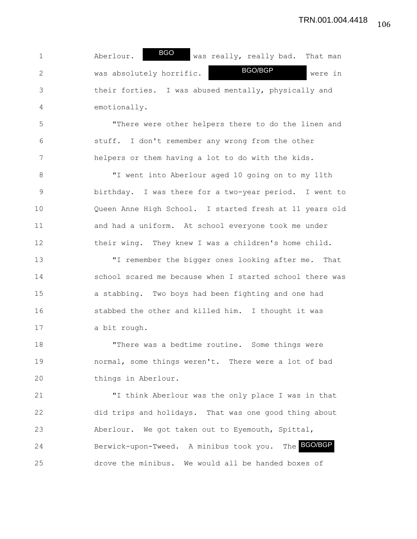1 Aberlour. BUC was really, really bad. That man 2 was absolutely horrific. We have the were in 3 their forties. I was abused mentally, physically and 4 emotionally. BGO<sub>b</sub> BGO/BGP

5 "There were other helpers there to do the linen and 6 stuff. I don't remember any wrong from the other 7 helpers or them having a lot to do with the kids.

8 "I went into Aberlour aged 10 going on to my 11th 9 birthday. I was there for a two-year period. I went to 10 Queen Anne High School. I started fresh at 11 years old 11 and had a uniform. At school everyone took me under 12 their wing. They knew I was a children's home child.

13 "I remember the bigger ones looking after me. That 14 school scared me because when I started school there was 15 a stabbing. Two boys had been fighting and one had 16 stabbed the other and killed him. I thought it was 17 a bit rough.

18 "There was a bedtime routine. Some things were 19 normal, some things weren't. There were a lot of bad 20 things in Aberlour.

21 "I think Aberlour was the only place I was in that 22 did trips and holidays. That was one good thing about 23 Aberlour. We got taken out to Eyemouth, Spittal, 24 Berwick-upon-Tweed. A minibus took you. The BGO/BGP 25 drove the minibus. We would all be handed boxes of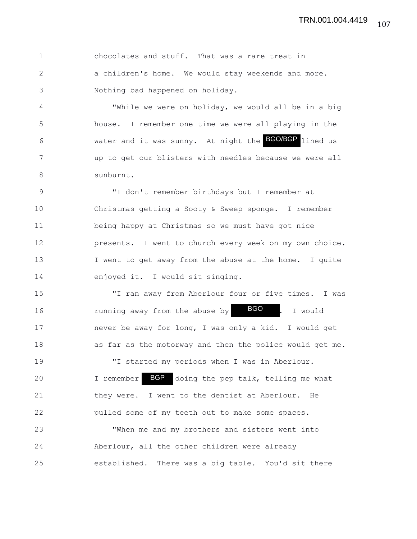| $\overline{1}$ | chocolates and stuff. That was a rare treat in      |
|----------------|-----------------------------------------------------|
|                | a children's home. We would stay weekends and more. |
|                | Nothing bad happened on holiday.                    |

4 "While we were on holiday, we would all be in a big 5 house. I remember one time we were all playing in the 6 6 Water and it was sunny. At night the **BGO/BGP** lined us 7 up to get our blisters with needles because we were all 8 sunburnt.

9 "I don't remember birthdays but I remember at 10 Christmas getting a Sooty & Sweep sponge. I remember 11 being happy at Christmas so we must have got nice 12 presents. I went to church every week on my own choice. 13 I went to get away from the abuse at the home. I quite 14 enjoyed it. I would sit singing.

15 "I ran away from Aberlour four or five times. I was 16 10 10 running away from the abuse by  $\overline{BGO}$  . I would 17 never be away for long, I was only a kid. I would get 18 as far as the motorway and then the police would get me.

20 I remember BGP doing the pep talk, telling me what 21 they were. I went to the dentist at Aberlour. He 22 pulled some of my teeth out to make some spaces.

19 "I started my periods when I was in Aberlour.

23 "When me and my brothers and sisters went into 24 Aberlour, all the other children were already 25 established. There was a big table. You'd sit there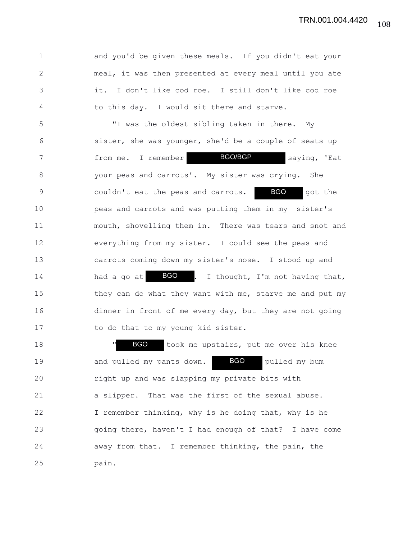1 and you'd be given these meals. If you didn't eat your 2 meal, it was then presented at every meal until you ate 3 it. I don't like cod roe. I still don't like cod roe 4 to this day. I would sit there and starve.

5 "I was the oldest sibling taken in there. My 6 sister, she was younger, she'd be a couple of seats up 7 from me. I remember **BGO/BGP** saying, 'Eat 8 your peas and carrots'. My sister was crying. She 9 couldn't eat the peas and carrots. BGO got the 10 peas and carrots and was putting them in my sister's 11 mouth, shovelling them in. There was tears and snot and 12 everything from my sister. I could see the peas and 13 carrots coming down my sister's nose. I stood up and 14 had a go at  $BGO$  . I thought, I'm not having that, 15 they can do what they want with me, starve me and put my 16 dinner in front of me every day, but they are not going 17 to do that to my young kid sister. BGO BGO<sub>b</sub> BGO/BGP

18 **" BGO** took me upstairs, put me over his knee 19 and pulled my pants down. **BGO** pulled my bum 20 right up and was slapping my private bits with 21 a slipper. That was the first of the sexual abuse. 22 I remember thinking, why is he doing that, why is he 23 going there, haven't I had enough of that? I have come 24 away from that. I remember thinking, the pain, the 25 pain. BGO BGO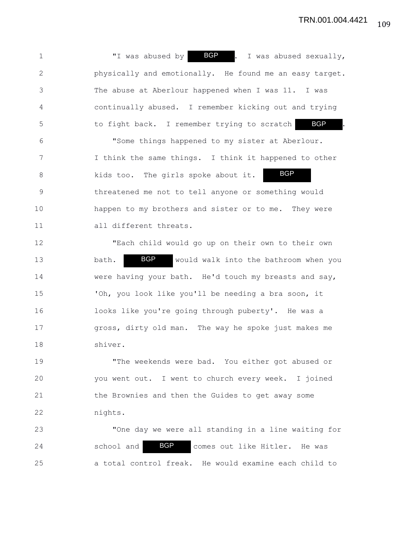1 T was abused by **BGP** . I was abused sexually, 2 physically and emotionally. He found me an easy target. 3 The abuse at Aberlour happened when I was 11. I was 4 continually abused. I remember kicking out and trying 5 to fight back. I remember trying to scratch 6 "Some things happened to my sister at Aberlour. 7 I think the same things. I think it happened to other 8 kids too. The girls spoke about it. 9 threatened me not to tell anyone or something would 10 happen to my brothers and sister or to me. They were 11 all different threats. 12 "Each child would go up on their own to their own 13 bath. BGP would walk into the bathroom when you 14 were having your bath. He'd touch my breasts and say, 15 'Oh, you look like you'll be needing a bra soon, it 16 looks like you're going through puberty'. He was a 17 gross, dirty old man. The way he spoke just makes me 18 shiver. 19 "The weekends were bad. You either got abused or 20 you went out. I went to church every week. I joined 21 the Brownies and then the Guides to get away some 22 nights. 23 "One day we were all standing in a line waiting for BGP BGP BGP

24 school and **BGP** comes out like Hitler. He was 25 a total control freak. He would examine each child to BGP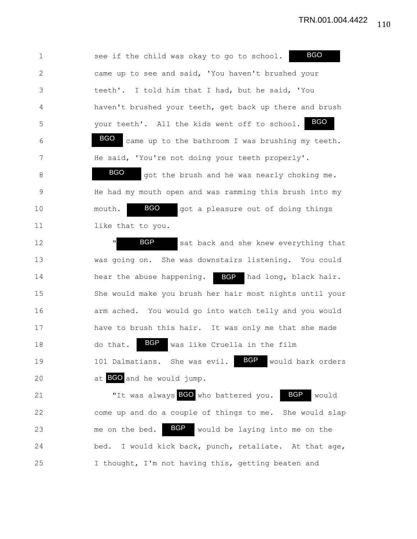1 see if the child was okay to go to school. 2 came up to see and said, 'You haven't brushed your 3 teeth'. I told him that I had, but he said, 'You 4 haven't brushed your teeth, get back up there and brush 5 your teeth'. All the kids went off to school. 6 **BGO** came up to the bathroom I was brushing my teeth. 7 He said, 'You're not doing your teeth properly'. 8 BGO got the brush and he was nearly choking me. 9 He had my mouth open and was ramming this brush into my 10 mouth. **BGO** got a pleasure out of doing things 11 like that to you. 12 **"** BGP sat back and she knew everything that 13 was going on. She was downstairs listening. You could 14 hear the abuse happening. BGP had long, black hair. 15 She would make you brush her hair most nights until your 16 arm ached. You would go into watch telly and you would 17 have to brush this hair. It was only me that she made 18 do that. **BGP** was like Cruella in the film 19 101 Dalmatians. She was evil. BGP would bark orders 20 at BGO and he would jump. 21 The was always **BGO** who battered you. BGP would 22 come up and do a couple of things to me. She would slap 23 me on the bed. BGP would be laying into me on the 24 bed. I would kick back, punch, retaliate. At that age, 25 I thought, I'm not having this, getting beaten and BGP BGO BGO BGP BGO BGP BGO BGP BGO

110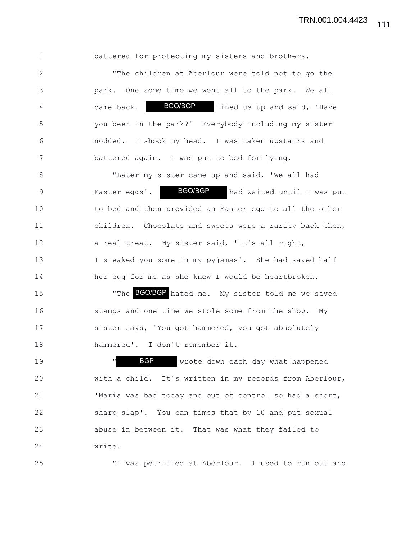1 battered for protecting my sisters and brothers.

2 "The children at Aberlour were told not to go the 3 park. One some time we went all to the park. We all 4 came back. BGO/BGP lined us up and said, 'Have 5 you been in the park?' Everybody including my sister 6 nodded. I shook my head. I was taken upstairs and 7 battered again. I was put to bed for lying. BGO/BGP

8 "Later my sister came up and said, 'We all had 9 Baster eggs'. BOO/BGP had waited until I was put 10 to bed and then provided an Easter egg to all the other 11 children. Chocolate and sweets were a rarity back then, 12 a real treat. My sister said, 'It's all right, 13 I sneaked you some in my pyjamas'. She had saved half 14 her egg for me as she knew I would be heartbroken. BGO/BGP

15 The BGO/BGP hated me. My sister told me we saved 16 stamps and one time we stole some from the shop. My 17 sister says, 'You got hammered, you got absolutely 18 hammered'. I don't remember it.

19 The Magnetic Movement of the Water of the Magnetic Magnetic Movement of the Magnetic Magnetic Magnetic Magnetic Magnetic Magnetic Magnetic Magnetic Magnetic Magnetic Magnetic Magnetic Magnetic Magnetic Magnetic Magnetic 20 with a child. It's written in my records from Aberlour, 21 'Maria was bad today and out of control so had a short, 22 sharp slap'. You can times that by 10 and put sexual 23 abuse in between it. That was what they failed to 24 write. BGP

25 "I was petrified at Aberlour. I used to run out and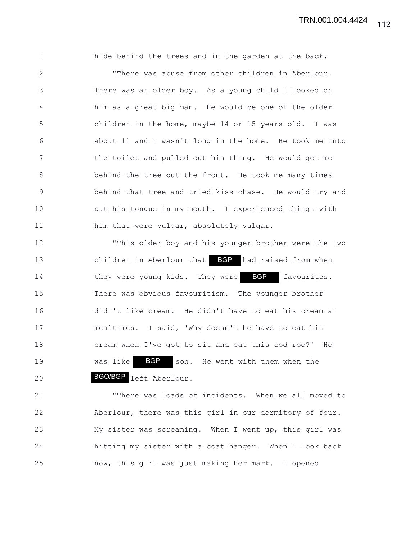1 hide behind the trees and in the garden at the back. 2 "There was abuse from other children in Aberlour. 3 There was an older boy. As a young child I looked on 4 him as a great big man. He would be one of the older 5 children in the home, maybe 14 or 15 years old. I was 6 about 11 and I wasn't long in the home. He took me into 7 the toilet and pulled out his thing. He would get me 8 behind the tree out the front. He took me many times 9 behind that tree and tried kiss-chase. He would try and 10 put his tongue in my mouth. I experienced things with 11 him that were vulgar, absolutely vulgar.

12 "This older boy and his younger brother were the two 13 children in Aberlour that BGP had raised from when 14 they were young kids. They were BGP favourites. 15 There was obvious favouritism. The younger brother 16 didn't like cream. He didn't have to eat his cream at 17 mealtimes. I said, 'Why doesn't he have to eat his 18 cream when I've got to sit and eat this cod roe?' He 19 was like **BGP** son. He went with them when the 20 **BGO/BGP** left Aberlour.

21 "There was loads of incidents. When we all moved to 22 Aberlour, there was this girl in our dormitory of four. 23 My sister was screaming. When I went up, this girl was 24 hitting my sister with a coat hanger. When I look back 25 now, this girl was just making her mark. I opened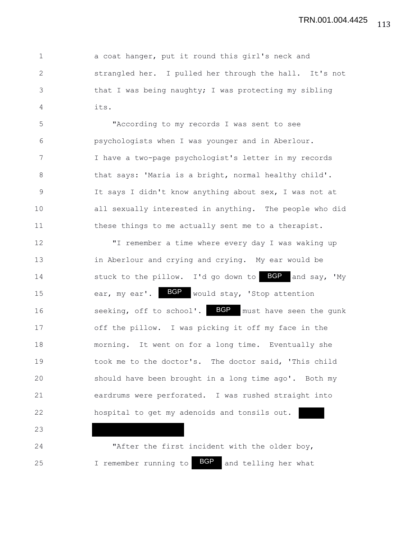1 a coat hanger, put it round this girl's neck and 2 strangled her. I pulled her through the hall. It's not 3 that I was being naughty; I was protecting my sibling 4 its.

5 "According to my records I was sent to see 6 psychologists when I was younger and in Aberlour. 7 I have a two-page psychologist's letter in my records 8 that says: 'Maria is a bright, normal healthy child'. 9 It says I didn't know anything about sex, I was not at 10 all sexually interested in anything. The people who did 11 these things to me actually sent me to a therapist.

12 "I remember a time where every day I was waking up 13 in Aberlour and crying and crying. My ear would be 14 stuck to the pillow. I'd go down to BGP and say, 'My 15 ear, my ear'. BGP would stay, 'Stop attention 16 seeking, off to school'. BGP must have seen the gunk 17 off the pillow. I was picking it off my face in the 18 morning. It went on for a long time. Eventually she 19 took me to the doctor's. The doctor said, 'This child 20 should have been brought in a long time ago'. Both my 21 eardrums were perforated. I was rushed straight into 22 hospital to get my adenoids and tonsils out.

24 "After the first incident with the older boy, 25 I remember running to **BGP** and telling her what BGP

23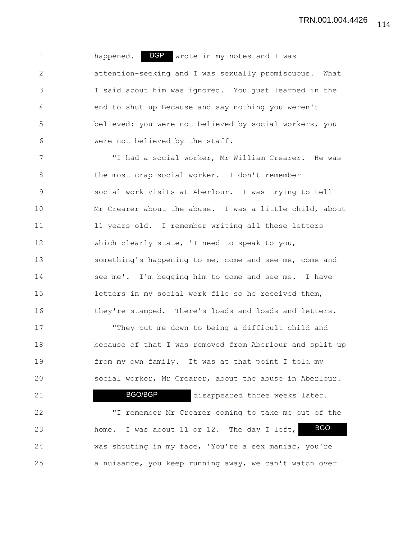1 happened. BGP wrote in my notes and I was 2 attention-seeking and I was sexually promiscuous. What 3 I said about him was ignored. You just learned in the 4 end to shut up Because and say nothing you weren't 5 believed: you were not believed by social workers, you 6 were not believed by the staff.

7 "I had a social worker, Mr William Crearer. He was 8 the most crap social worker. I don't remember 9 social work visits at Aberlour. I was trying to tell 10 Mr Crearer about the abuse. I was a little child, about 11 11 11 years old. I remember writing all these letters 12 which clearly state, 'I need to speak to you, 13 something's happening to me, come and see me, come and 14 see me'. I'm begging him to come and see me. I have 15 letters in my social work file so he received them, 16 they're stamped. There's loads and loads and letters. 17 "They put me down to being a difficult child and

18 because of that I was removed from Aberlour and split up 19 from my own family. It was at that point I told my 20 social worker, Mr Crearer, about the abuse in Aberlour.

21 **BGO/BGP** disappeared three weeks later. 22 "I remember Mr Crearer coming to take me out of the 23 home. I was about 11 or 12. The day I left, 24 was shouting in my face, 'You're a sex maniac, you're 25 a nuisance, you keep running away, we can't watch over BGO BGO/BGP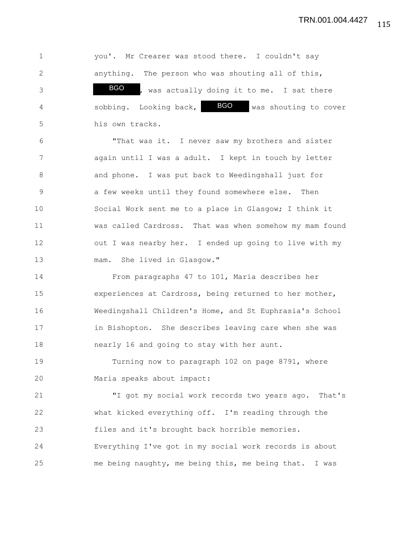TRN.001.004.4427

1 you'. Mr Crearer was stood there. I couldn't say 2 anything. The person who was shouting all of this, 3 BGO, was actually doing it to me. I sat there 4 5 sobbing. Looking back, BGO was shouting to cover 5 his own tracks. 6 "That was it. I never saw my brothers and sister 7 again until I was a adult. I kept in touch by letter 8 and phone. I was put back to Weedingshall just for 9 a few weeks until they found somewhere else. Then 10 Social Work sent me to a place in Glasgow; I think it 11 was called Cardross. That was when somehow my mam found 12 out I was nearby her. I ended up going to live with my 13 mam. She lived in Glasgow." 14 From paragraphs 47 to 101, Maria describes her 15 experiences at Cardross, being returned to her mother, 16 Weedingshall Children's Home, and St Euphrasia's School 17 in Bishopton. She describes leaving care when she was 18 nearly 16 and going to stay with her aunt. 19 Turning now to paragraph 102 on page 8791, where 20 Maria speaks about impact: 21 "I got my social work records two years ago. That's 22 what kicked everything off. I'm reading through the 23 files and it's brought back horrible memories. 24 Everything I've got in my social work records is about 25 me being naughty, me being this, me being that. I was BGO

115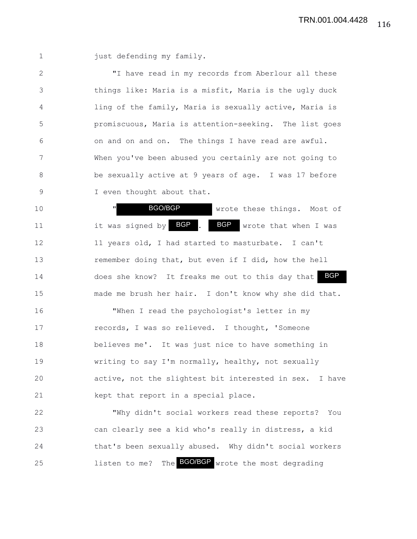1 just defending my family.

2 "I have read in my records from Aberlour all these 3 things like: Maria is a misfit, Maria is the ugly duck 4 ling of the family, Maria is sexually active, Maria is 5 promiscuous, Maria is attention-seeking. The list goes 6 on and on and on. The things I have read are awful. 7 When you've been abused you certainly are not going to 8 be sexually active at 9 years of age. I was 17 before 9 I even thought about that.

10 **" BGO/BGP** wrote these things. Most of 11 11 it was signed by BGP . BGP wrote that when I was 12 11 years old, I had started to masturbate. I can't 13 remember doing that, but even if I did, how the hell 14 does she know? It freaks me out to this day that 15 made me brush her hair. I don't know why she did that. 16 "When I read the psychologist's letter in my 17 records, I was so relieved. I thought, 'Someone 18 believes me'. It was just nice to have something in 19 writing to say I'm normally, healthy, not sexually 20 active, not the slightest bit interested in sex. I have 21 kept that report in a special place. it was signed by **BGP**. BGP BGO/BGP

22 "Why didn't social workers read these reports? You 23 can clearly see a kid who's really in distress, a kid 24 that's been sexually abused. Why didn't social workers 25 1isten to me? The **BGO/BGP** wrote the most degrading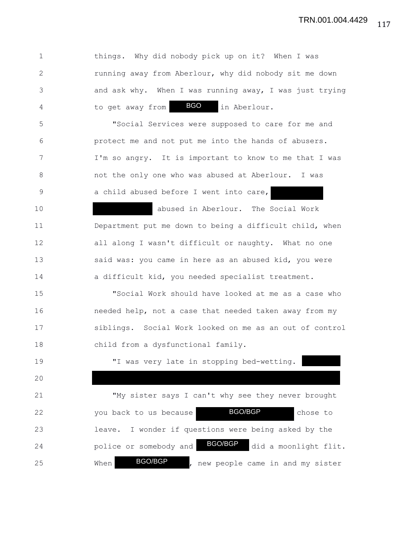1 things. Why did nobody pick up on it? When I was 2 running away from Aberlour, why did nobody sit me down 3 and ask why. When I was running away, I was just trying 4 to get away from **BGO** in Aberlour. 5 "Social Services were supposed to care for me and 6 protect me and not put me into the hands of abusers. 7 I'm so angry. It is important to know to me that I was 8 not the only one who was abused at Aberlour. I was 9 a child abused before I went into care, 10 abused in Aberlour. The Social Work 11 Department put me down to being a difficult child, when 12 all along I wasn't difficult or naughty. What no one 13 said was: you came in here as an abused kid, you were 14 a difficult kid, you needed specialist treatment. 15 "Social Work should have looked at me as a case who 16 needed help, not a case that needed taken away from my 17 siblings. Social Work looked on me as an out of control 18 child from a dysfunctional family. 19 "I was very late in stopping bed-wetting. 20 21 "My sister says I can't why see they never brought 22 you back to us because **BGO/BGP** chose to 23 leave. I wonder if questions were being asked by the 24 **police or somebody and BGO/BGP** did a moonlight flit. 25 When BGO/BGP, new people came in and my sister BGO/BGP BGO/BGP BGO BGO/BGP

117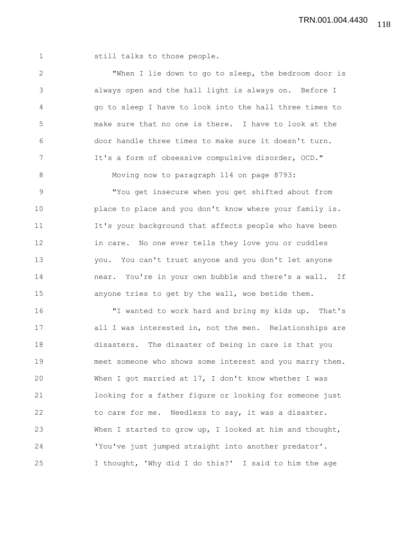1 still talks to those people.

2 "When I lie down to go to sleep, the bedroom door is 3 always open and the hall light is always on. Before I 4 go to sleep I have to look into the hall three times to 5 make sure that no one is there. I have to look at the 6 door handle three times to make sure it doesn't turn. 7 It's a form of obsessive compulsive disorder, OCD." 8 Moving now to paragraph 114 on page 8793: 9 "You get insecure when you get shifted about from 10 place to place and you don't know where your family is. 11 It's your background that affects people who have been 12 in care. No one ever tells they love you or cuddles 13 you. You can't trust anyone and you don't let anyone 14 near. You're in your own bubble and there's a wall. If 15 anyone tries to get by the wall, woe betide them. 16 "I wanted to work hard and bring my kids up. That's 17 all I was interested in, not the men. Relationships are 18 disasters. The disaster of being in care is that you 19 meet someone who shows some interest and you marry them. 20 When I got married at 17, I don't know whether I was 21 looking for a father figure or looking for someone just 22 to care for me. Needless to say, it was a disaster. 23 When I started to grow up, I looked at him and thought, 24 'You've just jumped straight into another predator'. 25 I thought, 'Why did I do this?' I said to him the age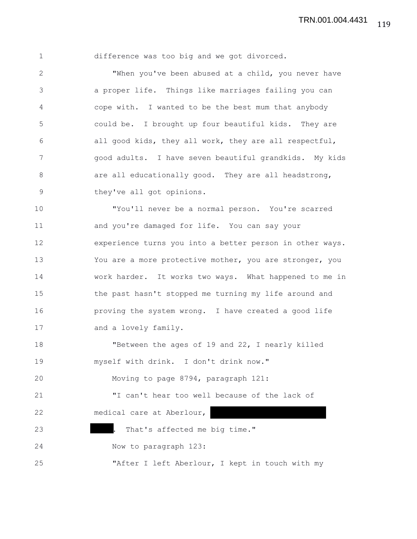| 1            | difference was too big and we got divorced.              |
|--------------|----------------------------------------------------------|
| $\mathbf{2}$ | "When you've been abused at a child, you never have      |
| 3            | a proper life. Things like marriages failing you can     |
| 4            | cope with. I wanted to be the best mum that anybody      |
| 5            | could be. I brought up four beautiful kids. They are     |
| 6            | all good kids, they all work, they are all respectful,   |
| 7            | good adults. I have seven beautiful grandkids. My kids   |
| $\,8\,$      | are all educationally good. They are all headstrong,     |
| $\mathsf 9$  | they've all got opinions.                                |
| 10           | "You'll never be a normal person. You're scarred         |
| 11           | and you're damaged for life. You can say your            |
| 12           | experience turns you into a better person in other ways. |
| 13           | You are a more protective mother, you are stronger, you  |
| 14           | work harder. It works two ways. What happened to me in   |
| 15           | the past hasn't stopped me turning my life around and    |
| 16           | proving the system wrong. I have created a good life     |
| 17           | and a lovely family.                                     |
| 18           | "Between the ages of 19 and 22, I nearly killed          |
| 19           | myself with drink. I don't drink now."                   |
| 20           | Moving to page 8794, paragraph 121:                      |
| 21           | "I can't hear too well because of the lack of            |
| 22           | medical care at Aberlour,                                |

23 **.** That's affected me big time."

24 Now to paragraph 123:

25 "After I left Aberlour, I kept in touch with my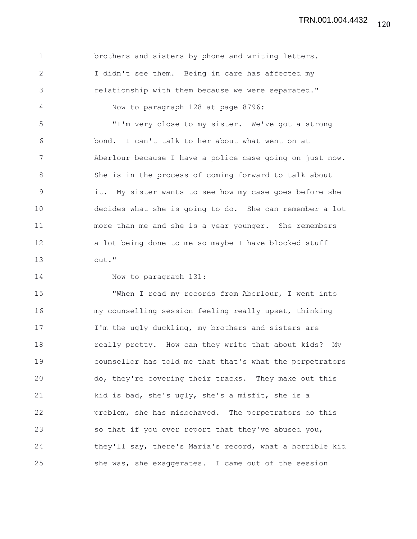1 brothers and sisters by phone and writing letters. 2 I didn't see them. Being in care has affected my 3 relationship with them because we were separated." 4 Now to paragraph 128 at page 8796: 5 "I'm very close to my sister. We've got a strong 6 bond. I can't talk to her about what went on at 7 Aberlour because I have a police case going on just now. 8 She is in the process of coming forward to talk about 9 it. My sister wants to see how my case goes before she 10 decides what she is going to do. She can remember a lot 11 more than me and she is a year younger. She remembers 12 a lot being done to me so maybe I have blocked stuff 13 out."

14 Now to paragraph 131:

15 "When I read my records from Aberlour, I went into 16 my counselling session feeling really upset, thinking 17 I'm the ugly duckling, my brothers and sisters are 18 **really pretty.** How can they write that about kids? My 19 counsellor has told me that that's what the perpetrators 20 do, they're covering their tracks. They make out this 21 kid is bad, she's ugly, she's a misfit, she is a 22 problem, she has misbehaved. The perpetrators do this 23 so that if you ever report that they've abused you, 24 they'll say, there's Maria's record, what a horrible kid 25 she was, she exaggerates. I came out of the session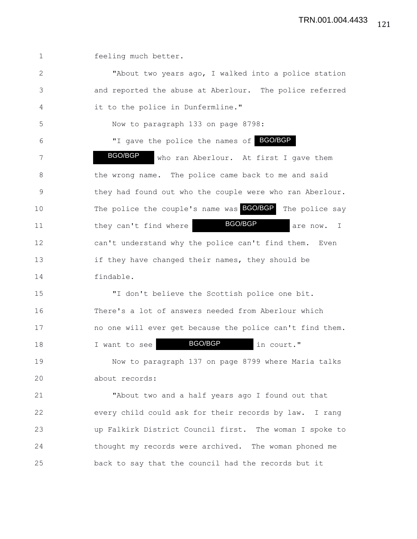1 feeling much better.

2 "About two years ago, I walked into a police station 3 and reported the abuse at Aberlour. The police referred 4 it to the police in Dunfermline." 5 Now to paragraph 133 on page 8798: 6 TI gave the police the names of BGO/BGP 7 BGO/BGP who ran Aberlour. At first I gave them 8 the wrong name. The police came back to me and said 9 they had found out who the couple were who ran Aberlour. 10 The police the couple's name was **BGO/BGP** The police say 11 they can't find where **BGO/BGP** are now. I 12 can't understand why the police can't find them. Even 13 if they have changed their names, they should be 14 findable. 15 "I don't believe the Scottish police one bit. 16 There's a lot of answers needed from Aberlour which 17 no one will ever get because the police can't find them. 18 I want to see **BGO/BGP** in court." 19 Now to paragraph 137 on page 8799 where Maria talks 20 about records: 21 "About two and a half years ago I found out that 22 every child could ask for their records by law. I rang 23 up Falkirk District Council first. The woman I spoke to 24 thought my records were archived. The woman phoned me BGO/BGP BGO/BGP BGO/BGP

25 back to say that the council had the records but it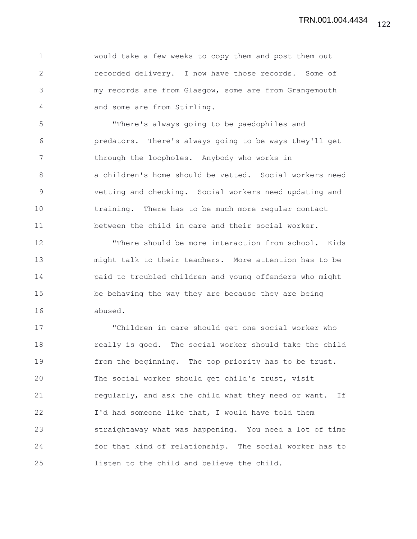1 would take a few weeks to copy them and post them out 2 recorded delivery. I now have those records. Some of 3 my records are from Glasgow, some are from Grangemouth 4 and some are from Stirling.

5 "There's always going to be paedophiles and 6 predators. There's always going to be ways they'll get 7 through the loopholes. Anybody who works in 8 a children's home should be vetted. Social workers need 9 vetting and checking. Social workers need updating and 10 training. There has to be much more regular contact 11 between the child in care and their social worker.

12 "There should be more interaction from school. Kids 13 might talk to their teachers. More attention has to be 14 paid to troubled children and young offenders who might 15 be behaving the way they are because they are being 16 abused.

17 "Children in care should get one social worker who 18 really is good. The social worker should take the child 19 from the beginning. The top priority has to be trust. 20 The social worker should get child's trust, visit 21 regularly, and ask the child what they need or want. If 22 I'd had someone like that, I would have told them 23 straightaway what was happening. You need a lot of time 24 for that kind of relationship. The social worker has to 25 listen to the child and believe the child.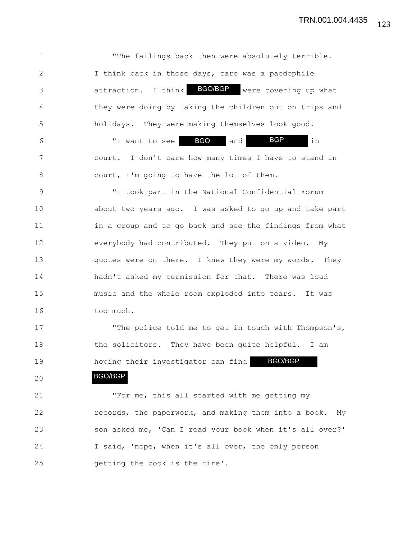1 The failings back then were absolutely terrible. 2 I think back in those days, care was a paedophile 3 attraction. I think BGO/BGP were covering up what 4 they were doing by taking the children out on trips and 5 holidays. They were making themselves look good. 6 TI want to see **BGO** and **BGP** in 7 court. I don't care how many times I have to stand in 8 court, I'm going to have the lot of them. 9 "I took part in the National Confidential Forum 10 about two years ago. I was asked to go up and take part 11 in a group and to go back and see the findings from what 12 everybody had contributed. They put on a video. My 13 quotes were on there. I knew they were my words. They 14 hadn't asked my permission for that. There was loud 15 music and the whole room exploded into tears. It was 16 too much. 17 The police told me to get in touch with Thompson's, 18 the solicitors. They have been quite helpful. I am 19 hoping their investigator can find BGO/BGP 20 21 "For me, this all started with me getting my 22 records, the paperwork, and making them into a book. My 23 son asked me, 'Can I read your book when it's all over?' 24 I said, 'nope, when it's all over, the only person 25 getting the book is the fire'. BGP BGO/BGP

123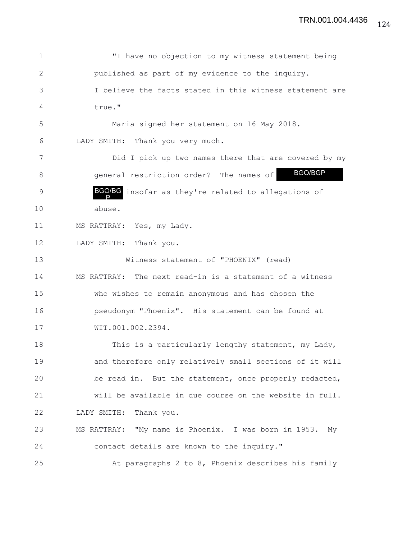| $\mathbf 1$ | "I have no objection to my witness statement being         |
|-------------|------------------------------------------------------------|
| 2           | published as part of my evidence to the inquiry.           |
| 3           | I believe the facts stated in this witness statement are   |
| 4           | true."                                                     |
| 5           | Maria signed her statement on 16 May 2018.                 |
| 6           | LADY SMITH: Thank you very much.                           |
| 7           | Did I pick up two names there that are covered by my       |
| 8           | BGO/BGP<br>general restriction order? The names of         |
| $\mathsf 9$ | BGO/BG insofar as they're related to allegations of        |
| 10          | abuse.                                                     |
| 11          | MS RATTRAY: Yes, my Lady.                                  |
| 12          | LADY SMITH: Thank you.                                     |
| 13          | Witness statement of "PHOENIX" (read)                      |
| 14          | MS RATTRAY: The next read-in is a statement of a witness   |
| 15          | who wishes to remain anonymous and has chosen the          |
| 16          | pseudonym "Phoenix". His statement can be found at         |
| 17          | WIT.001.002.2394.                                          |
| 18          | This is a particularly lengthy statement, my Lady,         |
| 19          | and therefore only relatively small sections of it will    |
| 20          | be read in. But the statement, once properly redacted,     |
| 21          | will be available in due course on the website in full.    |
| 22          | LADY SMITH:<br>Thank you.                                  |
| 23          | MS RATTRAY: "My name is Phoenix. I was born in 1953.<br>My |
| 24          | contact details are known to the inquiry."                 |
| 25          | At paragraphs 2 to 8, Phoenix describes his family         |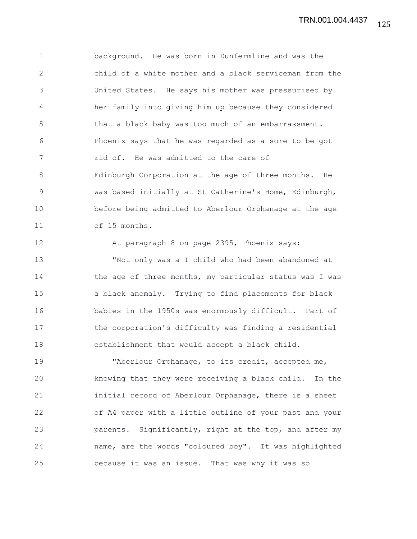1 background. He was born in Dunfermline and was the 2 child of a white mother and a black serviceman from the 3 United States. He says his mother was pressurised by 4 her family into giving him up because they considered 5 that a black baby was too much of an embarrassment. 6 Phoenix says that he was regarded as a sore to be got 7 rid of. He was admitted to the care of 8 Edinburgh Corporation at the age of three months. He 9 was based initially at St Catherine's Home, Edinburgh, 10 before being admitted to Aberlour Orphanage at the age 11 of 15 months.

12 At paragraph 8 on page 2395, Phoenix says: 13 "Not only was a I child who had been abandoned at 14 the age of three months, my particular status was I was 15 a black anomaly. Trying to find placements for black 16 babies in the 1950s was enormously difficult. Part of 17 the corporation's difficulty was finding a residential 18 establishment that would accept a black child.

19 Therlour Orphanage, to its credit, accepted me, 20 knowing that they were receiving a black child. In the 21 initial record of Aberlour Orphanage, there is a sheet 22 of A4 paper with a little outline of your past and your 23 parents. Significantly, right at the top, and after my 24 name, are the words "coloured boy". It was highlighted 25 because it was an issue. That was why it was so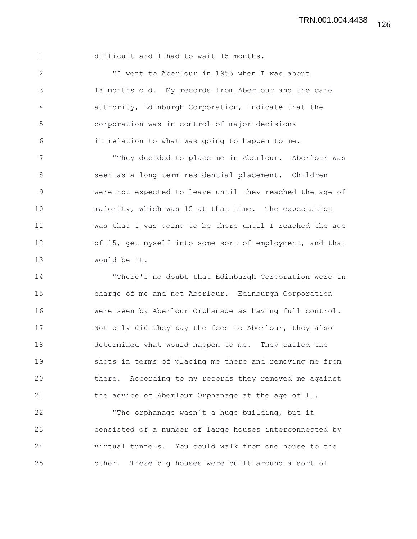126 TRN.001.004.4438

1 difficult and I had to wait 15 months.

2 "I went to Aberlour in 1955 when I was about 3 18 months old. My records from Aberlour and the care 4 authority, Edinburgh Corporation, indicate that the 5 corporation was in control of major decisions 6 in relation to what was going to happen to me.

7 "They decided to place me in Aberlour. Aberlour was 8 seen as a long-term residential placement. Children 9 were not expected to leave until they reached the age of 10 majority, which was 15 at that time. The expectation 11 was that I was going to be there until I reached the age 12 of 15, get myself into some sort of employment, and that 13 would be it.

14 "There's no doubt that Edinburgh Corporation were in 15 charge of me and not Aberlour. Edinburgh Corporation 16 were seen by Aberlour Orphanage as having full control. 17 Not only did they pay the fees to Aberlour, they also 18 determined what would happen to me. They called the 19 shots in terms of placing me there and removing me from 20 there. According to my records they removed me against 21 the advice of Aberlour Orphanage at the age of 11.

22 "The orphanage wasn't a huge building, but it 23 consisted of a number of large houses interconnected by 24 virtual tunnels. You could walk from one house to the 25 other. These big houses were built around a sort of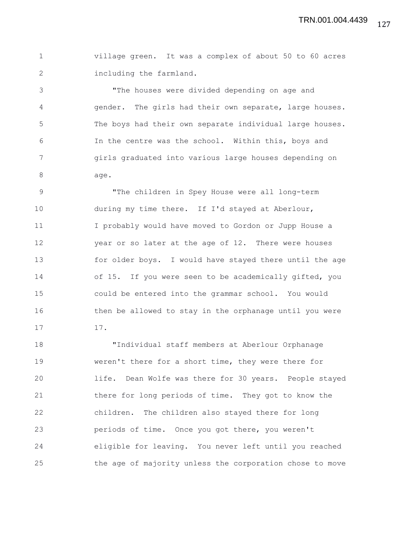1 village green. It was a complex of about 50 to 60 acres 2 including the farmland.

3 "The houses were divided depending on age and 4 gender. The girls had their own separate, large houses. 5 The boys had their own separate individual large houses. 6 In the centre was the school. Within this, boys and 7 girls graduated into various large houses depending on 8 age.

9 The children in Spey House were all long-term 10 during my time there. If I'd stayed at Aberlour, 11 I probably would have moved to Gordon or Jupp House a 12 year or so later at the age of 12. There were houses 13 for older boys. I would have stayed there until the age 14 of 15. If you were seen to be academically gifted, you 15 could be entered into the grammar school. You would 16 then be allowed to stay in the orphanage until you were 17 17.

18 "Individual staff members at Aberlour Orphanage 19 weren't there for a short time, they were there for 20 life. Dean Wolfe was there for 30 years. People stayed 21 there for long periods of time. They got to know the 22 children. The children also stayed there for long 23 periods of time. Once you got there, you weren't 24 eligible for leaving. You never left until you reached 25 the age of majority unless the corporation chose to move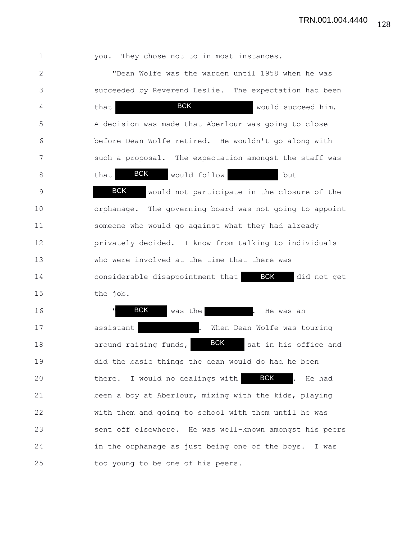TRN.001.004.4440

| $\mathbf{1}$ | you. They chose not to in most instances.                     |
|--------------|---------------------------------------------------------------|
| 2            | "Dean Wolfe was the warden until 1958 when he was             |
| 3            | succeeded by Reverend Leslie. The expectation had been        |
| 4            | <b>BCK</b><br>would succeed him.<br>that                      |
| 5            | A decision was made that Aberlour was going to close          |
| 6            | before Dean Wolfe retired. He wouldn't go along with          |
| 7            | such a proposal. The expectation amongst the staff was        |
| 8            | <b>BCK</b><br>would follow<br>that<br>but                     |
| $\mathsf 9$  | <b>BCK</b><br>would not participate in the closure of the     |
| 10           | orphanage. The governing board was not going to appoint       |
| 11           | someone who would go against what they had already            |
| 12           | privately decided. I know from talking to individuals         |
| 13           | who were involved at the time that there was                  |
| 14           | <b>BCK</b><br>considerable disappointment that<br>did not get |
| 15           | the job.                                                      |
| 16           | <b>BCK</b><br>was the<br>He was an                            |
| 17           | assistant<br>When Dean Wolfe was touring                      |
| 18           | <b>BCK</b><br>sat in his office and<br>around raising funds,  |
| 19           | did the basic things the dean would do had he been            |
| 20           | <b>BCK</b><br>I would no dealings with<br>He had<br>there.    |
| 21           | been a boy at Aberlour, mixing with the kids, playing         |
| 22           | with them and going to school with them until he was          |
| 23           | sent off elsewhere. He was well-known amongst his peers       |
| 24           | in the orphanage as just being one of the boys.<br>I was      |
| 25           | too young to be one of his peers.                             |

128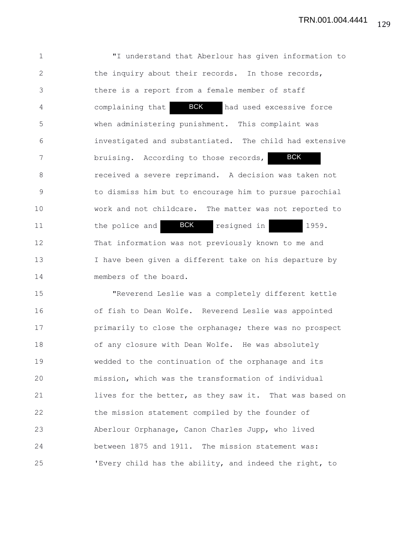1 "I understand that Aberlour has given information to 2 the inquiry about their records. In those records, 3 there is a report from a female member of staff 4 complaining that **BCK** had used excessive force 5 when administering punishment. This complaint was 6 investigated and substantiated. The child had extensive 7 bruising. According to those records, 8 received a severe reprimand. A decision was taken not 9 to dismiss him but to encourage him to pursue parochial 10 work and not childcare. The matter was not reported to 11 the police and **BCK** resigned in 1959. 12 That information was not previously known to me and 13 I have been given a different take on his departure by 14 members of the board. **BCK** BCK

15 "Reverend Leslie was a completely different kettle 16 of fish to Dean Wolfe. Reverend Leslie was appointed 17 **primarily to close the orphanage; there was no prospect** 18 of any closure with Dean Wolfe. He was absolutely 19 wedded to the continuation of the orphanage and its 20 mission, which was the transformation of individual 21 lives for the better, as they saw it. That was based on 22 the mission statement compiled by the founder of 23 Aberlour Orphanage, Canon Charles Jupp, who lived 24 between 1875 and 1911. The mission statement was: 25 'Every child has the ability, and indeed the right, to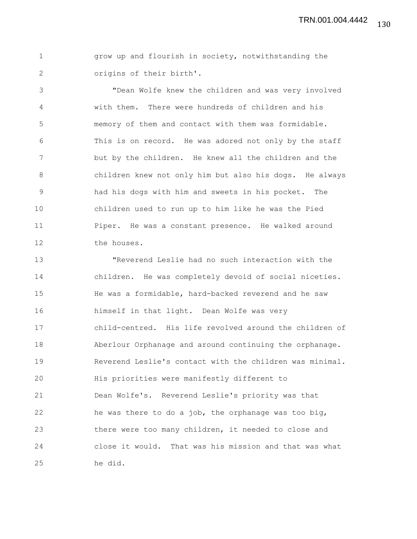130 TRN.001.004.4442

1 grow up and flourish in society, notwithstanding the 2 origins of their birth'.

3 "Dean Wolfe knew the children and was very involved 4 with them. There were hundreds of children and his 5 memory of them and contact with them was formidable. 6 This is on record. He was adored not only by the staff 7 but by the children. He knew all the children and the 8 children knew not only him but also his dogs. He always 9 had his dogs with him and sweets in his pocket. The 10 children used to run up to him like he was the Pied 11 Piper. He was a constant presence. He walked around 12 the houses.

13 "Reverend Leslie had no such interaction with the 14 children. He was completely devoid of social niceties. 15 He was a formidable, hard-backed reverend and he saw 16 himself in that light. Dean Wolfe was very 17 child-centred. His life revolved around the children of 18 Aberlour Orphanage and around continuing the orphanage. 19 Reverend Leslie's contact with the children was minimal. 20 His priorities were manifestly different to 21 Dean Wolfe's. Reverend Leslie's priority was that 22 he was there to do a job, the orphanage was too big, 23 there were too many children, it needed to close and 24 close it would. That was his mission and that was what 25 he did.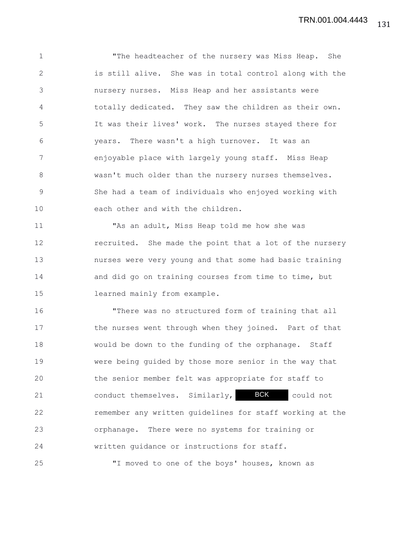1 "The headteacher of the nursery was Miss Heap. She 2 is still alive. She was in total control along with the 3 nursery nurses. Miss Heap and her assistants were 4 totally dedicated. They saw the children as their own. 5 It was their lives' work. The nurses stayed there for 6 years. There wasn't a high turnover. It was an 7 enjoyable place with largely young staff. Miss Heap 8 wasn't much older than the nursery nurses themselves. 9 She had a team of individuals who enjoyed working with 10 each other and with the children.

11 "As an adult, Miss Heap told me how she was 12 recruited. She made the point that a lot of the nursery 13 nurses were very young and that some had basic training 14 and did go on training courses from time to time, but 15 learned mainly from example.

16 "There was no structured form of training that all 17 the nurses went through when they joined. Part of that 18 would be down to the funding of the orphanage. Staff 19 were being guided by those more senior in the way that 20 the senior member felt was appropriate for staff to 21 conduct themselves. Similarly, BCK could not 22 remember any written guidelines for staff working at the 23 orphanage. There were no systems for training or 24 written guidance or instructions for staff. 25 "I moved to one of the boys' houses, known as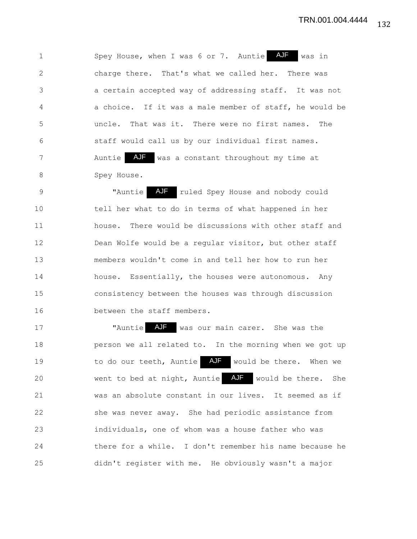1 Spey House, when I was 6 or 7. Auntie AJF was in 2 charge there. That's what we called her. There was 3 a certain accepted way of addressing staff. It was not 4 a choice. If it was a male member of staff, he would be 5 uncle. That was it. There were no first names. The 6 staff would call us by our individual first names. 7 Mantie AJF was a constant throughout my time at 8 Spey House.

9 Thuntie AJF ruled Spey House and nobody could 10 tell her what to do in terms of what happened in her 11 house. There would be discussions with other staff and 12 Dean Wolfe would be a regular visitor, but other staff 13 members wouldn't come in and tell her how to run her 14 house. Essentially, the houses were autonomous. Any 15 consistency between the houses was through discussion 16 between the staff members.

17 Thuntie AJF was our main carer. She was the 18 **person we all related to.** In the morning when we got up 19 to do our teeth, Auntie AJF would be there. When we 20 went to bed at night, Auntie AJF would be there. She 21 was an absolute constant in our lives. It seemed as if 22 she was never away. She had periodic assistance from 23 individuals, one of whom was a house father who was 24 there for a while. I don't remember his name because he 25 didn't register with me. He obviously wasn't a major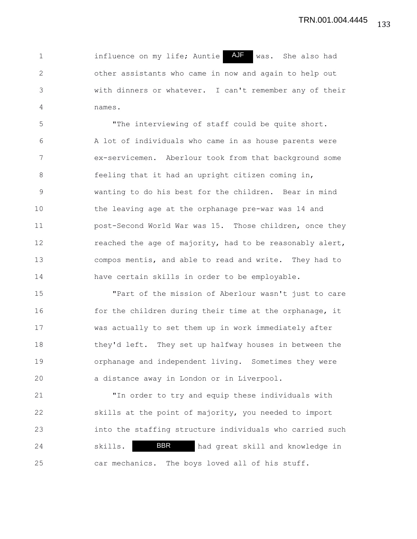1 1 influence on my life; Auntie AUF was. She also had 2 other assistants who came in now and again to help out 3 with dinners or whatever. I can't remember any of their 4 names.

5 "The interviewing of staff could be quite short. 6 A lot of individuals who came in as house parents were 7 ex-servicemen. Aberlour took from that background some 8 feeling that it had an upright citizen coming in, 9 wanting to do his best for the children. Bear in mind 10 the leaving age at the orphanage pre-war was 14 and 11 post-Second World War was 15. Those children, once they 12 reached the age of majority, had to be reasonably alert, 13 compos mentis, and able to read and write. They had to 14 have certain skills in order to be employable.

15 "Part of the mission of Aberlour wasn't just to care 16 for the children during their time at the orphanage, it 17 was actually to set them up in work immediately after 18 they'd left. They set up halfway houses in between the 19 orphanage and independent living. Sometimes they were 20 a distance away in London or in Liverpool.

21 "In order to try and equip these individuals with 22 skills at the point of majority, you needed to import 23 into the staffing structure individuals who carried such 24 skills. **BBR** had great skill and knowledge in 25 car mechanics. The boys loved all of his stuff. BBR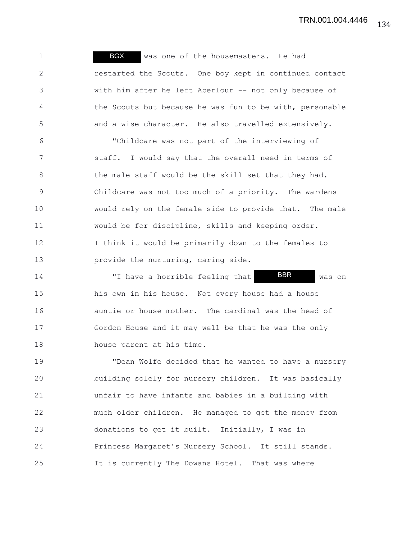1 BGX was one of the housemasters. He had 2 restarted the Scouts. One boy kept in continued contact 3 with him after he left Aberlour -- not only because of 4 the Scouts but because he was fun to be with, personable 5 and a wise character. He also travelled extensively.

6 "Childcare was not part of the interviewing of 7 staff. I would say that the overall need in terms of 8 the male staff would be the skill set that they had. 9 Childcare was not too much of a priority. The wardens 10 would rely on the female side to provide that. The male 11 would be for discipline, skills and keeping order. 12 I think it would be primarily down to the females to 13 **provide the nurturing, caring side.** 

14 Thave a horrible feeling that **BBR** was on 15 his own in his house. Not every house had a house 16 auntie or house mother. The cardinal was the head of 17 Gordon House and it may well be that he was the only 18 house parent at his time. BBR

19 "Dean Wolfe decided that he wanted to have a nursery 20 building solely for nursery children. It was basically 21 unfair to have infants and babies in a building with 22 much older children. He managed to get the money from 23 donations to get it built. Initially, I was in 24 Princess Margaret's Nursery School. It still stands. 25 It is currently The Dowans Hotel. That was where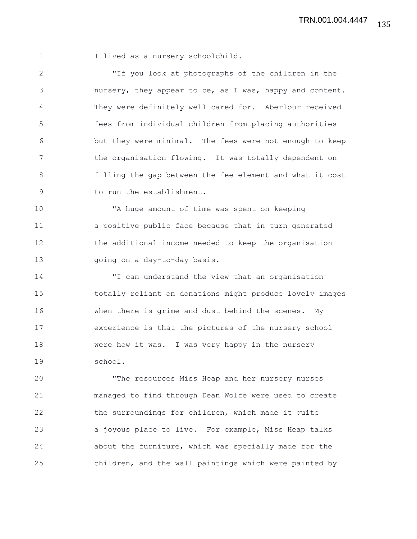1 I lived as a nursery schoolchild.

2 "If you look at photographs of the children in the 3 nursery, they appear to be, as I was, happy and content. 4 They were definitely well cared for. Aberlour received 5 fees from individual children from placing authorities 6 but they were minimal. The fees were not enough to keep 7 the organisation flowing. It was totally dependent on 8 filling the gap between the fee element and what it cost 9 to run the establishment.

10 "A huge amount of time was spent on keeping 11 a positive public face because that in turn generated 12 the additional income needed to keep the organisation 13 going on a day-to-day basis.

14 "I can understand the view that an organisation 15 totally reliant on donations might produce lovely images 16 when there is grime and dust behind the scenes. My 17 experience is that the pictures of the nursery school 18 were how it was. I was very happy in the nursery 19 school.

20 "The resources Miss Heap and her nursery nurses 21 managed to find through Dean Wolfe were used to create 22 the surroundings for children, which made it quite 23 a joyous place to live. For example, Miss Heap talks 24 about the furniture, which was specially made for the 25 children, and the wall paintings which were painted by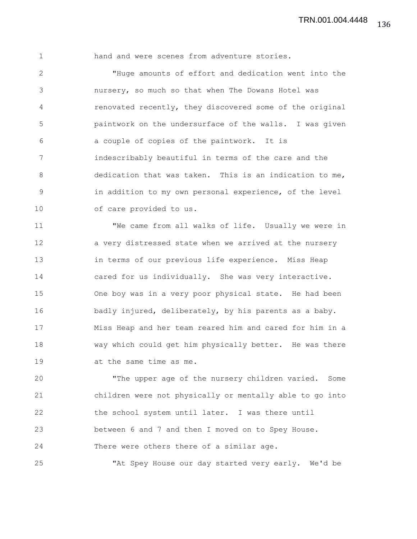1 hand and were scenes from adventure stories.

2 "Huge amounts of effort and dedication went into the 3 nursery, so much so that when The Dowans Hotel was 4 renovated recently, they discovered some of the original 5 paintwork on the undersurface of the walls. I was given 6 a couple of copies of the paintwork. It is 7 indescribably beautiful in terms of the care and the 8 dedication that was taken. This is an indication to me, 9 in addition to my own personal experience, of the level 10 of care provided to us.

11 "We came from all walks of life. Usually we were in 12 a very distressed state when we arrived at the nursery 13 in terms of our previous life experience. Miss Heap 14 cared for us individually. She was very interactive. 15 One boy was in a very poor physical state. He had been 16 badly injured, deliberately, by his parents as a baby. 17 Miss Heap and her team reared him and cared for him in a 18 way which could get him physically better. He was there 19 at the same time as me.

20 "The upper age of the nursery children varied. Some 21 children were not physically or mentally able to go into 22 the school system until later. I was there until 23 between 6 and 7 and then I moved on to Spey House. 24 There were others there of a similar age.

25 "At Spey House our day started very early. We'd be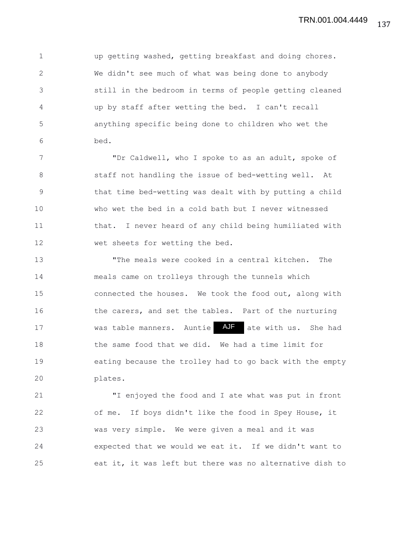1 up getting washed, getting breakfast and doing chores. 2 We didn't see much of what was being done to anybody 3 still in the bedroom in terms of people getting cleaned 4 up by staff after wetting the bed. I can't recall 5 anything specific being done to children who wet the 6 bed.

7 "Dr Caldwell, who I spoke to as an adult, spoke of 8 staff not handling the issue of bed-wetting well. At 9 that time bed-wetting was dealt with by putting a child 10 who wet the bed in a cold bath but I never witnessed 11 that. I never heard of any child being humiliated with 12 wet sheets for wetting the bed.

13 The meals were cooked in a central kitchen. The 14 meals came on trolleys through the tunnels which 15 connected the houses. We took the food out, along with 16 the carers, and set the tables. Part of the nurturing 17 was table manners. Auntie AJF ate with us. She had 18 the same food that we did. We had a time limit for 19 eating because the trolley had to go back with the empty 20 plates.

21 "I enjoyed the food and I ate what was put in front 22 of me. If boys didn't like the food in Spey House, it 23 was very simple. We were given a meal and it was 24 expected that we would we eat it. If we didn't want to 25 eat it, it was left but there was no alternative dish to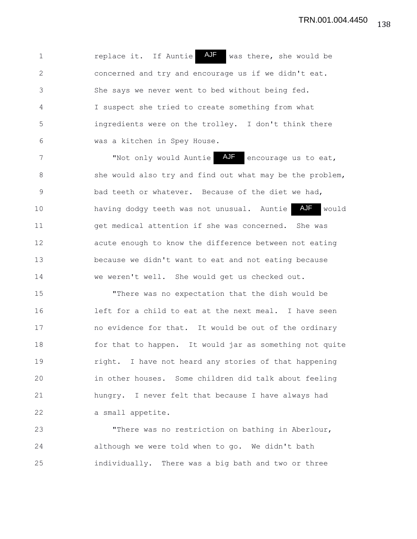1 1 replace it. If Auntie AJF was there, she would be 2 concerned and try and encourage us if we didn't eat. 3 She says we never went to bed without being fed. 4 I suspect she tried to create something from what 5 ingredients were on the trolley. I don't think there 6 was a kitchen in Spey House.

7 The "Not only would Auntie AJF encourage us to eat, 8 she would also try and find out what may be the problem, 9 bad teeth or whatever. Because of the diet we had, 10 having dodgy teeth was not unusual. Auntie AJF would 11 get medical attention if she was concerned. She was 12 acute enough to know the difference between not eating 13 because we didn't want to eat and not eating because 14 we weren't well. She would get us checked out. AJF

15 "There was no expectation that the dish would be 16 left for a child to eat at the next meal. I have seen 17 no evidence for that. It would be out of the ordinary 18 for that to happen. It would jar as something not quite 19 right. I have not heard any stories of that happening 20 in other houses. Some children did talk about feeling 21 hungry. I never felt that because I have always had 22 a small appetite.

23 "There was no restriction on bathing in Aberlour, 24 although we were told when to go. We didn't bath 25 individually. There was a big bath and two or three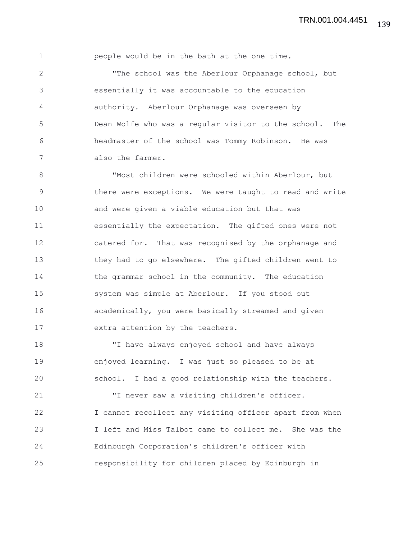1 people would be in the bath at the one time.

2 "The school was the Aberlour Orphanage school, but 3 essentially it was accountable to the education 4 authority. Aberlour Orphanage was overseen by 5 Dean Wolfe who was a regular visitor to the school. The 6 headmaster of the school was Tommy Robinson. He was 7 also the farmer.

8 "Most children were schooled within Aberlour, but 9 there were exceptions. We were taught to read and write 10 and were given a viable education but that was 11 essentially the expectation. The gifted ones were not 12 catered for. That was recognised by the orphanage and 13 they had to go elsewhere. The gifted children went to 14 the grammar school in the community. The education 15 system was simple at Aberlour. If you stood out 16 academically, you were basically streamed and given 17 extra attention by the teachers.

18 "I have always enjoyed school and have always 19 enjoyed learning. I was just so pleased to be at 20 school. I had a good relationship with the teachers.

21 "I never saw a visiting children's officer. 22 I cannot recollect any visiting officer apart from when 23 I left and Miss Talbot came to collect me. She was the 24 Edinburgh Corporation's children's officer with 25 responsibility for children placed by Edinburgh in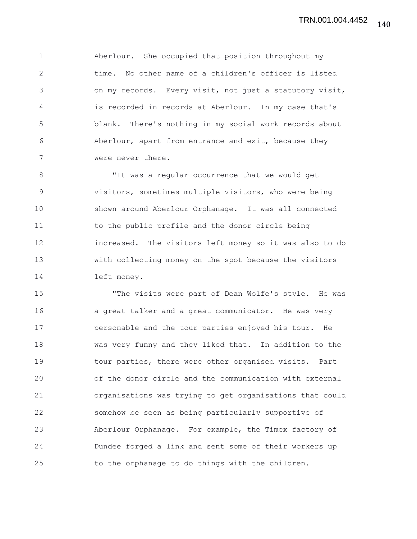1 Aberlour. She occupied that position throughout my 2 time. No other name of a children's officer is listed 3 on my records. Every visit, not just a statutory visit, 4 is recorded in records at Aberlour. In my case that's 5 blank. There's nothing in my social work records about 6 Aberlour, apart from entrance and exit, because they 7 were never there.

8 The was a reqular occurrence that we would get 9 visitors, sometimes multiple visitors, who were being 10 shown around Aberlour Orphanage. It was all connected 11 to the public profile and the donor circle being 12 increased. The visitors left money so it was also to do 13 with collecting money on the spot because the visitors 14 left money.

15 "The visits were part of Dean Wolfe's style. He was 16 **a** a great talker and a great communicator. He was very 17 personable and the tour parties enjoyed his tour. He 18 was very funny and they liked that. In addition to the 19 tour parties, there were other organised visits. Part 20 of the donor circle and the communication with external 21 organisations was trying to get organisations that could 22 somehow be seen as being particularly supportive of 23 Aberlour Orphanage. For example, the Timex factory of 24 Dundee forged a link and sent some of their workers up 25 to the orphanage to do things with the children.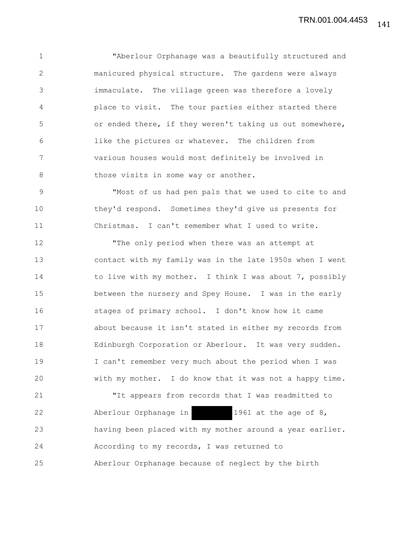1 "Aberlour Orphanage was a beautifully structured and 2 manicured physical structure. The gardens were always 3 immaculate. The village green was therefore a lovely 4 place to visit. The tour parties either started there 5 or ended there, if they weren't taking us out somewhere, 6 like the pictures or whatever. The children from 7 various houses would most definitely be involved in 8 those visits in some way or another.

9 "Most of us had pen pals that we used to cite to and 10 they'd respond. Sometimes they'd give us presents for 11 Christmas. I can't remember what I used to write.

12 "The only period when there was an attempt at 13 contact with my family was in the late 1950s when I went 14 to live with my mother. I think I was about 7, possibly 15 between the nursery and Spey House. I was in the early 16 stages of primary school. I don't know how it came 17 about because it isn't stated in either my records from 18 Edinburgh Corporation or Aberlour. It was very sudden. 19 I can't remember very much about the period when I was 20 with my mother. I do know that it was not a happy time.

21 "It appears from records that I was readmitted to 22 Aberlour Orphanage in 1961 at the age of 8, 23 having been placed with my mother around a year earlier. 24 According to my records, I was returned to 25 Aberlour Orphanage because of neglect by the birth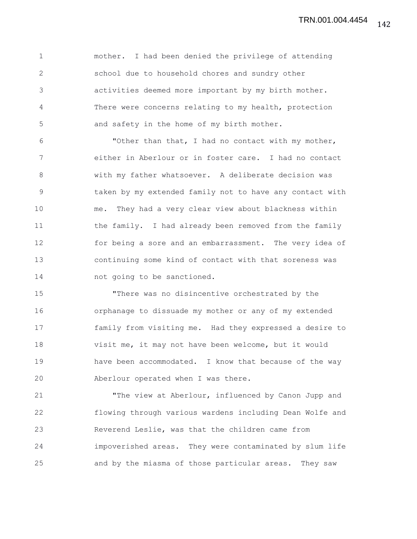1 mother. I had been denied the privilege of attending 2 school due to household chores and sundry other 3 activities deemed more important by my birth mother. 4 There were concerns relating to my health, protection 5 and safety in the home of my birth mother.

6 "Other than that, I had no contact with my mother, 7 either in Aberlour or in foster care. I had no contact 8 with my father whatsoever. A deliberate decision was 9 taken by my extended family not to have any contact with 10 me. They had a very clear view about blackness within 11 the family. I had already been removed from the family 12 for being a sore and an embarrassment. The very idea of 13 continuing some kind of contact with that soreness was 14 **not** going to be sanctioned.

15 "There was no disincentive orchestrated by the 16 orphanage to dissuade my mother or any of my extended 17 family from visiting me. Had they expressed a desire to 18 visit me, it may not have been welcome, but it would 19 have been accommodated. I know that because of the way 20 Aberlour operated when I was there.

21 "The view at Aberlour, influenced by Canon Jupp and 22 flowing through various wardens including Dean Wolfe and 23 Reverend Leslie, was that the children came from 24 impoverished areas. They were contaminated by slum life 25 and by the miasma of those particular areas. They saw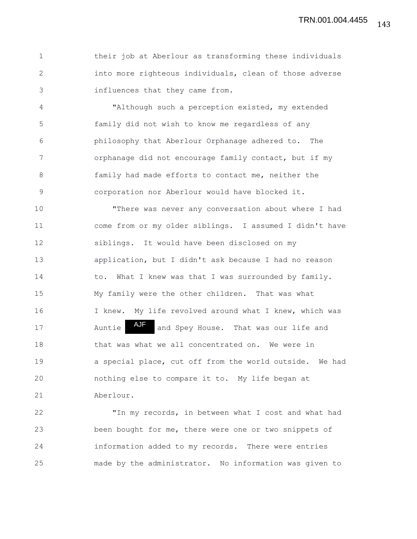1 their job at Aberlour as transforming these individuals 2 into more righteous individuals, clean of those adverse 3 influences that they came from.

4 "Although such a perception existed, my extended 5 family did not wish to know me regardless of any 6 philosophy that Aberlour Orphanage adhered to. The 7 orphanage did not encourage family contact, but if my 8 family had made efforts to contact me, neither the 9 corporation nor Aberlour would have blocked it.

10 "There was never any conversation about where I had 11 come from or my older siblings. I assumed I didn't have 12 siblings. It would have been disclosed on my 13 application, but I didn't ask because I had no reason 14 to. What I knew was that I was surrounded by family. 15 My family were the other children. That was what 16 I knew. My life revolved around what I knew, which was 17 Auntie Auft and Spey House. That was our life and 18 that was what we all concentrated on. We were in 19 a special place, cut off from the world outside. We had 20 nothing else to compare it to. My life began at 21 Aberlour. AJF

22 "In my records, in between what I cost and what had 23 been bought for me, there were one or two snippets of 24 information added to my records. There were entries 25 made by the administrator. No information was given to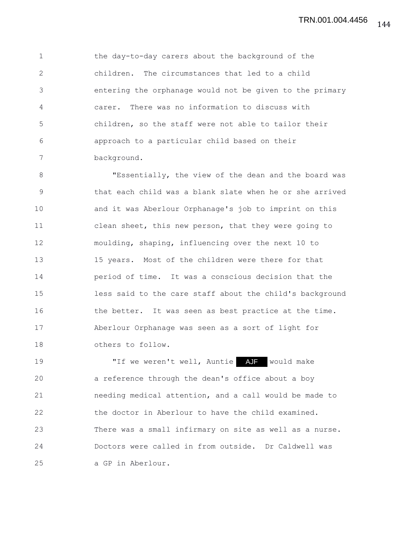1 the day-to-day carers about the background of the 2 children. The circumstances that led to a child 3 entering the orphanage would not be given to the primary 4 carer. There was no information to discuss with 5 children, so the staff were not able to tailor their 6 approach to a particular child based on their 7 background.

8 "Essentially, the view of the dean and the board was 9 that each child was a blank slate when he or she arrived 10 and it was Aberlour Orphanage's job to imprint on this 11 clean sheet, this new person, that they were going to 12 moulding, shaping, influencing over the next 10 to 13 15 years. Most of the children were there for that 14 period of time. It was a conscious decision that the 15 less said to the care staff about the child's background 16 the better. It was seen as best practice at the time. 17 Aberlour Orphanage was seen as a sort of light for 18 others to follow.

19 The weren't well, Auntie AJF would make 20 a reference through the dean's office about a boy 21 needing medical attention, and a call would be made to 22 the doctor in Aberlour to have the child examined. 23 There was a small infirmary on site as well as a nurse. 24 Doctors were called in from outside. Dr Caldwell was 25 a GP in Aberlour.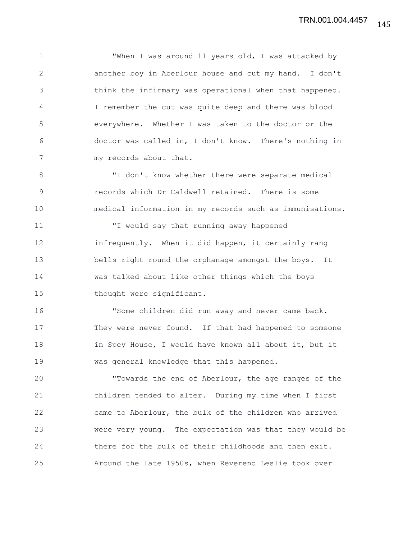1 TWhen I was around 11 years old, I was attacked by 2 another boy in Aberlour house and cut my hand. I don't 3 think the infirmary was operational when that happened. 4 I remember the cut was quite deep and there was blood 5 everywhere. Whether I was taken to the doctor or the 6 doctor was called in, I don't know. There's nothing in 7 my records about that.

8 "I don't know whether there were separate medical 9 records which Dr Caldwell retained. There is some 10 medical information in my records such as immunisations.

11 "I would say that running away happened 12 infrequently. When it did happen, it certainly rang 13 bells right round the orphanage amongst the boys. It 14 was talked about like other things which the boys 15 thought were significant.

16 "Some children did run away and never came back. 17 They were never found. If that had happened to someone 18 in Spey House, I would have known all about it, but it 19 was general knowledge that this happened.

20 "Towards the end of Aberlour, the age ranges of the 21 children tended to alter. During my time when I first 22 came to Aberlour, the bulk of the children who arrived 23 were very young. The expectation was that they would be 24 there for the bulk of their childhoods and then exit. 25 Around the late 1950s, when Reverend Leslie took over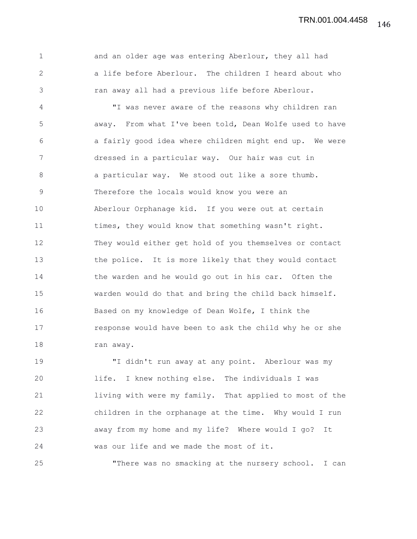1 and an older age was entering Aberlour, they all had 2 a life before Aberlour. The children I heard about who 3 ran away all had a previous life before Aberlour.

4 "I was never aware of the reasons why children ran 5 away. From what I've been told, Dean Wolfe used to have 6 a fairly good idea where children might end up. We were 7 dressed in a particular way. Our hair was cut in 8 a particular way. We stood out like a sore thumb. 9 Therefore the locals would know you were an 10 Aberlour Orphanage kid. If you were out at certain 11 times, they would know that something wasn't right. 12 They would either get hold of you themselves or contact 13 the police. It is more likely that they would contact 14 the warden and he would go out in his car. Often the 15 warden would do that and bring the child back himself. 16 Based on my knowledge of Dean Wolfe, I think the 17 response would have been to ask the child why he or she 18 ran away.

19 "I didn't run away at any point. Aberlour was my 20 life. I knew nothing else. The individuals I was 21 living with were my family. That applied to most of the 22 children in the orphanage at the time. Why would I run 23 away from my home and my life? Where would I go? It 24 was our life and we made the most of it.

25 "There was no smacking at the nursery school. I can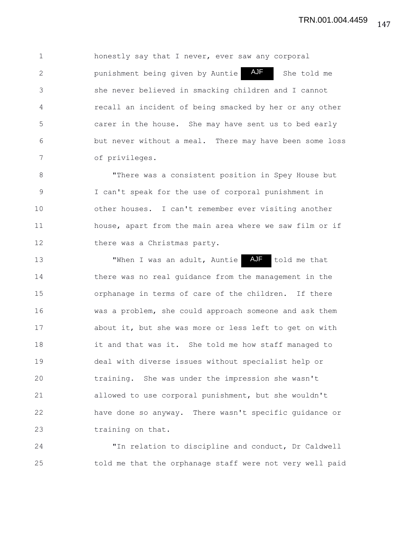1 honestly say that I never, ever saw any corporal 2 **punishment being given by Auntie AJF** She told me 3 she never believed in smacking children and I cannot 4 recall an incident of being smacked by her or any other 5 carer in the house. She may have sent us to bed early 6 but never without a meal. There may have been some loss 7 of privileges. AJF

8 "There was a consistent position in Spey House but 9 I can't speak for the use of corporal punishment in 10 other houses. I can't remember ever visiting another 11 house, apart from the main area where we saw film or if 12 there was a Christmas party.

13 TWhen I was an adult, Auntie AJF told me that 14 there was no real guidance from the management in the 15 orphanage in terms of care of the children. If there 16 was a problem, she could approach someone and ask them 17 about it, but she was more or less left to get on with 18 it and that was it. She told me how staff managed to 19 deal with diverse issues without specialist help or 20 training. She was under the impression she wasn't 21 allowed to use corporal punishment, but she wouldn't 22 have done so anyway. There wasn't specific guidance or 23 training on that. AJF

24 "In relation to discipline and conduct, Dr Caldwell 25 told me that the orphanage staff were not very well paid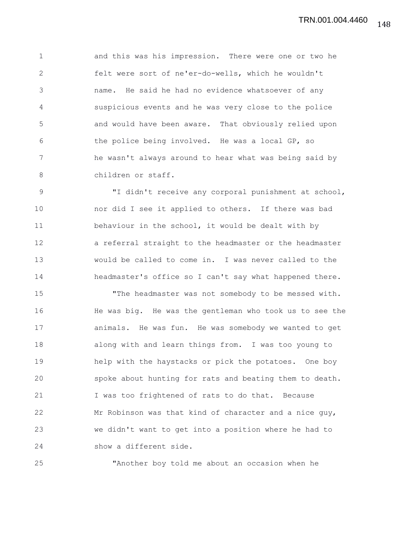1 and this was his impression. There were one or two he 2 felt were sort of ne'er-do-wells, which he wouldn't 3 name. He said he had no evidence whatsoever of any 4 suspicious events and he was very close to the police 5 and would have been aware. That obviously relied upon 6 the police being involved. He was a local GP, so 7 he wasn't always around to hear what was being said by 8 children or staff.

9 "I didn't receive any corporal punishment at school, 10 nor did I see it applied to others. If there was bad 11 behaviour in the school, it would be dealt with by 12 a referral straight to the headmaster or the headmaster 13 would be called to come in. I was never called to the 14 headmaster's office so I can't say what happened there.

15 "The headmaster was not somebody to be messed with. 16 He was big. He was the gentleman who took us to see the 17 animals. He was fun. He was somebody we wanted to get 18 along with and learn things from. I was too young to 19 help with the haystacks or pick the potatoes. One boy 20 spoke about hunting for rats and beating them to death. 21 I was too frightened of rats to do that. Because 22 Mr Robinson was that kind of character and a nice guy, 23 we didn't want to get into a position where he had to 24 show a different side.

25 "Another boy told me about an occasion when he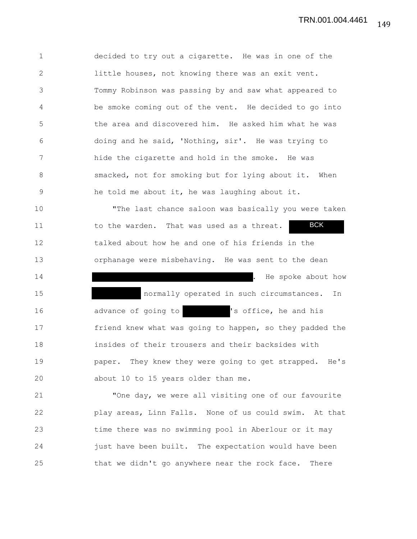1 decided to try out a cigarette. He was in one of the 2 little houses, not knowing there was an exit vent. 3 Tommy Robinson was passing by and saw what appeared to 4 be smoke coming out of the vent. He decided to go into 5 the area and discovered him. He asked him what he was 6 doing and he said, 'Nothing, sir'. He was trying to 7 hide the cigarette and hold in the smoke. He was 8 smacked, not for smoking but for lying about it. When 9 he told me about it, he was laughing about it. 10 "The last chance saloon was basically you were taken 11 to the warden. That was used as a threat. 12 talked about how he and one of his friends in the 13 orphanage were misbehaving. He was sent to the dean 14 . He spoke about how 15 normally operated in such circumstances. In 16 advance of going to 's office, he and his 17 friend knew what was going to happen, so they padded the 18 insides of their trousers and their backsides with 19 paper. They knew they were going to get strapped. He's 20 about 10 to 15 years older than me. 21 "One day, we were all visiting one of our favourite 22 play areas, Linn Falls. None of us could swim. At that 23 time there was no swimming pool in Aberlour or it may 24 just have been built. The expectation would have been BCK

25 that we didn't go anywhere near the rock face. There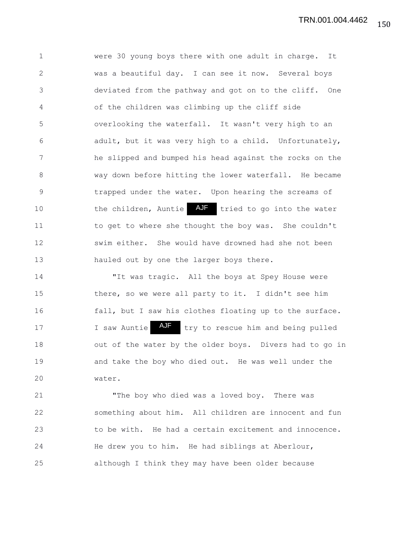1 were 30 young boys there with one adult in charge. It 2 was a beautiful day. I can see it now. Several boys 3 deviated from the pathway and got on to the cliff. One 4 of the children was climbing up the cliff side 5 overlooking the waterfall. It wasn't very high to an 6 adult, but it was very high to a child. Unfortunately, 7 he slipped and bumped his head against the rocks on the 8 way down before hitting the lower waterfall. He became 9 trapped under the water. Upon hearing the screams of 10 the children, Auntie AJF tried to go into the water 11 to get to where she thought the boy was. She couldn't 12 swim either. She would have drowned had she not been 13 hauled out by one the larger boys there.

14 "It was tragic. All the boys at Spey House were 15 there, so we were all party to it. I didn't see him 16 fall, but I saw his clothes floating up to the surface. 17 1 I saw Auntie AUF try to rescue him and being pulled 18 out of the water by the older boys. Divers had to go in 19 and take the boy who died out. He was well under the 20 water.

21 "The boy who died was a loved boy. There was 22 something about him. All children are innocent and fun 23 to be with. He had a certain excitement and innocence. 24 He drew you to him. He had siblings at Aberlour, 25 although I think they may have been older because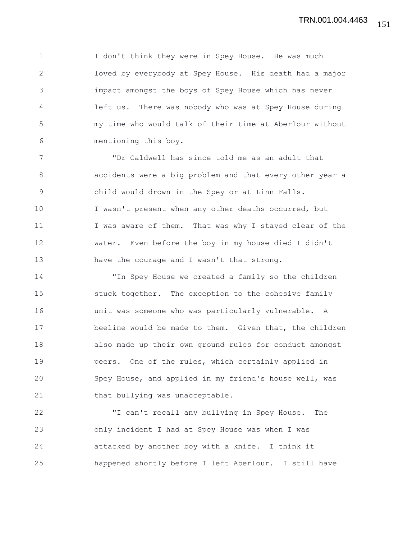1 I don't think they were in Spey House. He was much 2 loved by everybody at Spey House. His death had a major 3 impact amongst the boys of Spey House which has never 4 left us. There was nobody who was at Spey House during 5 my time who would talk of their time at Aberlour without 6 mentioning this boy.

7 "Dr Caldwell has since told me as an adult that 8 accidents were a big problem and that every other year a 9 child would drown in the Spey or at Linn Falls. 10 I wasn't present when any other deaths occurred, but 11 I was aware of them. That was why I stayed clear of the 12 water. Even before the boy in my house died I didn't 13 have the courage and I wasn't that strong.

14 "In Spey House we created a family so the children 15 stuck together. The exception to the cohesive family 16 unit was someone who was particularly vulnerable. A 17 beeline would be made to them. Given that, the children 18 also made up their own ground rules for conduct amongst 19 peers. One of the rules, which certainly applied in 20 Spey House, and applied in my friend's house well, was 21 that bullying was unacceptable.

22 "I can't recall any bullying in Spey House. The 23 only incident I had at Spey House was when I was 24 attacked by another boy with a knife. I think it 25 happened shortly before I left Aberlour. I still have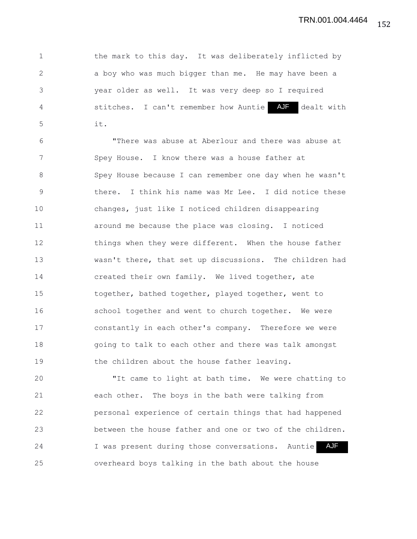1 the mark to this day. It was deliberately inflicted by 2 a boy who was much bigger than me. He may have been a 3 year older as well. It was very deep so I required 4 5 stitches. I can't remember how Auntie AJF dealt with 5 it.

6 "There was abuse at Aberlour and there was abuse at 7 Spey House. I know there was a house father at 8 Spey House because I can remember one day when he wasn't 9 there. I think his name was Mr Lee. I did notice these 10 changes, just like I noticed children disappearing 11 around me because the place was closing. I noticed 12 things when they were different. When the house father 13 wasn't there, that set up discussions. The children had 14 created their own family. We lived together, ate 15 together, bathed together, played together, went to 16 school together and went to church together. We were 17 constantly in each other's company. Therefore we were 18 going to talk to each other and there was talk amongst 19 the children about the house father leaving.

20 "It came to light at bath time. We were chatting to 21 each other. The boys in the bath were talking from 22 personal experience of certain things that had happened 23 between the house father and one or two of the children. 24 1 was present during those conversations. Auntie AJF 25 overheard boys talking in the bath about the house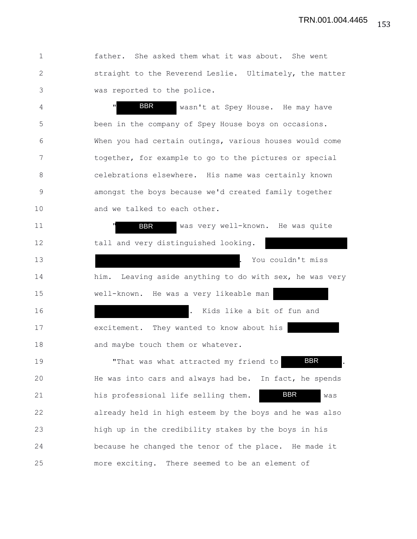1 father. She asked them what it was about. She went 2 straight to the Reverend Leslie. Ultimately, the matter 3 was reported to the police.

4 " BBR wasn't at Spey House. He may have 5 been in the company of Spey House boys on occasions. 6 When you had certain outings, various houses would come 7 together, for example to go to the pictures or special 8 celebrations elsewhere. His name was certainly known 9 amongst the boys because we'd created family together 10 and we talked to each other. BBR

11 **BBR** was very well-known. He was quite 12 tall and very distinguished looking. 13 **.** You couldn't miss 14 him. Leaving aside anything to do with sex, he was very 15 well-known. He was a very likeable man 16 . Kids like a bit of fun and 17 excitement. They wanted to know about his 18 and maybe touch them or whatever. 19 That was what attracted my friend to 20 He was into cars and always had be. In fact, he spends 21 his professional life selling them. BBR was 22 already held in high esteem by the boys and he was also 23 high up in the credibility stakes by the boys in his 24 because he changed the tenor of the place. He made it 25 more exciting. There seemed to be an element of BBR BBR BBR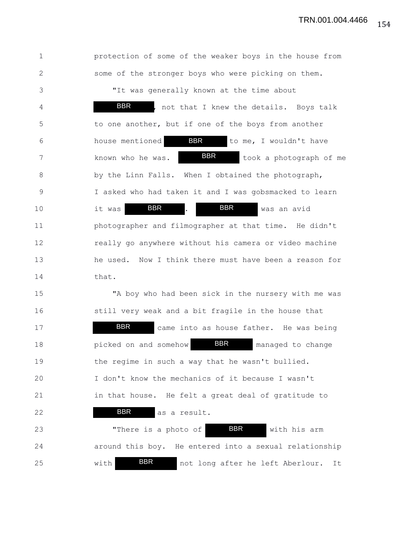1 protection of some of the weaker boys in the house from 2 some of the stronger boys who were picking on them. 3 "It was generally known at the time about 4 **BBR**, not that I knew the details. Boys talk 5 to one another, but if one of the boys from another 6 house mentioned **BBR** to me, I wouldn't have 7 known who he was. **BBR** took a photograph of me 8 by the Linn Falls. When I obtained the photograph, 9 I asked who had taken it and I was gobsmacked to learn 10 it was **BBR** . BBR was an avid 11 photographer and filmographer at that time. He didn't 12 really go anywhere without his camera or video machine 13 he used. Now I think there must have been a reason for 14 that. 15 "A boy who had been sick in the nursery with me was 16 still very weak and a bit fragile in the house that 17 **BBR** came into as house father. He was being 18 **picked on and somehow BBR** managed to change 19 the regime in such a way that he wasn't bullied. 20 I don't know the mechanics of it because I wasn't 21 in that house. He felt a great deal of gratitude to 22 **BBR** as a result. 23 There is a photo of **BBR** with his arm 24 around this boy. He entered into a sexual relationship 25 with **BBR** not long after he left Aberlour. It BBR BBR BBR BBR BBR BBR BBR BBR

154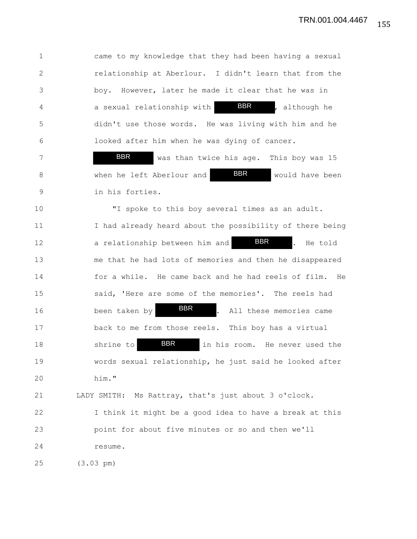1 came to my knowledge that they had been having a sexual 2 relationship at Aberlour. I didn't learn that from the 3 boy. However, later he made it clear that he was in 4 **a** sexual relationship with **BBR** , although he 5 didn't use those words. He was living with him and he 6 looked after him when he was dying of cancer. BBR

7 **BBR** was than twice his age. This boy was 15 8 When he left Aberlour and **BBR** would have been 9 in his forties. BBR BBR

10 "I spoke to this boy several times as an adult. 11 I had already heard about the possibility of there being 12 a relationship between him and **BBR** . He told 13 me that he had lots of memories and then he disappeared 14 for a while. He came back and he had reels of film. He 15 said, 'Here are some of the memories'. The reels had 16 been taken by **BBR** . All these memories came 17 back to me from those reels. This boy has a virtual 18 Shrine to **BBR** in his room. He never used the 19 words sexual relationship, he just said he looked after 20 him." BBR BBR BBR

21 LADY SMITH: Ms Rattray, that's just about 3 o'clock.

22 I think it might be a good idea to have a break at this 23 point for about five minutes or so and then we'll 24 resume.

25 (3.03 pm)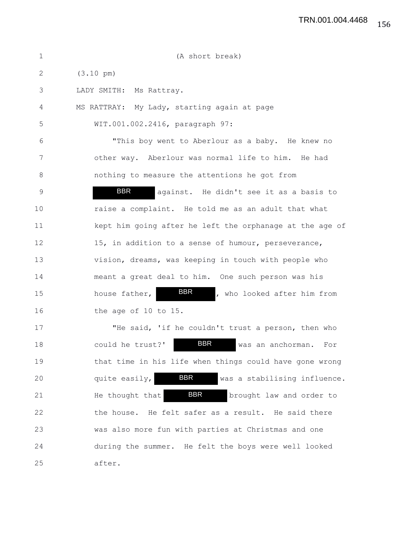| $\mathbf 1$ | (A short break)                                             |
|-------------|-------------------------------------------------------------|
| 2           | $(3.10 \text{ pm})$                                         |
| 3           | LADY SMITH:<br>Ms Rattray.                                  |
| 4           | MS RATTRAY: My Lady, starting again at page                 |
| 5           | WIT.001.002.2416, paragraph 97:                             |
| 6           | "This boy went to Aberlour as a baby. He knew no            |
| 7           | other way. Aberlour was normal life to him. He had          |
| 8           | nothing to measure the attentions he got from               |
| 9           | <b>BBR</b><br>against. He didn't see it as a basis to       |
| 10          | raise a complaint. He told me as an adult that what         |
| 11          | kept him going after he left the orphanage at the age of    |
| 12          | 15, in addition to a sense of humour, perseverance,         |
| 13          | vision, dreams, was keeping in touch with people who        |
| 14          | meant a great deal to him. One such person was his          |
| 15          | BBR<br>house father,<br>, who looked after him from         |
| 16          | the age of 10 to 15.                                        |
| 17          | "He said, 'if he couldn't trust a person, then who          |
| 18          | <b>BBR</b><br>could he trust?'<br>was an anchorman. For     |
| 19          | that time in his life when things could have gone wrong     |
| 20          | <b>BBR</b><br>quite easily,<br>was a stabilising influence. |
| 21          | <b>BBR</b><br>He thought that<br>brought law and order to   |
| 22          | the house. He felt safer as a result. He said there         |
| 23          | was also more fun with parties at Christmas and one         |
| 24          | during the summer. He felt the boys were well looked        |
| 25          | after.                                                      |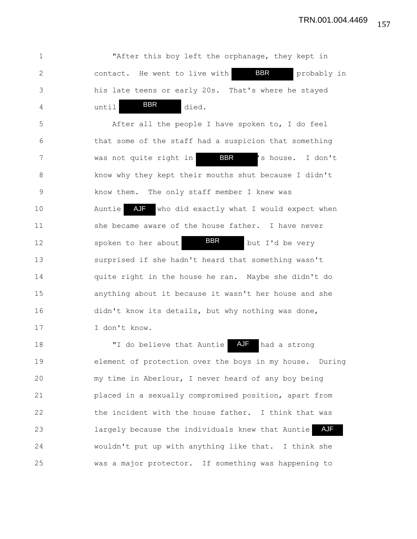1 "After this boy left the orphanage, they kept in 2 contact. He went to live with **BBR** probably in 3 his late teens or early 20s. That's where he stayed 4 until <sup>BBR</sup> died. 5 After all the people I have spoken to, I do feel 6 that some of the staff had a suspicion that something 7 was not quite right in SBR Is house. I don't 8 know why they kept their mouths shut because I didn't 9 know them. The only staff member I knew was 10 Auntie AJF who did exactly what I would expect when 11 she became aware of the house father. I have never 12 spoken to her about **BBR** but I'd be very 13 surprised if she hadn't heard that something wasn't 14 quite right in the house he ran. Maybe she didn't do 15 anything about it because it wasn't her house and she 16 didn't know its details, but why nothing was done, 17 I don't know. 18 TI do believe that Auntie 19 element of protection over the boys in my house. During 20 my time in Aberlour, I never heard of any boy being 21 placed in a sexually compromised position, apart from 22 the incident with the house father. I think that was 23 **Example 23** largely because the individuals knew that Auntie AJF 24 wouldn't put up with anything like that. I think she 25 was a major protector. If something was happening to BBR BBR BBR AJF had a strong BBR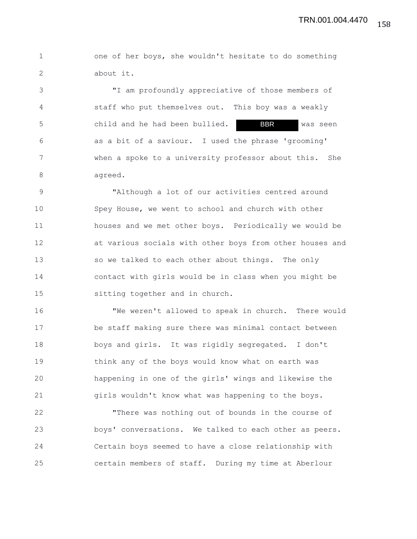1 one of her boys, she wouldn't hesitate to do something 2 about it.

3 "I am profoundly appreciative of those members of 4 staff who put themselves out. This boy was a weakly 5 **child and he had been bullied. BBR** was seen 6 as a bit of a saviour. I used the phrase 'grooming' 7 when a spoke to a university professor about this. She 8 agreed. BBR

9 "Although a lot of our activities centred around 10 Spey House, we went to school and church with other 11 houses and we met other boys. Periodically we would be 12 at various socials with other boys from other houses and 13 so we talked to each other about things. The only 14 contact with girls would be in class when you might be 15 sitting together and in church.

16 "We weren't allowed to speak in church. There would 17 be staff making sure there was minimal contact between 18 boys and girls. It was rigidly segregated. I don't 19 think any of the boys would know what on earth was 20 happening in one of the girls' wings and likewise the 21 girls wouldn't know what was happening to the boys.

22 "There was nothing out of bounds in the course of 23 boys' conversations. We talked to each other as peers. 24 Certain boys seemed to have a close relationship with 25 certain members of staff. During my time at Aberlour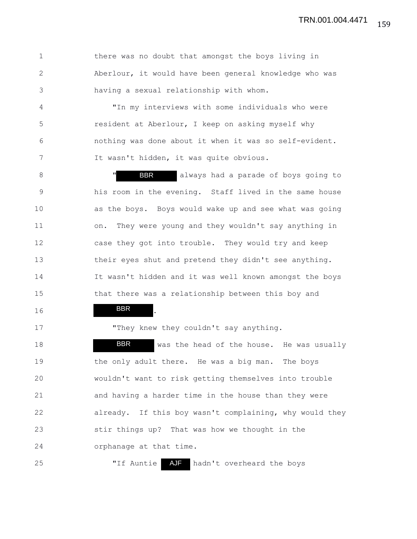1 there was no doubt that amongst the boys living in 2 Aberlour, it would have been general knowledge who was 3 having a sexual relationship with whom.

4 "In my interviews with some individuals who were 5 resident at Aberlour, I keep on asking myself why 6 nothing was done about it when it was so self-evident. 7 It wasn't hidden, it was quite obvious.

8 The Manus of boys going to always had a parade of boys going to 9 his room in the evening. Staff lived in the same house 10 as the boys. Boys would wake up and see what was going 11 on. They were young and they wouldn't say anything in 12 case they got into trouble. They would try and keep 13 their eyes shut and pretend they didn't see anything. 14 It wasn't hidden and it was well known amongst the boys 15 that there was a relationship between this boy and

16 **BBR** . BBR

17 They knew they couldn't say anything.

18 **BBR** was the head of the house. He was usually 19 the only adult there. He was a big man. The boys 20 wouldn't want to risk getting themselves into trouble 21 and having a harder time in the house than they were 22 already. If this boy wasn't complaining, why would they 23 stir things up? That was how we thought in the 24 orphanage at that time. BBR

25 The Muntie AJF hadn't overheard the boys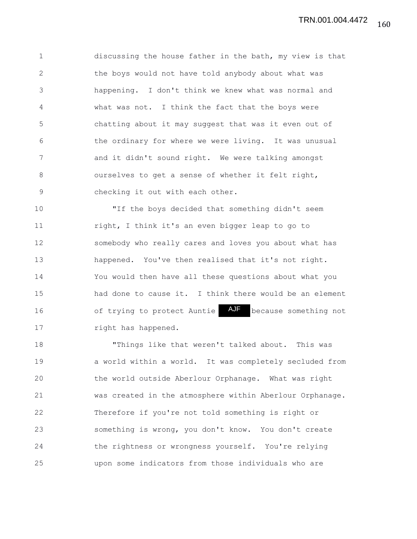1 discussing the house father in the bath, my view is that 2 the boys would not have told anybody about what was 3 happening. I don't think we knew what was normal and 4 what was not. I think the fact that the boys were 5 chatting about it may suggest that was it even out of 6 the ordinary for where we were living. It was unusual 7 and it didn't sound right. We were talking amongst 8 ourselves to get a sense of whether it felt right, 9 checking it out with each other.

10 "If the boys decided that something didn't seem 11 right, I think it's an even bigger leap to go to 12 somebody who really cares and loves you about what has 13 happened. You've then realised that it's not right. 14 You would then have all these questions about what you 15 had done to cause it. I think there would be an element 16 6 of trying to protect Auntie AJF because something not 17 right has happened.

18 "Things like that weren't talked about. This was 19 a world within a world. It was completely secluded from 20 the world outside Aberlour Orphanage. What was right 21 was created in the atmosphere within Aberlour Orphanage. 22 Therefore if you're not told something is right or 23 something is wrong, you don't know. You don't create 24 the rightness or wrongness yourself. You're relying 25 upon some indicators from those individuals who are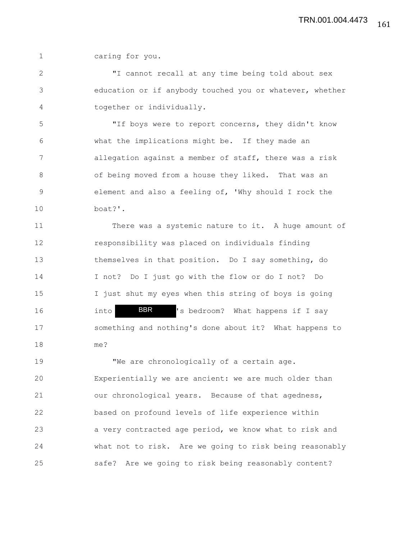1 caring for you.

2 "I cannot recall at any time being told about sex 3 education or if anybody touched you or whatever, whether 4 together or individually.

5 "If boys were to report concerns, they didn't know 6 what the implications might be. If they made an 7 allegation against a member of staff, there was a risk 8 of being moved from a house they liked. That was an 9 element and also a feeling of, 'Why should I rock the 10 boat?'.

11 There was a systemic nature to it. A huge amount of 12 responsibility was placed on individuals finding 13 themselves in that position. Do I say something, do 14 I not? Do I just go with the flow or do I not? Do 15 I just shut my eyes when this string of boys is going 16 into **BBR** 's bedroom? What happens if I say 17 something and nothing's done about it? What happens to 18 me? BBR

19 "We are chronologically of a certain age. 20 Experientially we are ancient: we are much older than 21 our chronological years. Because of that agedness, 22 based on profound levels of life experience within 23 a very contracted age period, we know what to risk and 24 what not to risk. Are we going to risk being reasonably 25 safe? Are we going to risk being reasonably content?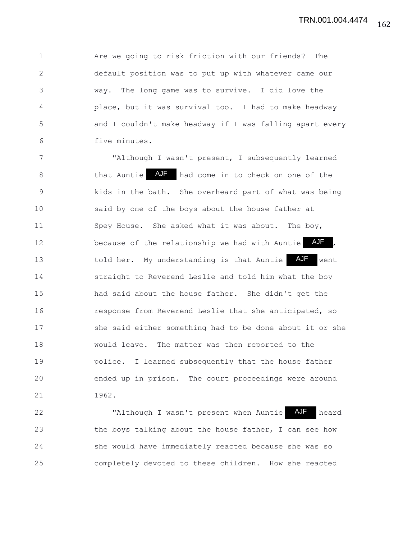1 Are we going to risk friction with our friends? The 2 default position was to put up with whatever came our 3 way. The long game was to survive. I did love the 4 place, but it was survival too. I had to make headway 5 and I couldn't make headway if I was falling apart every 6 five minutes.

7 "Although I wasn't present, I subsequently learned 8 that Auntie AJF had come in to check on one of the 9 kids in the bath. She overheard part of what was being 10 said by one of the boys about the house father at 11 Spey House. She asked what it was about. The boy, 12 because of the relationship we had with Auntie AUF, 13 told her. My understanding is that Auntie AJF went 14 straight to Reverend Leslie and told him what the boy 15 had said about the house father. She didn't get the 16 response from Reverend Leslie that she anticipated, so 17 she said either something had to be done about it or she 18 would leave. The matter was then reported to the 19 police. I learned subsequently that the house father 20 ended up in prison. The court proceedings were around 21 1962.

22 "Although I wasn't present when Auntie AJF heard 23 the boys talking about the house father, I can see how 24 she would have immediately reacted because she was so 25 completely devoted to these children. How she reacted AJF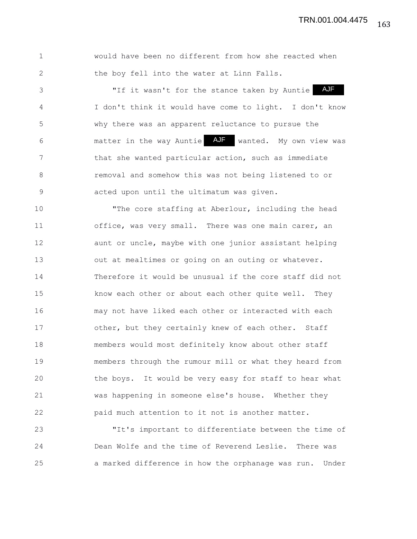| would have been no different from how she reacted when |
|--------------------------------------------------------|
| the boy fell into the water at Linn Falls.             |

3 "If it wasn't for the stance taken by Auntie 4 I don't think it would have come to light. I don't know 5 why there was an apparent reluctance to pursue the 6 6 matter in the way Auntie AJF wanted. My own view was 7 that she wanted particular action, such as immediate 8 removal and somehow this was not being listened to or 9 acted upon until the ultimatum was given. AJF

10 "The core staffing at Aberlour, including the head 11 office, was very small. There was one main carer, an 12 aunt or uncle, maybe with one junior assistant helping 13 out at mealtimes or going on an outing or whatever. 14 Therefore it would be unusual if the core staff did not 15 know each other or about each other quite well. They 16 may not have liked each other or interacted with each 17 other, but they certainly knew of each other. Staff 18 members would most definitely know about other staff 19 members through the rumour mill or what they heard from 20 the boys. It would be very easy for staff to hear what 21 was happening in someone else's house. Whether they 22 paid much attention to it not is another matter.

23 "It's important to differentiate between the time of 24 Dean Wolfe and the time of Reverend Leslie. There was 25 a marked difference in how the orphanage was run. Under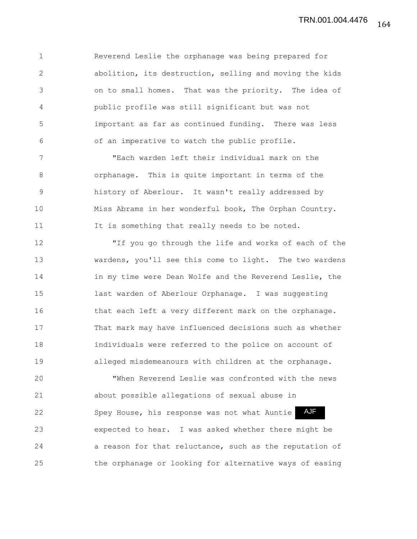1 Reverend Leslie the orphanage was being prepared for 2 abolition, its destruction, selling and moving the kids 3 on to small homes. That was the priority. The idea of 4 public profile was still significant but was not 5 important as far as continued funding. There was less 6 of an imperative to watch the public profile.

7 "Each warden left their individual mark on the 8 orphanage. This is quite important in terms of the 9 history of Aberlour. It wasn't really addressed by 10 Miss Abrams in her wonderful book, The Orphan Country. 11 It is something that really needs to be noted.

12 "If you go through the life and works of each of the 13 wardens, you'll see this come to light. The two wardens 14 in my time were Dean Wolfe and the Reverend Leslie, the 15 last warden of Aberlour Orphanage. I was suggesting 16 that each left a very different mark on the orphanage. 17 That mark may have influenced decisions such as whether 18 individuals were referred to the police on account of 19 alleged misdemeanours with children at the orphanage.

20 "When Reverend Leslie was confronted with the news 21 about possible allegations of sexual abuse in 22 Spey House, his response was not what Auntie 23 expected to hear. I was asked whether there might be 24 a reason for that reluctance, such as the reputation of 25 the orphanage or looking for alternative ways of easing AJF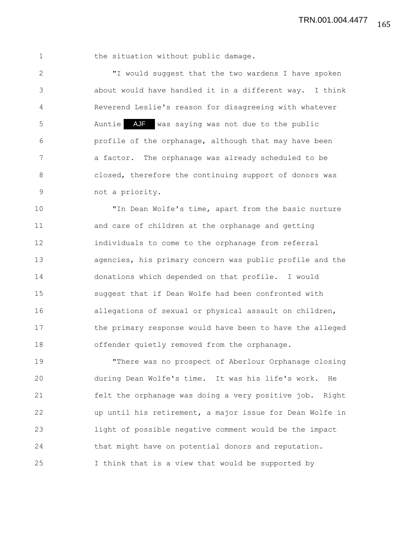1 the situation without public damage.

2 "I would suggest that the two wardens I have spoken 3 about would have handled it in a different way. I think 4 Reverend Leslie's reason for disagreeing with whatever 5 Auntie AJF was saying was not due to the public 6 profile of the orphanage, although that may have been 7 a factor. The orphanage was already scheduled to be 8 closed, therefore the continuing support of donors was 9 not a priority.

10 "In Dean Wolfe's time, apart from the basic nurture 11 and care of children at the orphanage and getting 12 individuals to come to the orphanage from referral 13 agencies, his primary concern was public profile and the 14 donations which depended on that profile. I would 15 suggest that if Dean Wolfe had been confronted with 16 allegations of sexual or physical assault on children, 17 the primary response would have been to have the alleged 18 offender quietly removed from the orphanage.

19 "There was no prospect of Aberlour Orphanage closing 20 during Dean Wolfe's time. It was his life's work. He 21 felt the orphanage was doing a very positive job. Right 22 up until his retirement, a major issue for Dean Wolfe in 23 light of possible negative comment would be the impact 24 that might have on potential donors and reputation. 25 I think that is a view that would be supported by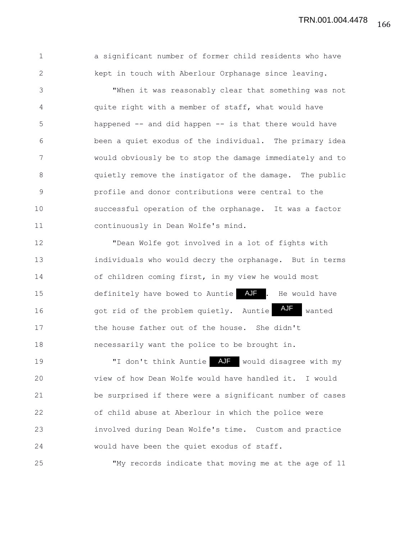1 a significant number of former child residents who have 2 kept in touch with Aberlour Orphanage since leaving.

3 "When it was reasonably clear that something was not 4 quite right with a member of staff, what would have 5 happened -- and did happen -- is that there would have 6 been a quiet exodus of the individual. The primary idea 7 would obviously be to stop the damage immediately and to 8 quietly remove the instigator of the damage. The public 9 profile and donor contributions were central to the 10 successful operation of the orphanage. It was a factor 11 continuously in Dean Wolfe's mind.

12 "Dean Wolfe got involved in a lot of fights with 13 individuals who would decry the orphanage. But in terms 14 of children coming first, in my view he would most 15 definitely have bowed to Auntie AJF . He would have 16 got rid of the problem quietly. Auntie 17 the house father out of the house. She didn't 18 necessarily want the police to be brought in. AJF wanted

19 TI don't think Auntie AJF would disagree with my 20 view of how Dean Wolfe would have handled it. I would 21 be surprised if there were a significant number of cases 22 of child abuse at Aberlour in which the police were 23 involved during Dean Wolfe's time. Custom and practice 24 would have been the quiet exodus of staff.

25 "My records indicate that moving me at the age of 11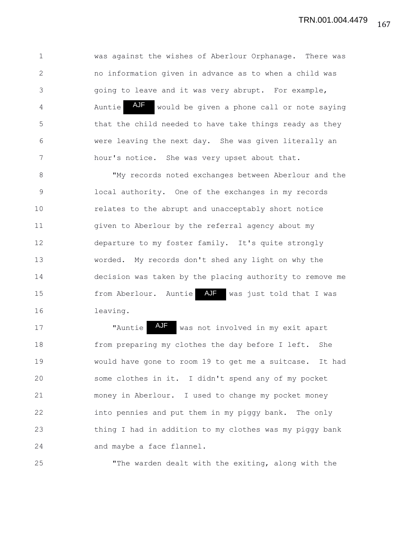1 was against the wishes of Aberlour Orphanage. There was 2 no information given in advance as to when a child was 3 going to leave and it was very abrupt. For example, 4 Auntie AUF would be given a phone call or note saying 5 that the child needed to have take things ready as they 6 were leaving the next day. She was given literally an 7 hour's notice. She was very upset about that. AJF

8 "My records noted exchanges between Aberlour and the 9 local authority. One of the exchanges in my records 10 relates to the abrupt and unacceptably short notice 11 given to Aberlour by the referral agency about my 12 departure to my foster family. It's quite strongly 13 worded. My records don't shed any light on why the 14 decision was taken by the placing authority to remove me 15 from Aberlour. Auntie AJF was just told that I was 16 leaving.

17 Thuntie AJF was not involved in my exit apart 18 from preparing my clothes the day before I left. She 19 would have gone to room 19 to get me a suitcase. It had 20 some clothes in it. I didn't spend any of my pocket 21 money in Aberlour. I used to change my pocket money 22 into pennies and put them in my piggy bank. The only 23 thing I had in addition to my clothes was my piggy bank 24 and maybe a face flannel.

25 "The warden dealt with the exiting, along with the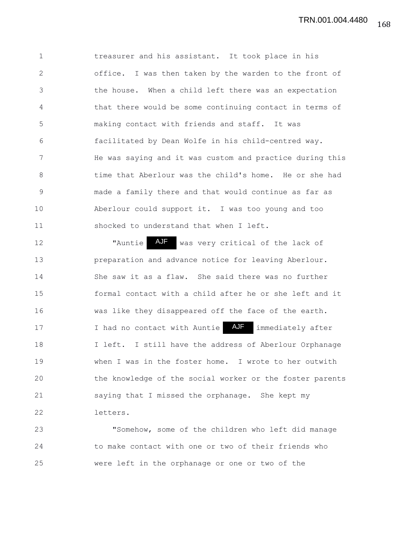1 treasurer and his assistant. It took place in his 2 office. I was then taken by the warden to the front of 3 the house. When a child left there was an expectation 4 that there would be some continuing contact in terms of 5 making contact with friends and staff. It was 6 facilitated by Dean Wolfe in his child-centred way. 7 He was saying and it was custom and practice during this 8 time that Aberlour was the child's home. He or she had 9 made a family there and that would continue as far as 10 Aberlour could support it. I was too young and too 11 shocked to understand that when I left.

12 Thuntie AJF was very critical of the lack of 13 preparation and advance notice for leaving Aberlour. 14 She saw it as a flaw. She said there was no further 15 formal contact with a child after he or she left and it 16 was like they disappeared off the face of the earth. 17 10 I had no contact with Auntie AJF immediately after 18 I left. I still have the address of Aberlour Orphanage 19 when I was in the foster home. I wrote to her outwith 20 the knowledge of the social worker or the foster parents 21 saying that I missed the orphanage. She kept my 22 letters.

23 "Somehow, some of the children who left did manage 24 to make contact with one or two of their friends who 25 were left in the orphanage or one or two of the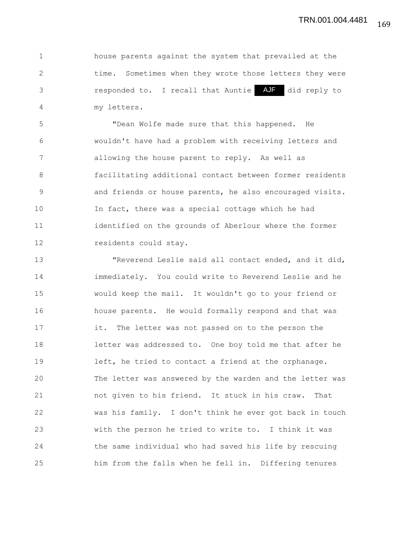1 house parents against the system that prevailed at the 2 time. Sometimes when they wrote those letters they were 3 **1992** responded to. I recall that Auntie AJF did reply to 4 my letters.

5 "Dean Wolfe made sure that this happened. He 6 wouldn't have had a problem with receiving letters and 7 allowing the house parent to reply. As well as 8 facilitating additional contact between former residents 9 and friends or house parents, he also encouraged visits. 10 In fact, there was a special cottage which he had 11 identified on the grounds of Aberlour where the former 12 residents could stay.

13 "Reverend Leslie said all contact ended, and it did, 14 immediately. You could write to Reverend Leslie and he 15 would keep the mail. It wouldn't go to your friend or 16 house parents. He would formally respond and that was 17 it. The letter was not passed on to the person the 18 letter was addressed to. One boy told me that after he 19 left, he tried to contact a friend at the orphanage. 20 The letter was answered by the warden and the letter was 21 not given to his friend. It stuck in his craw. That 22 was his family. I don't think he ever got back in touch 23 with the person he tried to write to. I think it was 24 the same individual who had saved his life by rescuing 25 him from the falls when he fell in. Differing tenures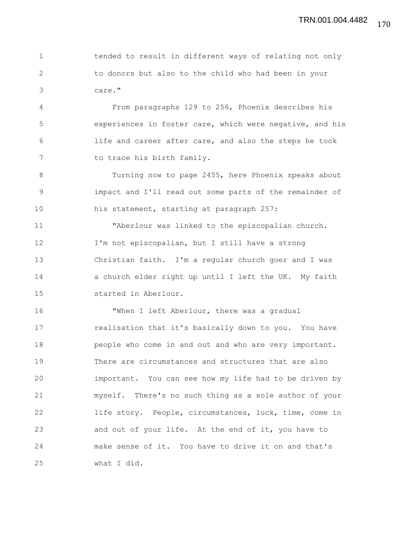1 tended to result in different ways of relating not only 2 to donors but also to the child who had been in your 3 care."

4 From paragraphs 129 to 256, Phoenix describes his 5 experiences in foster care, which were negative, and his 6 life and career after care, and also the steps he took 7 to trace his birth family.

8 Turning now to page 2455, here Phoenix speaks about 9 impact and I'll read out some parts of the remainder of 10 his statement, starting at paragraph 257:

11 "Aberlour was linked to the episcopalian church. 12 I'm not episcopalian, but I still have a strong 13 Christian faith. I'm a regular church goer and I was 14 a church elder right up until I left the UK. My faith 15 started in Aberlour.

16 "When I left Aberlour, there was a gradual 17 realisation that it's basically down to you. You have 18 people who come in and out and who are very important. 19 There are circumstances and structures that are also 20 important. You can see how my life had to be driven by 21 myself. There's no such thing as a sole author of your 22 life story. People, circumstances, luck, time, come in 23 and out of your life. At the end of it, you have to 24 make sense of it. You have to drive it on and that's 25 what I did.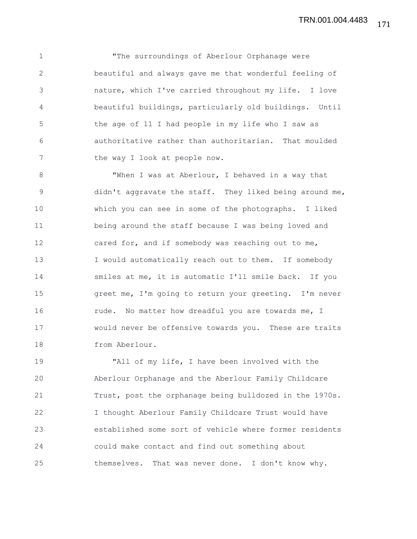1 "The surroundings of Aberlour Orphanage were 2 beautiful and always gave me that wonderful feeling of 3 nature, which I've carried throughout my life. I love 4 beautiful buildings, particularly old buildings. Until 5 the age of 11 I had people in my life who I saw as 6 authoritative rather than authoritarian. That moulded 7 the way I look at people now.

8 "When I was at Aberlour, I behaved in a way that 9 didn't aggravate the staff. They liked being around me, 10 which you can see in some of the photographs. I liked 11 being around the staff because I was being loved and 12 cared for, and if somebody was reaching out to me, 13 I would automatically reach out to them. If somebody 14 smiles at me, it is automatic I'll smile back. If you 15 greet me, I'm going to return your greeting. I'm never 16 **rude.** No matter how dreadful you are towards me, I 17 would never be offensive towards you. These are traits 18 from Aberlour.

19 "All of my life, I have been involved with the 20 Aberlour Orphanage and the Aberlour Family Childcare 21 Trust, post the orphanage being bulldozed in the 1970s. 22 I thought Aberlour Family Childcare Trust would have 23 established some sort of vehicle where former residents 24 could make contact and find out something about 25 themselves. That was never done. I don't know why.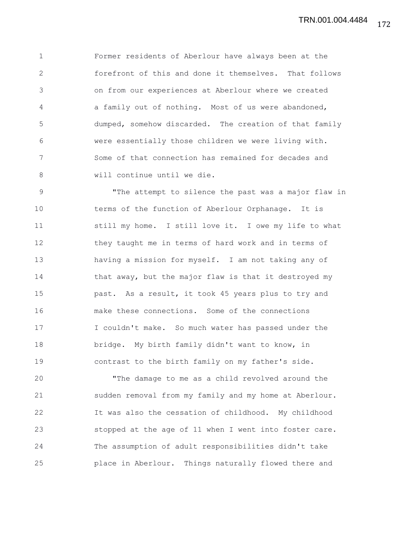1 Former residents of Aberlour have always been at the 2 forefront of this and done it themselves. That follows 3 on from our experiences at Aberlour where we created 4 a family out of nothing. Most of us were abandoned, 5 dumped, somehow discarded. The creation of that family 6 were essentially those children we were living with. 7 Some of that connection has remained for decades and 8 will continue until we die.

9 "The attempt to silence the past was a major flaw in 10 terms of the function of Aberlour Orphanage. It is 11 still my home. I still love it. I owe my life to what 12 they taught me in terms of hard work and in terms of 13 having a mission for myself. I am not taking any of 14 that away, but the major flaw is that it destroyed my 15 past. As a result, it took 45 years plus to try and 16 make these connections. Some of the connections 17 I couldn't make. So much water has passed under the 18 bridge. My birth family didn't want to know, in 19 contrast to the birth family on my father's side.

20 "The damage to me as a child revolved around the 21 sudden removal from my family and my home at Aberlour. 22 It was also the cessation of childhood. My childhood 23 stopped at the age of 11 when I went into foster care. 24 The assumption of adult responsibilities didn't take 25 place in Aberlour. Things naturally flowed there and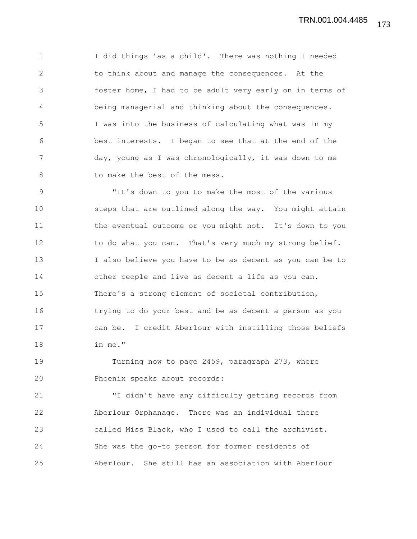1 I did things 'as a child'. There was nothing I needed 2 to think about and manage the consequences. At the 3 foster home, I had to be adult very early on in terms of 4 being managerial and thinking about the consequences. 5 I was into the business of calculating what was in my 6 best interests. I began to see that at the end of the 7 day, young as I was chronologically, it was down to me 8 to make the best of the mess.

9 "It's down to you to make the most of the various 10 steps that are outlined along the way. You might attain 11 the eventual outcome or you might not. It's down to you 12 to do what you can. That's very much my strong belief. 13 I also believe you have to be as decent as you can be to 14 other people and live as decent a life as you can. 15 There's a strong element of societal contribution, 16 trying to do your best and be as decent a person as you 17 can be. I credit Aberlour with instilling those beliefs 18 in me."

19 Turning now to page 2459, paragraph 273, where 20 Phoenix speaks about records:

21 "I didn't have any difficulty getting records from 22 Aberlour Orphanage. There was an individual there 23 called Miss Black, who I used to call the archivist. 24 She was the go-to person for former residents of 25 Aberlour. She still has an association with Aberlour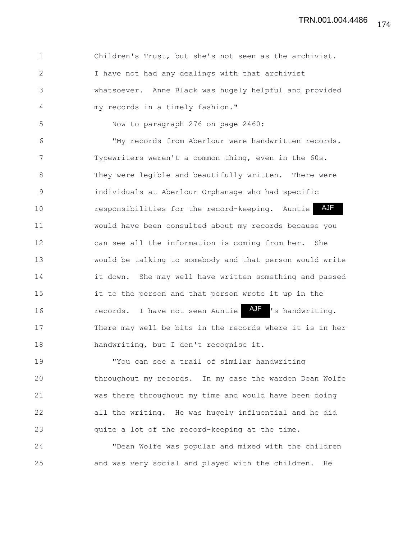1 Children's Trust, but she's not seen as the archivist. 2 I have not had any dealings with that archivist 3 whatsoever. Anne Black was hugely helpful and provided 4 my records in a timely fashion." 5 Now to paragraph 276 on page 2460: 6 "My records from Aberlour were handwritten records. 7 Typewriters weren't a common thing, even in the 60s. 8 They were legible and beautifully written. There were 9 individuals at Aberlour Orphanage who had specific 10 responsibilities for the record-keeping. Auntie 11 would have been consulted about my records because you 12 can see all the information is coming from her. She 13 would be talking to somebody and that person would write 14 it down. She may well have written something and passed 15 it to the person and that person wrote it up in the 16 records. I have not seen Auntie 17 There may well be bits in the records where it is in her 18 handwriting, but I don't recognise it. AJF AJF 's handwriting.

19 "You can see a trail of similar handwriting 20 throughout my records. In my case the warden Dean Wolfe 21 was there throughout my time and would have been doing 22 all the writing. He was hugely influential and he did 23 quite a lot of the record-keeping at the time.

24 "Dean Wolfe was popular and mixed with the children 25 and was very social and played with the children. He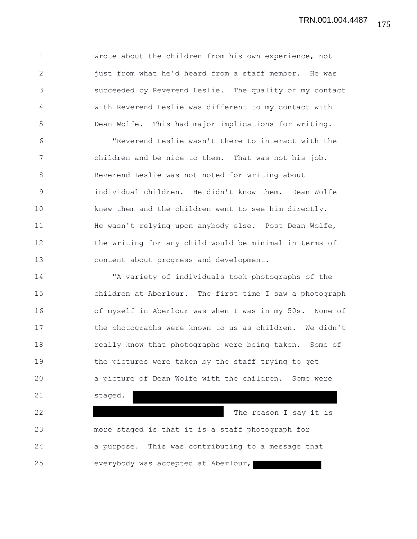1 wrote about the children from his own experience, not 2 just from what he'd heard from a staff member. He was 3 succeeded by Reverend Leslie. The quality of my contact 4 with Reverend Leslie was different to my contact with 5 Dean Wolfe. This had major implications for writing.

6 "Reverend Leslie wasn't there to interact with the 7 children and be nice to them. That was not his job. 8 Reverend Leslie was not noted for writing about 9 individual children. He didn't know them. Dean Wolfe 10 knew them and the children went to see him directly. 11 He wasn't relying upon anybody else. Post Dean Wolfe, 12 the writing for any child would be minimal in terms of 13 content about progress and development.

14 "A variety of individuals took photographs of the 15 children at Aberlour. The first time I saw a photograph 16 of myself in Aberlour was when I was in my 50s. None of 17 the photographs were known to us as children. We didn't 18 **really know that photographs were being taken.** Some of 19 the pictures were taken by the staff trying to get 20 a picture of Dean Wolfe with the children. Some were 21 staged. 22 The reason I say it is 23 more staged is that it is a staff photograph for 24 a purpose. This was contributing to a message that 25 everybody was accepted at Aberlour,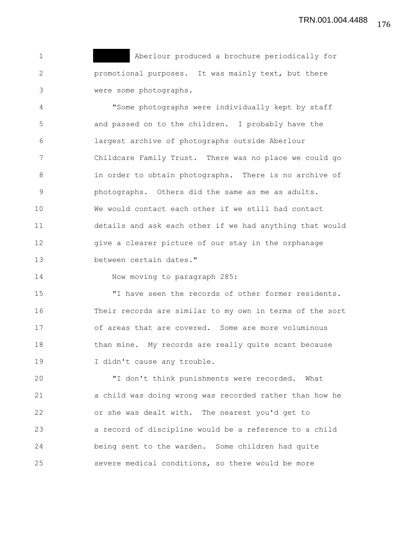1 Aberlour produced a brochure periodically for 2 promotional purposes. It was mainly text, but there 3 were some photographs.

4 "Some photographs were individually kept by staff 5 and passed on to the children. I probably have the 6 largest archive of photographs outside Aberlour 7 Childcare Family Trust. There was no place we could go 8 in order to obtain photographs. There is no archive of 9 photographs. Others did the same as me as adults. 10 We would contact each other if we still had contact 11 details and ask each other if we had anything that would 12 give a clearer picture of our stay in the orphanage 13 between certain dates."

14 Now moving to paragraph 285:

15 "I have seen the records of other former residents. 16 Their records are similar to my own in terms of the sort 17 of areas that are covered. Some are more voluminous 18 than mine. My records are really quite scant because 19 I didn't cause any trouble.

20 "I don't think punishments were recorded. What 21 a child was doing wrong was recorded rather than how he 22 or she was dealt with. The nearest you'd get to 23 a record of discipline would be a reference to a child 24 being sent to the warden. Some children had quite 25 severe medical conditions, so there would be more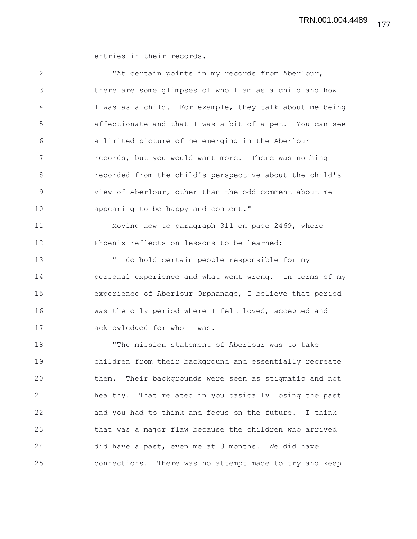1 entries in their records.

2 "At certain points in my records from Aberlour, 3 there are some glimpses of who I am as a child and how 4 I was as a child. For example, they talk about me being 5 affectionate and that I was a bit of a pet. You can see 6 a limited picture of me emerging in the Aberlour 7 records, but you would want more. There was nothing 8 recorded from the child's perspective about the child's 9 view of Aberlour, other than the odd comment about me 10 appearing to be happy and content." 11 Moving now to paragraph 311 on page 2469, where 12 Phoenix reflects on lessons to be learned:

13 "I do hold certain people responsible for my 14 personal experience and what went wrong. In terms of my 15 experience of Aberlour Orphanage, I believe that period 16 was the only period where I felt loved, accepted and 17 acknowledged for who I was.

18 "The mission statement of Aberlour was to take 19 children from their background and essentially recreate 20 them. Their backgrounds were seen as stigmatic and not 21 healthy. That related in you basically losing the past 22 and you had to think and focus on the future. I think 23 that was a major flaw because the children who arrived 24 did have a past, even me at 3 months. We did have 25 connections. There was no attempt made to try and keep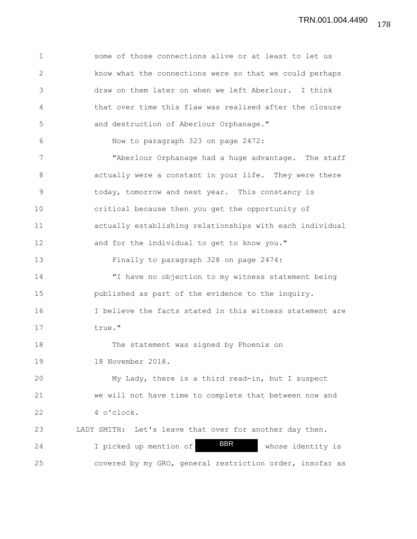1 some of those connections alive or at least to let us 2 know what the connections were so that we could perhaps 3 draw on them later on when we left Aberlour. I think 4 that over time this flaw was realised after the closure 5 and destruction of Aberlour Orphanage." 6 Now to paragraph 323 on page 2472: 7 "Aberlour Orphanage had a huge advantage. The staff 8 actually were a constant in your life. They were there 9 today, tomorrow and next year. This constancy is 10 critical because then you get the opportunity of 11 actually establishing relationships with each individual 12 and for the individual to get to know you." 13 Finally to paragraph 328 on page 2474: 14 "I have no objection to my witness statement being 15 published as part of the evidence to the inquiry. 16 I believe the facts stated in this witness statement are 17 true." 18 The statement was signed by Phoenix on 19 18 November 2018. 20 My Lady, there is a third read-in, but I suspect 21 we will not have time to complete that between now and 22 4 o'clock. 23 LADY SMITH: Let's leave that over for another day then. 24 I picked up mention of **BBR** whose identity is 25 covered by my GRO, general restriction order, insofar as BBR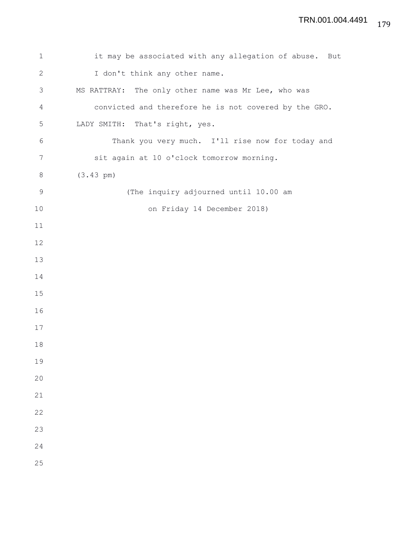| $\mathbf 1$    | it may be associated with any allegation of abuse.<br>But |
|----------------|-----------------------------------------------------------|
| $\mathbf{2}$   | I don't think any other name.                             |
| 3              | MS RATTRAY: The only other name was Mr Lee, who was       |
| $\overline{4}$ | convicted and therefore he is not covered by the GRO.     |
| 5              | LADY SMITH: That's right, yes.                            |
| 6              | Thank you very much. I'll rise now for today and          |
| 7              | sit again at 10 o'clock tomorrow morning.                 |
| $\,8\,$        | $(3.43 \text{ pm})$                                       |
| 9              | (The inquiry adjourned until 10.00 am                     |
| 10             | on Friday 14 December 2018)                               |
| 11             |                                                           |
| 12             |                                                           |
| 13             |                                                           |
| 14             |                                                           |
| 15             |                                                           |
| 16             |                                                           |
| 17             |                                                           |
| 18             |                                                           |
| 19             |                                                           |
| 20             |                                                           |
| 21             |                                                           |
| 22             |                                                           |
| 23             |                                                           |
| 24             |                                                           |
| 25             |                                                           |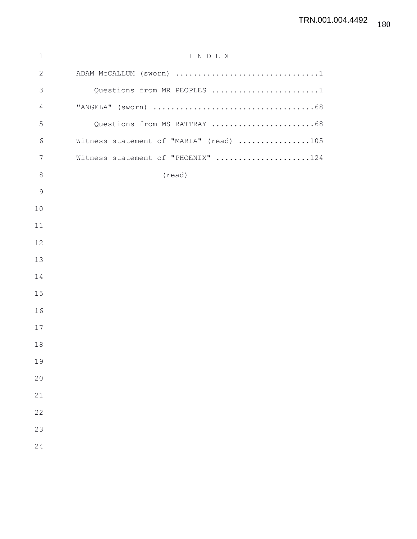| $\mathbf{1}$   | INDEX                                   |
|----------------|-----------------------------------------|
| $\mathbf{2}$   | ADAM McCALLUM (sworn) 1                 |
| $\mathfrak{Z}$ | Questions from MR PEOPLES 1             |
| 4              |                                         |
| 5              | Questions from MS RATTRAY 68            |
| 6              | Witness statement of "MARIA" (read) 105 |
| 7              | Witness statement of "PHOENIX" 124      |
| $8\,$          | (read)                                  |
| $\mathcal{G}$  |                                         |
| 10             |                                         |
| 11             |                                         |
| 12             |                                         |
| 13             |                                         |
| 14             |                                         |
| 15             |                                         |
| 16             |                                         |
| 17             |                                         |
| 18             |                                         |
| 19             |                                         |
| 20             |                                         |
| 21             |                                         |
| 22             |                                         |
| 23             |                                         |
| 24             |                                         |